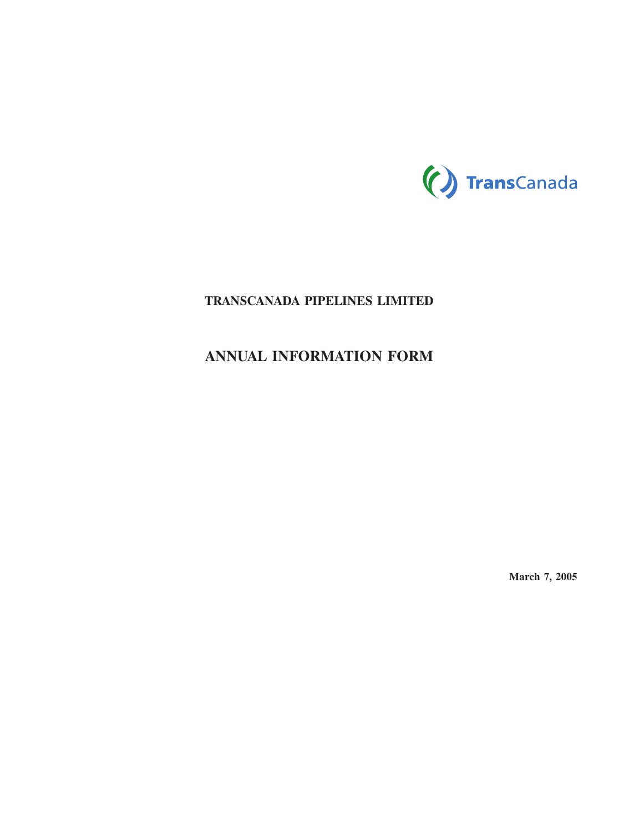

# **TRANSCANADA PIPELINES LIMITED**

# **ANNUAL INFORMATION FORM**

**March 7, 2005**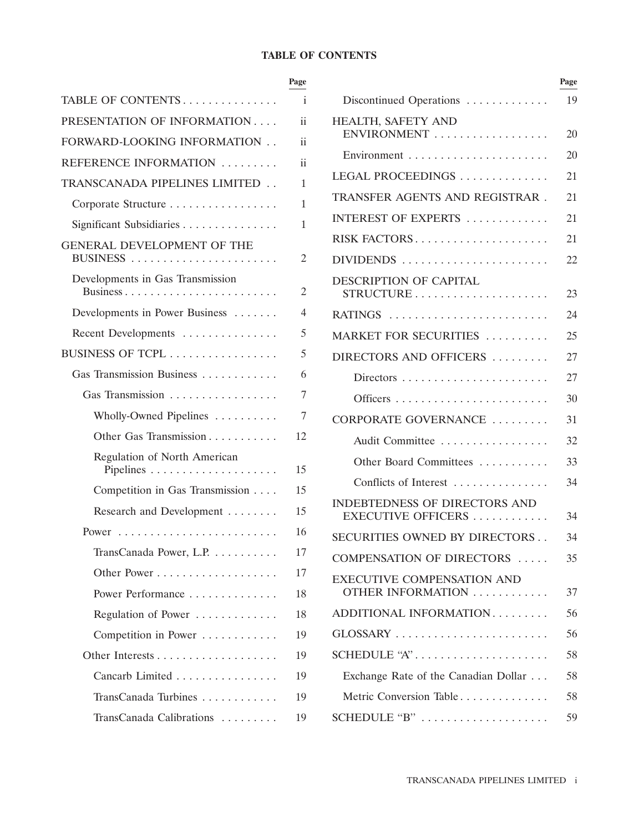# **TABLE OF CONTENTS**

| TABLE OF CONTENTS                | <i>i</i>        | Discontinued Operations                           |
|----------------------------------|-----------------|---------------------------------------------------|
| PRESENTATION OF INFORMATION      | ii              | HEALTH, SAFETY AND                                |
| FORWARD-LOOKING INFORMATION      | <i>ii</i>       | ENVIRONMENT                                       |
| REFERENCE INFORMATION            | $\ddot{\rm ii}$ | Environment                                       |
| TRANSCANADA PIPELINES LIMITED    | 1               | LEGAL PROCEEDINGS                                 |
| Corporate Structure              | 1               | TRANSFER AGENTS AND REGISTR                       |
| Significant Subsidiaries         | 1               | INTEREST OF EXPERTS                               |
| GENERAL DEVELOPMENT OF THE       | 2               | RISK FACTORS<br>DIVIDENDS                         |
| Developments in Gas Transmission | $\overline{2}$  | DESCRIPTION OF CAPITAL<br>STRUCTURE               |
| Developments in Power Business   | 4               | RATINGS                                           |
| Recent Developments              | 5               | MARKET FOR SECURITIES                             |
| BUSINESS OF TCPL                 | 5               | DIRECTORS AND OFFICERS                            |
| Gas Transmission Business        | 6               |                                                   |
| Gas Transmission                 | 7               |                                                   |
| Wholly-Owned Pipelines           | 7               | CORPORATE GOVERNANCE                              |
| Other Gas Transmission           | 12              | Audit Committee                                   |
| Regulation of North American     | 15              | Other Board Committees                            |
| Competition in Gas Transmission  | 15              | Conflicts of Interest                             |
| Research and Development         | 15              | INDEBTEDNESS OF DIRECTORS A<br>EXECUTIVE OFFICERS |
|                                  | 16              | SECURITIES OWNED BY DIRECTO                       |
| TransCanada Power, L.P.          | 17              | <b>COMPENSATION OF DIRECTORS.</b>                 |
|                                  | 17              | <b>EXECUTIVE COMPENSATION AND</b>                 |
| Power Performance                | 18              | OTHER INFORMATION                                 |
| Regulation of Power              | 18              | ADDITIONAL INFORMATION                            |
| Competition in Power             | 19              | GLOSSARY                                          |
|                                  | 19              | SCHEDULE "A"                                      |
| Cancarb Limited                  | 19              | Exchange Rate of the Canadian Dolla               |
| TransCanada Turbines             | 19              | Metric Conversion Table                           |
| TransCanada Calibrations         | 19              | SCHEDULE "B"                                      |
|                                  |                 |                                                   |

|                                  | Page            |                                                     | Page |
|----------------------------------|-----------------|-----------------------------------------------------|------|
| TABLE OF CONTENTS                | i               | Discontinued Operations                             | 19   |
| PRESENTATION OF INFORMATION      | ii              | HEALTH, SAFETY AND                                  |      |
| FORWARD-LOOKING INFORMATION      | $\ddot{\rm ii}$ | ENVIRONMENT                                         | 20   |
| REFERENCE INFORMATION            | $\ddot{\rm ii}$ |                                                     | 20   |
| TRANSCANADA PIPELINES LIMITED    | 1               | LEGAL PROCEEDINGS                                   | 21   |
| Corporate Structure              | 1               | TRANSFER AGENTS AND REGISTRAR.                      | 21   |
| Significant Subsidiaries         | 1               | INTEREST OF EXPERTS                                 | 21   |
| GENERAL DEVELOPMENT OF THE       |                 | RISK FACTORS                                        | 21   |
|                                  | 2               | DIVIDENDS                                           | 22   |
| Developments in Gas Transmission | $\overline{c}$  | DESCRIPTION OF CAPITAL<br>STRUCTURE                 | 23   |
| Developments in Power Business   | 4               | RATINGS                                             | 24   |
| Recent Developments              | 5               | MARKET FOR SECURITIES                               | 25   |
| BUSINESS OF TCPL                 | 5               | DIRECTORS AND OFFICERS                              | 27   |
| Gas Transmission Business        | 6               |                                                     | 27   |
| Gas Transmission                 | 7               |                                                     | 30   |
| Wholly-Owned Pipelines           | 7               | CORPORATE GOVERNANCE                                | 31   |
| Other Gas Transmission           | 12              | Audit Committee                                     | 32   |
| Regulation of North American     | 15              | Other Board Committees                              | 33   |
| Competition in Gas Transmission  | 15              | Conflicts of Interest                               | 34   |
| Research and Development         | 15              | INDEBTEDNESS OF DIRECTORS AND<br>EXECUTIVE OFFICERS | 34   |
|                                  | 16              | SECURITIES OWNED BY DIRECTORS                       | 34   |
| TransCanada Power, L.P.          | 17              | COMPENSATION OF DIRECTORS                           | 35   |
|                                  | 17              | <b>EXECUTIVE COMPENSATION AND</b>                   |      |
| Power Performance                | 18              | OTHER INFORMATION                                   | 37   |
| Regulation of Power              | 18              | ADDITIONAL INFORMATION                              | 56   |
| Competition in Power             | 19              | GLOSSARY                                            | 56   |
|                                  | 19              | SCHEDULE "A"                                        | 58   |
| Cancarb Limited                  | 19              | Exchange Rate of the Canadian Dollar                | 58   |
| TransCanada Turbines             | 19              | Metric Conversion Table                             | 58   |
| TransCanada Calibrations         | 19              | SCHEDULE "B"                                        | 59   |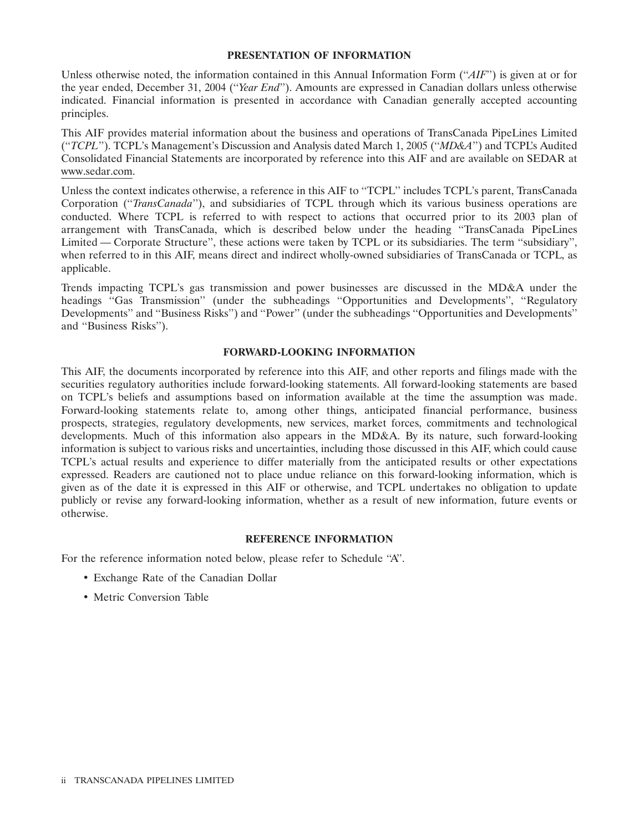### **PRESENTATION OF INFORMATION**

Unless otherwise noted, the information contained in this Annual Information Form (''*AIF*'') is given at or for the year ended, December 31, 2004 (''*Year End*''). Amounts are expressed in Canadian dollars unless otherwise indicated. Financial information is presented in accordance with Canadian generally accepted accounting principles.

This AIF provides material information about the business and operations of TransCanada PipeLines Limited (''*TCPL*''). TCPL's Management's Discussion and Analysis dated March 1, 2005 (''*MD&A*'') and TCPL's Audited Consolidated Financial Statements are incorporated by reference into this AIF and are available on SEDAR at www.sedar.com.

Unless the context indicates otherwise, a reference in this AIF to ''TCPL'' includes TCPL's parent, TransCanada Corporation (''*TransCanada*''), and subsidiaries of TCPL through which its various business operations are conducted. Where TCPL is referred to with respect to actions that occurred prior to its 2003 plan of arrangement with TransCanada, which is described below under the heading ''TransCanada PipeLines Limited — Corporate Structure'', these actions were taken by TCPL or its subsidiaries. The term ''subsidiary'', when referred to in this AIF, means direct and indirect wholly-owned subsidiaries of TransCanada or TCPL, as applicable.

Trends impacting TCPL's gas transmission and power businesses are discussed in the MD&A under the headings "Gas Transmission" (under the subheadings "Opportunities and Developments", "Regulatory Developments'' and ''Business Risks'') and ''Power'' (under the subheadings ''Opportunities and Developments'' and ''Business Risks'').

### **FORWARD-LOOKING INFORMATION**

This AIF, the documents incorporated by reference into this AIF, and other reports and filings made with the securities regulatory authorities include forward-looking statements. All forward-looking statements are based on TCPL's beliefs and assumptions based on information available at the time the assumption was made. Forward-looking statements relate to, among other things, anticipated financial performance, business prospects, strategies, regulatory developments, new services, market forces, commitments and technological developments. Much of this information also appears in the MD&A. By its nature, such forward-looking information is subject to various risks and uncertainties, including those discussed in this AIF, which could cause TCPL's actual results and experience to differ materially from the anticipated results or other expectations expressed. Readers are cautioned not to place undue reliance on this forward-looking information, which is given as of the date it is expressed in this AIF or otherwise, and TCPL undertakes no obligation to update publicly or revise any forward-looking information, whether as a result of new information, future events or otherwise.

# **REFERENCE INFORMATION**

For the reference information noted below, please refer to Schedule ''A''.

- Exchange Rate of the Canadian Dollar
- Metric Conversion Table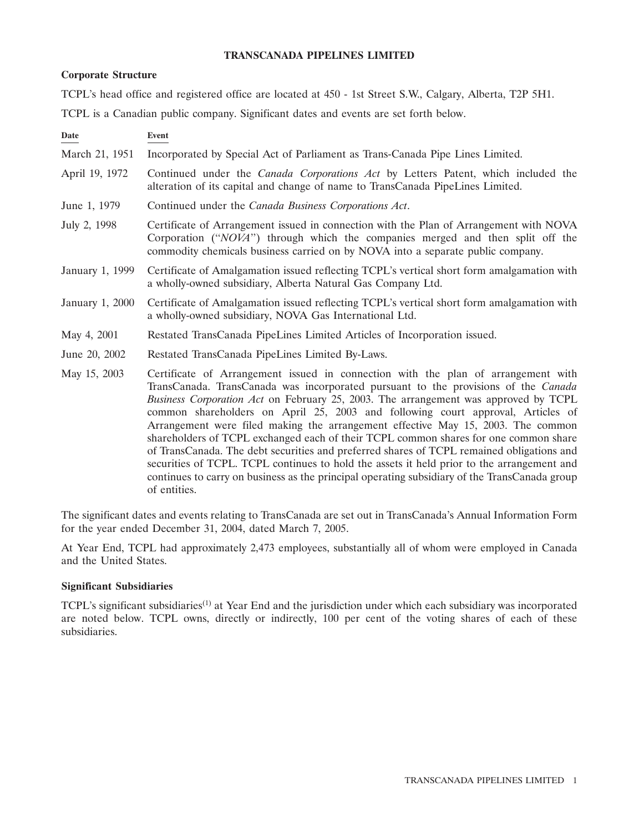# **TRANSCANADA PIPELINES LIMITED**

# **Corporate Structure**

TCPL's head office and registered office are located at 450 - 1st Street S.W., Calgary, Alberta, T2P 5H1.

TCPL is a Canadian public company. Significant dates and events are set forth below.

| Date                   | Event                                                                                                                                                                                                                                                                                                                                                                                                                                                                                                                                                                                                                                                                                                                                                                                                                                     |
|------------------------|-------------------------------------------------------------------------------------------------------------------------------------------------------------------------------------------------------------------------------------------------------------------------------------------------------------------------------------------------------------------------------------------------------------------------------------------------------------------------------------------------------------------------------------------------------------------------------------------------------------------------------------------------------------------------------------------------------------------------------------------------------------------------------------------------------------------------------------------|
| March 21, 1951         | Incorporated by Special Act of Parliament as Trans-Canada Pipe Lines Limited.                                                                                                                                                                                                                                                                                                                                                                                                                                                                                                                                                                                                                                                                                                                                                             |
| April 19, 1972         | Continued under the <i>Canada Corporations Act</i> by Letters Patent, which included the<br>alteration of its capital and change of name to TransCanada PipeLines Limited.                                                                                                                                                                                                                                                                                                                                                                                                                                                                                                                                                                                                                                                                |
| June 1, 1979           | Continued under the Canada Business Corporations Act.                                                                                                                                                                                                                                                                                                                                                                                                                                                                                                                                                                                                                                                                                                                                                                                     |
| July 2, 1998           | Certificate of Arrangement issued in connection with the Plan of Arrangement with NOVA<br>Corporation ("NOVA") through which the companies merged and then split off the<br>commodity chemicals business carried on by NOVA into a separate public company.                                                                                                                                                                                                                                                                                                                                                                                                                                                                                                                                                                               |
| January 1, 1999        | Certificate of Amalgamation issued reflecting TCPL's vertical short form amalgamation with<br>a wholly-owned subsidiary, Alberta Natural Gas Company Ltd.                                                                                                                                                                                                                                                                                                                                                                                                                                                                                                                                                                                                                                                                                 |
| <b>January 1, 2000</b> | Certificate of Amalgamation issued reflecting TCPL's vertical short form amalgamation with<br>a wholly-owned subsidiary, NOVA Gas International Ltd.                                                                                                                                                                                                                                                                                                                                                                                                                                                                                                                                                                                                                                                                                      |
| May 4, 2001            | Restated TransCanada PipeLines Limited Articles of Incorporation issued.                                                                                                                                                                                                                                                                                                                                                                                                                                                                                                                                                                                                                                                                                                                                                                  |
| June 20, 2002          | Restated TransCanada PipeLines Limited By-Laws.                                                                                                                                                                                                                                                                                                                                                                                                                                                                                                                                                                                                                                                                                                                                                                                           |
| May 15, 2003           | Certificate of Arrangement issued in connection with the plan of arrangement with<br>TransCanada. TransCanada was incorporated pursuant to the provisions of the Canada<br>Business Corporation Act on February 25, 2003. The arrangement was approved by TCPL<br>common shareholders on April 25, 2003 and following court approval, Articles of<br>Arrangement were filed making the arrangement effective May 15, 2003. The common<br>shareholders of TCPL exchanged each of their TCPL common shares for one common share<br>of TransCanada. The debt securities and preferred shares of TCPL remained obligations and<br>securities of TCPL. TCPL continues to hold the assets it held prior to the arrangement and<br>continues to carry on business as the principal operating subsidiary of the TransCanada group<br>of entities. |

The significant dates and events relating to TransCanada are set out in TransCanada's Annual Information Form for the year ended December 31, 2004, dated March 7, 2005.

At Year End, TCPL had approximately 2,473 employees, substantially all of whom were employed in Canada and the United States.

# **Significant Subsidiaries**

TCPL's significant subsidiaries<sup>(1)</sup> at Year End and the jurisdiction under which each subsidiary was incorporated are noted below. TCPL owns, directly or indirectly, 100 per cent of the voting shares of each of these subsidiaries.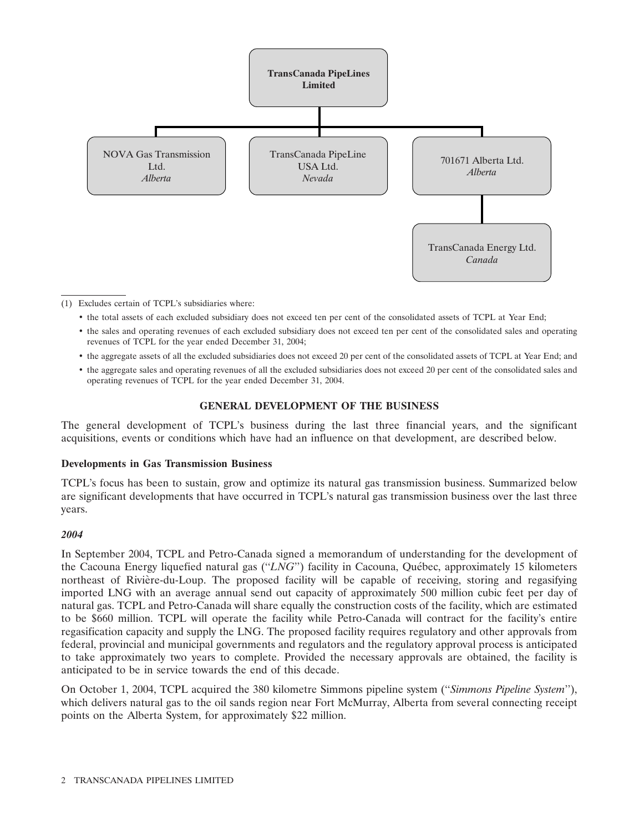

(1) Excludes certain of TCPL's subsidiaries where:

- the total assets of each excluded subsidiary does not exceed ten per cent of the consolidated assets of TCPL at Year End;
- the sales and operating revenues of each excluded subsidiary does not exceed ten per cent of the consolidated sales and operating revenues of TCPL for the year ended December 31, 2004;
- the aggregate assets of all the excluded subsidiaries does not exceed 20 per cent of the consolidated assets of TCPL at Year End; and
- the aggregate sales and operating revenues of all the excluded subsidiaries does not exceed 20 per cent of the consolidated sales and operating revenues of TCPL for the year ended December 31, 2004.

# **GENERAL DEVELOPMENT OF THE BUSINESS**

The general development of TCPL's business during the last three financial years, and the significant acquisitions, events or conditions which have had an influence on that development, are described below.

### **Developments in Gas Transmission Business**

TCPL's focus has been to sustain, grow and optimize its natural gas transmission business. Summarized below are significant developments that have occurred in TCPL's natural gas transmission business over the last three years.

### *2004*

In September 2004, TCPL and Petro-Canada signed a memorandum of understanding for the development of the Cacouna Energy liquefied natural gas (''*LNG*'') facility in Cacouna, Quebec, approximately 15 kilometers ´ northeast of Riviere-du-Loup. The proposed facility will be capable of receiving, storing and regasifying ` imported LNG with an average annual send out capacity of approximately 500 million cubic feet per day of natural gas. TCPL and Petro-Canada will share equally the construction costs of the facility, which are estimated to be \$660 million. TCPL will operate the facility while Petro-Canada will contract for the facility's entire regasification capacity and supply the LNG. The proposed facility requires regulatory and other approvals from federal, provincial and municipal governments and regulators and the regulatory approval process is anticipated to take approximately two years to complete. Provided the necessary approvals are obtained, the facility is anticipated to be in service towards the end of this decade.

On October 1, 2004, TCPL acquired the 380 kilometre Simmons pipeline system (''*Simmons Pipeline System*''), which delivers natural gas to the oil sands region near Fort McMurray, Alberta from several connecting receipt points on the Alberta System, for approximately \$22 million.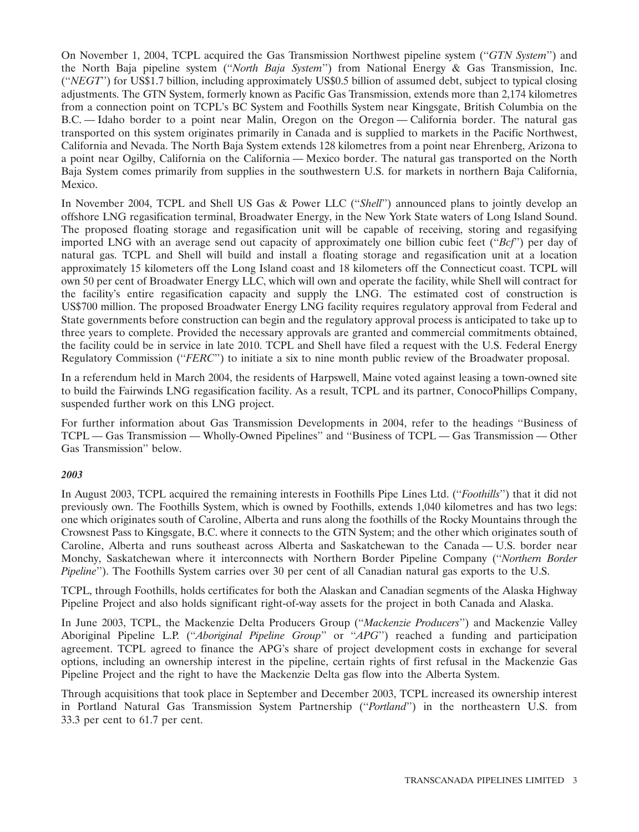On November 1, 2004, TCPL acquired the Gas Transmission Northwest pipeline system (''*GTN System*'') and the North Baja pipeline system (''*North Baja System*'') from National Energy & Gas Transmission, Inc. (''*NEGT*'') for US\$1.7 billion, including approximately US\$0.5 billion of assumed debt, subject to typical closing adjustments. The GTN System, formerly known as Pacific Gas Transmission, extends more than 2,174 kilometres from a connection point on TCPL's BC System and Foothills System near Kingsgate, British Columbia on the B.C. — Idaho border to a point near Malin, Oregon on the Oregon — California border. The natural gas transported on this system originates primarily in Canada and is supplied to markets in the Pacific Northwest, California and Nevada. The North Baja System extends 128 kilometres from a point near Ehrenberg, Arizona to a point near Ogilby, California on the California — Mexico border. The natural gas transported on the North Baja System comes primarily from supplies in the southwestern U.S. for markets in northern Baja California, Mexico.

In November 2004, TCPL and Shell US Gas & Power LLC (''*Shell*'') announced plans to jointly develop an offshore LNG regasification terminal, Broadwater Energy, in the New York State waters of Long Island Sound. The proposed floating storage and regasification unit will be capable of receiving, storing and regasifying imported LNG with an average send out capacity of approximately one billion cubic feet (''*Bcf*'') per day of natural gas. TCPL and Shell will build and install a floating storage and regasification unit at a location approximately 15 kilometers off the Long Island coast and 18 kilometers off the Connecticut coast. TCPL will own 50 per cent of Broadwater Energy LLC, which will own and operate the facility, while Shell will contract for the facility's entire regasification capacity and supply the LNG. The estimated cost of construction is US\$700 million. The proposed Broadwater Energy LNG facility requires regulatory approval from Federal and State governments before construction can begin and the regulatory approval process is anticipated to take up to three years to complete. Provided the necessary approvals are granted and commercial commitments obtained, the facility could be in service in late 2010. TCPL and Shell have filed a request with the U.S. Federal Energy Regulatory Commission (''*FERC*'') to initiate a six to nine month public review of the Broadwater proposal.

In a referendum held in March 2004, the residents of Harpswell, Maine voted against leasing a town-owned site to build the Fairwinds LNG regasification facility. As a result, TCPL and its partner, ConocoPhillips Company, suspended further work on this LNG project.

For further information about Gas Transmission Developments in 2004, refer to the headings ''Business of TCPL — Gas Transmission — Wholly-Owned Pipelines'' and ''Business of TCPL — Gas Transmission — Other Gas Transmission'' below.

# *2003*

In August 2003, TCPL acquired the remaining interests in Foothills Pipe Lines Ltd. (''*Foothills*'') that it did not previously own. The Foothills System, which is owned by Foothills, extends 1,040 kilometres and has two legs: one which originates south of Caroline, Alberta and runs along the foothills of the Rocky Mountains through the Crowsnest Pass to Kingsgate, B.C. where it connects to the GTN System; and the other which originates south of Caroline, Alberta and runs southeast across Alberta and Saskatchewan to the Canada — U.S. border near Monchy, Saskatchewan where it interconnects with Northern Border Pipeline Company (''*Northern Border Pipeline*"). The Foothills System carries over 30 per cent of all Canadian natural gas exports to the U.S.

TCPL, through Foothills, holds certificates for both the Alaskan and Canadian segments of the Alaska Highway Pipeline Project and also holds significant right-of-way assets for the project in both Canada and Alaska.

In June 2003, TCPL, the Mackenzie Delta Producers Group (''*Mackenzie Producers*'') and Mackenzie Valley Aboriginal Pipeline L.P. (''*Aboriginal Pipeline Group*'' or ''*APG*'') reached a funding and participation agreement. TCPL agreed to finance the APG's share of project development costs in exchange for several options, including an ownership interest in the pipeline, certain rights of first refusal in the Mackenzie Gas Pipeline Project and the right to have the Mackenzie Delta gas flow into the Alberta System.

Through acquisitions that took place in September and December 2003, TCPL increased its ownership interest in Portland Natural Gas Transmission System Partnership (''*Portland*'') in the northeastern U.S. from 33.3 per cent to 61.7 per cent.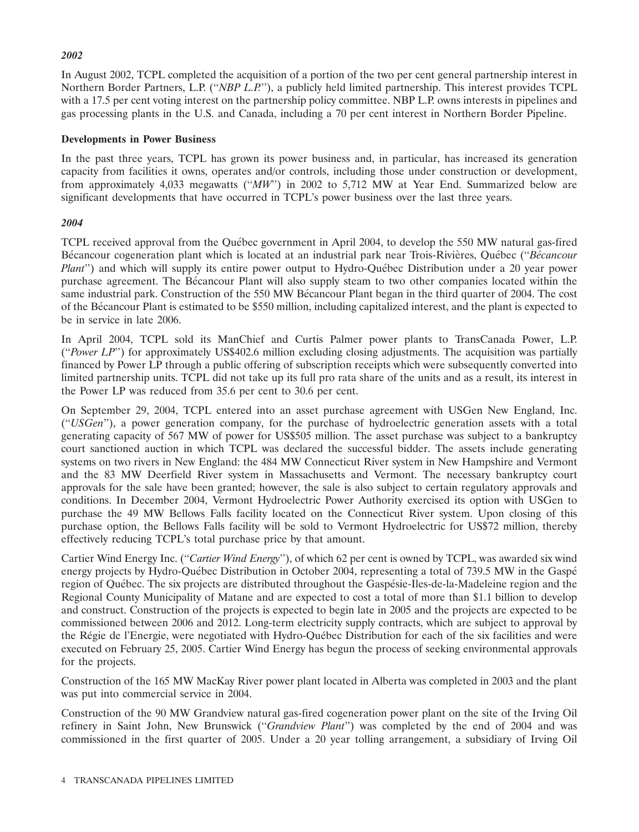# *2002*

In August 2002, TCPL completed the acquisition of a portion of the two per cent general partnership interest in Northern Border Partners, L.P. (''*NBP L.P.*''), a publicly held limited partnership. This interest provides TCPL with a 17.5 per cent voting interest on the partnership policy committee. NBP L.P. owns interests in pipelines and gas processing plants in the U.S. and Canada, including a 70 per cent interest in Northern Border Pipeline.

# **Developments in Power Business**

In the past three years, TCPL has grown its power business and, in particular, has increased its generation capacity from facilities it owns, operates and/or controls, including those under construction or development, from approximately 4,033 megawatts (''*MW*'') in 2002 to 5,712 MW at Year End. Summarized below are significant developments that have occurred in TCPL's power business over the last three years.

# *2004*

TCPL received approval from the Québec government in April 2004, to develop the 550 MW natural gas-fired Bécancour cogeneration plant which is located at an industrial park near Trois-Rivières, Ouébec ("*Bécancour Plant*") and which will supply its entire power output to Hydro-Québec Distribution under a 20 year power purchase agreement. The Bécancour Plant will also supply steam to two other companies located within the same industrial park. Construction of the 550 MW Bécancour Plant began in the third quarter of 2004. The cost of the Becancour Plant is estimated to be \$550 million, including capitalized interest, and the plant is expected to ´ be in service in late 2006.

In April 2004, TCPL sold its ManChief and Curtis Palmer power plants to TransCanada Power, L.P. (''*Power LP*'') for approximately US\$402.6 million excluding closing adjustments. The acquisition was partially financed by Power LP through a public offering of subscription receipts which were subsequently converted into limited partnership units. TCPL did not take up its full pro rata share of the units and as a result, its interest in the Power LP was reduced from 35.6 per cent to 30.6 per cent.

On September 29, 2004, TCPL entered into an asset purchase agreement with USGen New England, Inc. (''*USGen*''), a power generation company, for the purchase of hydroelectric generation assets with a total generating capacity of 567 MW of power for US\$505 million. The asset purchase was subject to a bankruptcy court sanctioned auction in which TCPL was declared the successful bidder. The assets include generating systems on two rivers in New England: the 484 MW Connecticut River system in New Hampshire and Vermont and the 83 MW Deerfield River system in Massachusetts and Vermont. The necessary bankruptcy court approvals for the sale have been granted; however, the sale is also subject to certain regulatory approvals and conditions. In December 2004, Vermont Hydroelectric Power Authority exercised its option with USGen to purchase the 49 MW Bellows Falls facility located on the Connecticut River system. Upon closing of this purchase option, the Bellows Falls facility will be sold to Vermont Hydroelectric for US\$72 million, thereby effectively reducing TCPL's total purchase price by that amount.

Cartier Wind Energy Inc. (''*Cartier Wind Energy*''), of which 62 per cent is owned by TCPL, was awarded six wind energy projects by Hydro-Québec Distribution in October 2004, representing a total of 739.5 MW in the Gaspé region of Québec. The six projects are distributed throughout the Gaspésie-Iles-de-la-Madeleine region and the Regional County Municipality of Matane and are expected to cost a total of more than \$1.1 billion to develop and construct. Construction of the projects is expected to begin late in 2005 and the projects are expected to be commissioned between 2006 and 2012. Long-term electricity supply contracts, which are subject to approval by the Régie de l'Energie, were negotiated with Hydro-Québec Distribution for each of the six facilities and were executed on February 25, 2005. Cartier Wind Energy has begun the process of seeking environmental approvals for the projects.

Construction of the 165 MW MacKay River power plant located in Alberta was completed in 2003 and the plant was put into commercial service in 2004.

Construction of the 90 MW Grandview natural gas-fired cogeneration power plant on the site of the Irving Oil refinery in Saint John, New Brunswick (''*Grandview Plant*'') was completed by the end of 2004 and was commissioned in the first quarter of 2005. Under a 20 year tolling arrangement, a subsidiary of Irving Oil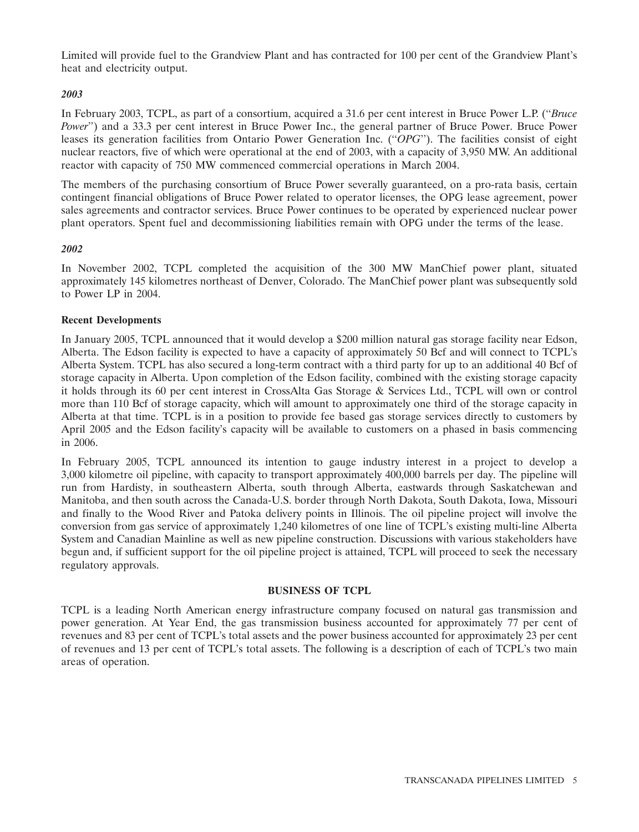Limited will provide fuel to the Grandview Plant and has contracted for 100 per cent of the Grandview Plant's heat and electricity output.

# *2003*

In February 2003, TCPL, as part of a consortium, acquired a 31.6 per cent interest in Bruce Power L.P. (''*Bruce Power*") and a 33.3 per cent interest in Bruce Power Inc., the general partner of Bruce Power. Bruce Power leases its generation facilities from Ontario Power Generation Inc. (''*OPG*''). The facilities consist of eight nuclear reactors, five of which were operational at the end of 2003, with a capacity of 3,950 MW. An additional reactor with capacity of 750 MW commenced commercial operations in March 2004.

The members of the purchasing consortium of Bruce Power severally guaranteed, on a pro-rata basis, certain contingent financial obligations of Bruce Power related to operator licenses, the OPG lease agreement, power sales agreements and contractor services. Bruce Power continues to be operated by experienced nuclear power plant operators. Spent fuel and decommissioning liabilities remain with OPG under the terms of the lease.

# *2002*

In November 2002, TCPL completed the acquisition of the 300 MW ManChief power plant, situated approximately 145 kilometres northeast of Denver, Colorado. The ManChief power plant was subsequently sold to Power LP in 2004.

# **Recent Developments**

In January 2005, TCPL announced that it would develop a \$200 million natural gas storage facility near Edson, Alberta. The Edson facility is expected to have a capacity of approximately 50 Bcf and will connect to TCPL's Alberta System. TCPL has also secured a long-term contract with a third party for up to an additional 40 Bcf of storage capacity in Alberta. Upon completion of the Edson facility, combined with the existing storage capacity it holds through its 60 per cent interest in CrossAlta Gas Storage & Services Ltd., TCPL will own or control more than 110 Bcf of storage capacity, which will amount to approximately one third of the storage capacity in Alberta at that time. TCPL is in a position to provide fee based gas storage services directly to customers by April 2005 and the Edson facility's capacity will be available to customers on a phased in basis commencing in 2006.

In February 2005, TCPL announced its intention to gauge industry interest in a project to develop a 3,000 kilometre oil pipeline, with capacity to transport approximately 400,000 barrels per day. The pipeline will run from Hardisty, in southeastern Alberta, south through Alberta, eastwards through Saskatchewan and Manitoba, and then south across the Canada-U.S. border through North Dakota, South Dakota, Iowa, Missouri and finally to the Wood River and Patoka delivery points in Illinois. The oil pipeline project will involve the conversion from gas service of approximately 1,240 kilometres of one line of TCPL's existing multi-line Alberta System and Canadian Mainline as well as new pipeline construction. Discussions with various stakeholders have begun and, if sufficient support for the oil pipeline project is attained, TCPL will proceed to seek the necessary regulatory approvals.

# **BUSINESS OF TCPL**

TCPL is a leading North American energy infrastructure company focused on natural gas transmission and power generation. At Year End, the gas transmission business accounted for approximately 77 per cent of revenues and 83 per cent of TCPL's total assets and the power business accounted for approximately 23 per cent of revenues and 13 per cent of TCPL's total assets. The following is a description of each of TCPL's two main areas of operation.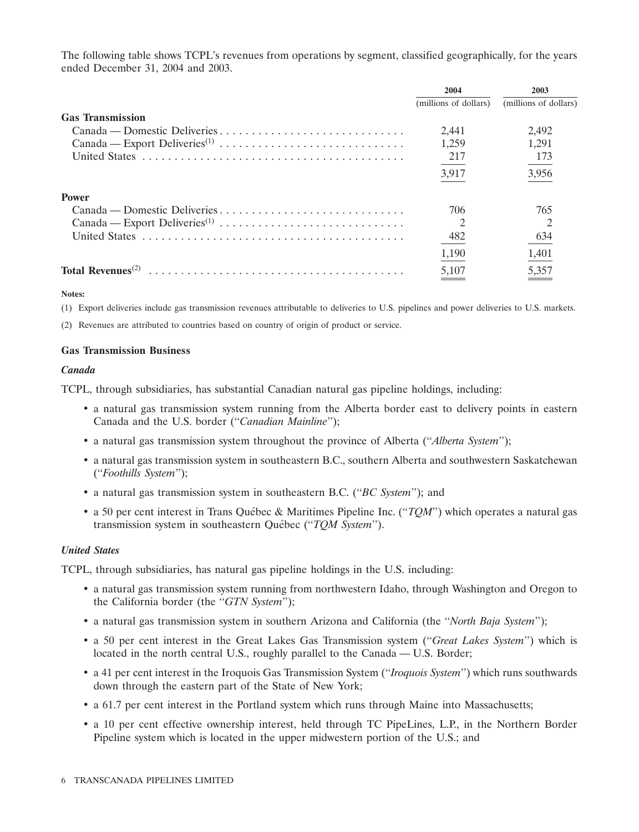The following table shows TCPL's revenues from operations by segment, classified geographically, for the years ended December 31, 2004 and 2003.

|                                            | 2004                  | 2003                  |
|--------------------------------------------|-----------------------|-----------------------|
|                                            | (millions of dollars) | (millions of dollars) |
| <b>Gas Transmission</b>                    |                       |                       |
| Canada — Domestic Deliveries               | 2.441                 | 2,492                 |
|                                            | 1,259                 | 1.291                 |
|                                            | 217                   | 173                   |
|                                            | 3,917                 | 3,956                 |
| <b>Power</b>                               |                       |                       |
| Canada — Domestic Deliveries               | 706                   | 765                   |
|                                            | $\overline{c}$        |                       |
|                                            | 482                   | 634                   |
|                                            | 1,190                 | 1,401                 |
| Total Revenues <sup><math>(2)</math></sup> | 5,107                 | 5,357                 |

### **Notes:**

(1) Export deliveries include gas transmission revenues attributable to deliveries to U.S. pipelines and power deliveries to U.S. markets.

(2) Revenues are attributed to countries based on country of origin of product or service.

### **Gas Transmission Business**

### *Canada*

TCPL, through subsidiaries, has substantial Canadian natural gas pipeline holdings, including:

- a natural gas transmission system running from the Alberta border east to delivery points in eastern Canada and the U.S. border (''*Canadian Mainline*'');
- a natural gas transmission system throughout the province of Alberta (''*Alberta System*'');
- a natural gas transmission system in southeastern B.C., southern Alberta and southwestern Saskatchewan (''*Foothills System*'');
- a natural gas transmission system in southeastern B.C. (''*BC System*''); and
- a 50 per cent interest in Trans Québec & Maritimes Pipeline Inc. ("*TOM*") which operates a natural gas transmission system in southeastern Québec ("*TQM System*").

### *United States*

TCPL, through subsidiaries, has natural gas pipeline holdings in the U.S. including:

- a natural gas transmission system running from northwestern Idaho, through Washington and Oregon to the California border (the ''*GTN System*'');
- a natural gas transmission system in southern Arizona and California (the ''*North Baja System*'');
- a 50 per cent interest in the Great Lakes Gas Transmission system (''*Great Lakes System*'') which is located in the north central U.S., roughly parallel to the Canada — U.S. Border;
- a 41 per cent interest in the Iroquois Gas Transmission System (''*Iroquois System*'') which runs southwards down through the eastern part of the State of New York;
- a 61.7 per cent interest in the Portland system which runs through Maine into Massachusetts;
- a 10 per cent effective ownership interest, held through TC PipeLines, L.P., in the Northern Border Pipeline system which is located in the upper midwestern portion of the U.S.; and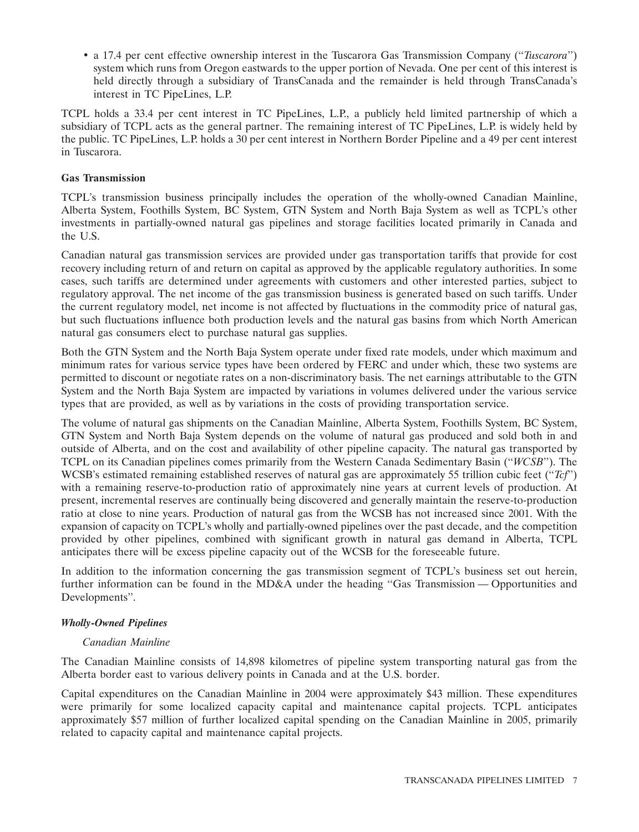• a 17.4 per cent effective ownership interest in the Tuscarora Gas Transmission Company (''*Tuscarora*'') system which runs from Oregon eastwards to the upper portion of Nevada. One per cent of this interest is held directly through a subsidiary of TransCanada and the remainder is held through TransCanada's interest in TC PipeLines, L.P.

TCPL holds a 33.4 per cent interest in TC PipeLines, L.P., a publicly held limited partnership of which a subsidiary of TCPL acts as the general partner. The remaining interest of TC PipeLines, L.P. is widely held by the public. TC PipeLines, L.P. holds a 30 per cent interest in Northern Border Pipeline and a 49 per cent interest in Tuscarora.

# **Gas Transmission**

TCPL's transmission business principally includes the operation of the wholly-owned Canadian Mainline, Alberta System, Foothills System, BC System, GTN System and North Baja System as well as TCPL's other investments in partially-owned natural gas pipelines and storage facilities located primarily in Canada and the U.S.

Canadian natural gas transmission services are provided under gas transportation tariffs that provide for cost recovery including return of and return on capital as approved by the applicable regulatory authorities. In some cases, such tariffs are determined under agreements with customers and other interested parties, subject to regulatory approval. The net income of the gas transmission business is generated based on such tariffs. Under the current regulatory model, net income is not affected by fluctuations in the commodity price of natural gas, but such fluctuations influence both production levels and the natural gas basins from which North American natural gas consumers elect to purchase natural gas supplies.

Both the GTN System and the North Baja System operate under fixed rate models, under which maximum and minimum rates for various service types have been ordered by FERC and under which, these two systems are permitted to discount or negotiate rates on a non-discriminatory basis. The net earnings attributable to the GTN System and the North Baja System are impacted by variations in volumes delivered under the various service types that are provided, as well as by variations in the costs of providing transportation service.

The volume of natural gas shipments on the Canadian Mainline, Alberta System, Foothills System, BC System, GTN System and North Baja System depends on the volume of natural gas produced and sold both in and outside of Alberta, and on the cost and availability of other pipeline capacity. The natural gas transported by TCPL on its Canadian pipelines comes primarily from the Western Canada Sedimentary Basin (''*WCSB*''). The WCSB's estimated remaining established reserves of natural gas are approximately 55 trillion cubic feet (''*Tcf*'') with a remaining reserve-to-production ratio of approximately nine years at current levels of production. At present, incremental reserves are continually being discovered and generally maintain the reserve-to-production ratio at close to nine years. Production of natural gas from the WCSB has not increased since 2001. With the expansion of capacity on TCPL's wholly and partially-owned pipelines over the past decade, and the competition provided by other pipelines, combined with significant growth in natural gas demand in Alberta, TCPL anticipates there will be excess pipeline capacity out of the WCSB for the foreseeable future.

In addition to the information concerning the gas transmission segment of TCPL's business set out herein, further information can be found in the MD&A under the heading "Gas Transmission — Opportunities and Developments''.

# *Wholly-Owned Pipelines*

# *Canadian Mainline*

The Canadian Mainline consists of 14,898 kilometres of pipeline system transporting natural gas from the Alberta border east to various delivery points in Canada and at the U.S. border.

Capital expenditures on the Canadian Mainline in 2004 were approximately \$43 million. These expenditures were primarily for some localized capacity capital and maintenance capital projects. TCPL anticipates approximately \$57 million of further localized capital spending on the Canadian Mainline in 2005, primarily related to capacity capital and maintenance capital projects.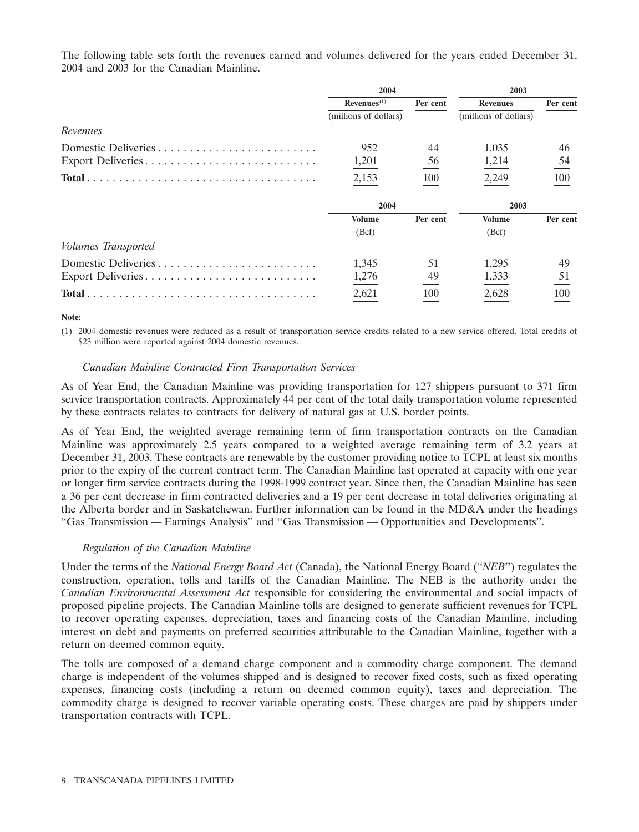The following table sets forth the revenues earned and volumes delivered for the years ended December 31, 2004 and 2003 for the Canadian Mainline.

|                            | 2004                    |          | 2003                  |          |  |
|----------------------------|-------------------------|----------|-----------------------|----------|--|
|                            | Revenues <sup>(1)</sup> | Per cent | <b>Revenues</b>       | Per cent |  |
|                            | (millions of dollars)   |          | (millions of dollars) |          |  |
| Revenues                   |                         |          |                       |          |  |
| Domestic Deliveries        | 952                     | 44       | 1,035                 | 46       |  |
| Export Deliveries          | 1,201                   | 56       | 1,214                 | 54       |  |
|                            | 2,153                   | 100      | 2,249                 | 100      |  |
|                            | 2004                    |          | 2003                  |          |  |
|                            | <b>Volume</b>           | Per cent | <b>Volume</b>         | Per cent |  |
|                            | (Bcf)                   |          | (Bcf)                 |          |  |
| <i>Volumes Transported</i> |                         |          |                       |          |  |
| Domestic Deliveries        | 1,345                   | 51       | 1,295                 | 49       |  |
| Export Deliveries          | 1,276                   | 49       | 1,333                 | 51       |  |
|                            | 2,621                   | 100      | 2,628                 | 100      |  |

**Note:**

(1) 2004 domestic revenues were reduced as a result of transportation service credits related to a new service offered. Total credits of \$23 million were reported against 2004 domestic revenues.

# *Canadian Mainline Contracted Firm Transportation Services*

As of Year End, the Canadian Mainline was providing transportation for 127 shippers pursuant to 371 firm service transportation contracts. Approximately 44 per cent of the total daily transportation volume represented by these contracts relates to contracts for delivery of natural gas at U.S. border points.

As of Year End, the weighted average remaining term of firm transportation contracts on the Canadian Mainline was approximately 2.5 years compared to a weighted average remaining term of 3.2 years at December 31, 2003. These contracts are renewable by the customer providing notice to TCPL at least six months prior to the expiry of the current contract term. The Canadian Mainline last operated at capacity with one year or longer firm service contracts during the 1998-1999 contract year. Since then, the Canadian Mainline has seen a 36 per cent decrease in firm contracted deliveries and a 19 per cent decrease in total deliveries originating at the Alberta border and in Saskatchewan. Further information can be found in the MD&A under the headings ''Gas Transmission — Earnings Analysis'' and ''Gas Transmission — Opportunities and Developments''.

# *Regulation of the Canadian Mainline*

Under the terms of the *National Energy Board Act* (Canada), the National Energy Board (''*NEB*'') regulates the construction, operation, tolls and tariffs of the Canadian Mainline. The NEB is the authority under the *Canadian Environmental Assessment Act* responsible for considering the environmental and social impacts of proposed pipeline projects. The Canadian Mainline tolls are designed to generate sufficient revenues for TCPL to recover operating expenses, depreciation, taxes and financing costs of the Canadian Mainline, including interest on debt and payments on preferred securities attributable to the Canadian Mainline, together with a return on deemed common equity.

The tolls are composed of a demand charge component and a commodity charge component. The demand charge is independent of the volumes shipped and is designed to recover fixed costs, such as fixed operating expenses, financing costs (including a return on deemed common equity), taxes and depreciation. The commodity charge is designed to recover variable operating costs. These charges are paid by shippers under transportation contracts with TCPL.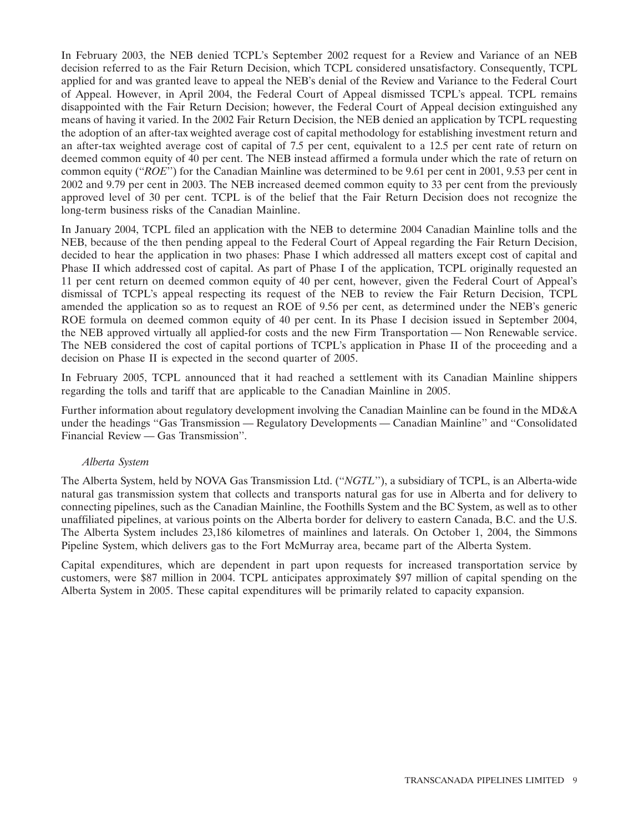In February 2003, the NEB denied TCPL's September 2002 request for a Review and Variance of an NEB decision referred to as the Fair Return Decision, which TCPL considered unsatisfactory. Consequently, TCPL applied for and was granted leave to appeal the NEB's denial of the Review and Variance to the Federal Court of Appeal. However, in April 2004, the Federal Court of Appeal dismissed TCPL's appeal. TCPL remains disappointed with the Fair Return Decision; however, the Federal Court of Appeal decision extinguished any means of having it varied. In the 2002 Fair Return Decision, the NEB denied an application by TCPL requesting the adoption of an after-tax weighted average cost of capital methodology for establishing investment return and an after-tax weighted average cost of capital of 7.5 per cent, equivalent to a 12.5 per cent rate of return on deemed common equity of 40 per cent. The NEB instead affirmed a formula under which the rate of return on common equity (''*ROE*'') for the Canadian Mainline was determined to be 9.61 per cent in 2001, 9.53 per cent in 2002 and 9.79 per cent in 2003. The NEB increased deemed common equity to 33 per cent from the previously approved level of 30 per cent. TCPL is of the belief that the Fair Return Decision does not recognize the long-term business risks of the Canadian Mainline.

In January 2004, TCPL filed an application with the NEB to determine 2004 Canadian Mainline tolls and the NEB, because of the then pending appeal to the Federal Court of Appeal regarding the Fair Return Decision, decided to hear the application in two phases: Phase I which addressed all matters except cost of capital and Phase II which addressed cost of capital. As part of Phase I of the application, TCPL originally requested an 11 per cent return on deemed common equity of 40 per cent, however, given the Federal Court of Appeal's dismissal of TCPL's appeal respecting its request of the NEB to review the Fair Return Decision, TCPL amended the application so as to request an ROE of 9.56 per cent, as determined under the NEB's generic ROE formula on deemed common equity of 40 per cent. In its Phase I decision issued in September 2004, the NEB approved virtually all applied-for costs and the new Firm Transportation — Non Renewable service. The NEB considered the cost of capital portions of TCPL's application in Phase II of the proceeding and a decision on Phase II is expected in the second quarter of 2005.

In February 2005, TCPL announced that it had reached a settlement with its Canadian Mainline shippers regarding the tolls and tariff that are applicable to the Canadian Mainline in 2005.

Further information about regulatory development involving the Canadian Mainline can be found in the MD&A under the headings ''Gas Transmission — Regulatory Developments — Canadian Mainline'' and ''Consolidated Financial Review — Gas Transmission''.

# *Alberta System*

The Alberta System, held by NOVA Gas Transmission Ltd. (''*NGTL*''), a subsidiary of TCPL, is an Alberta-wide natural gas transmission system that collects and transports natural gas for use in Alberta and for delivery to connecting pipelines, such as the Canadian Mainline, the Foothills System and the BC System, as well as to other unaffiliated pipelines, at various points on the Alberta border for delivery to eastern Canada, B.C. and the U.S. The Alberta System includes 23,186 kilometres of mainlines and laterals. On October 1, 2004, the Simmons Pipeline System, which delivers gas to the Fort McMurray area, became part of the Alberta System.

Capital expenditures, which are dependent in part upon requests for increased transportation service by customers, were \$87 million in 2004. TCPL anticipates approximately \$97 million of capital spending on the Alberta System in 2005. These capital expenditures will be primarily related to capacity expansion.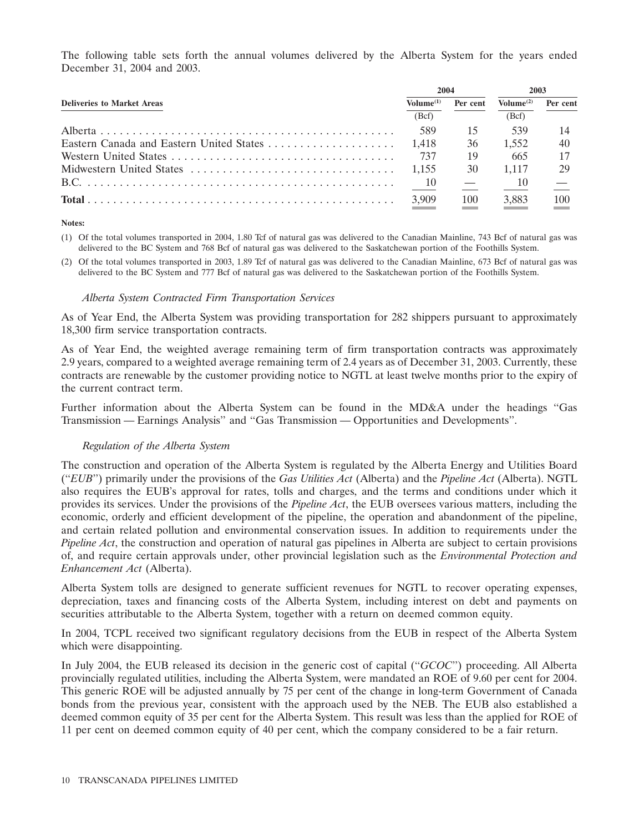The following table sets forth the annual volumes delivered by the Alberta System for the years ended December 31, 2004 and 2003.

|                                          |                         | 2004     |                       | 2003     |  |
|------------------------------------------|-------------------------|----------|-----------------------|----------|--|
| <b>Deliveries to Market Areas</b>        | $\mathbf{Volume^{(1)}}$ | Per cent | Volume <sup>(2)</sup> | Per cent |  |
|                                          | (Bcf)                   |          | (Bcf)                 |          |  |
|                                          | 589                     | 15       | 539                   |          |  |
| Eastern Canada and Eastern United States | 1.418                   | 36       | 1.552                 | 40       |  |
|                                          | 737                     | 19       | 665                   |          |  |
|                                          | 1.155                   | 30       | 1.117                 | 29       |  |
|                                          | $\sqrt{10}$             |          | -10                   |          |  |
|                                          | 3,909                   | 100      | 3,883                 | 100      |  |

#### **Notes:**

- (1) Of the total volumes transported in 2004, 1.80 Tcf of natural gas was delivered to the Canadian Mainline, 743 Bcf of natural gas was delivered to the BC System and 768 Bcf of natural gas was delivered to the Saskatchewan portion of the Foothills System.
- (2) Of the total volumes transported in 2003, 1.89 Tcf of natural gas was delivered to the Canadian Mainline, 673 Bcf of natural gas was delivered to the BC System and 777 Bcf of natural gas was delivered to the Saskatchewan portion of the Foothills System.

### *Alberta System Contracted Firm Transportation Services*

As of Year End, the Alberta System was providing transportation for 282 shippers pursuant to approximately 18,300 firm service transportation contracts.

As of Year End, the weighted average remaining term of firm transportation contracts was approximately 2.9 years, compared to a weighted average remaining term of 2.4 years as of December 31, 2003. Currently, these contracts are renewable by the customer providing notice to NGTL at least twelve months prior to the expiry of the current contract term.

Further information about the Alberta System can be found in the MD&A under the headings ''Gas Transmission — Earnings Analysis'' and ''Gas Transmission — Opportunities and Developments''.

# *Regulation of the Alberta System*

The construction and operation of the Alberta System is regulated by the Alberta Energy and Utilities Board (''*EUB*'') primarily under the provisions of the *Gas Utilities Act* (Alberta) and the *Pipeline Act* (Alberta). NGTL also requires the EUB's approval for rates, tolls and charges, and the terms and conditions under which it provides its services. Under the provisions of the *Pipeline Act*, the EUB oversees various matters, including the economic, orderly and efficient development of the pipeline, the operation and abandonment of the pipeline, and certain related pollution and environmental conservation issues. In addition to requirements under the *Pipeline Act*, the construction and operation of natural gas pipelines in Alberta are subject to certain provisions of, and require certain approvals under, other provincial legislation such as the *Environmental Protection and Enhancement Act* (Alberta).

Alberta System tolls are designed to generate sufficient revenues for NGTL to recover operating expenses, depreciation, taxes and financing costs of the Alberta System, including interest on debt and payments on securities attributable to the Alberta System, together with a return on deemed common equity.

In 2004, TCPL received two significant regulatory decisions from the EUB in respect of the Alberta System which were disappointing.

In July 2004, the EUB released its decision in the generic cost of capital (''*GCOC*'') proceeding. All Alberta provincially regulated utilities, including the Alberta System, were mandated an ROE of 9.60 per cent for 2004. This generic ROE will be adjusted annually by 75 per cent of the change in long-term Government of Canada bonds from the previous year, consistent with the approach used by the NEB. The EUB also established a deemed common equity of 35 per cent for the Alberta System. This result was less than the applied for ROE of 11 per cent on deemed common equity of 40 per cent, which the company considered to be a fair return.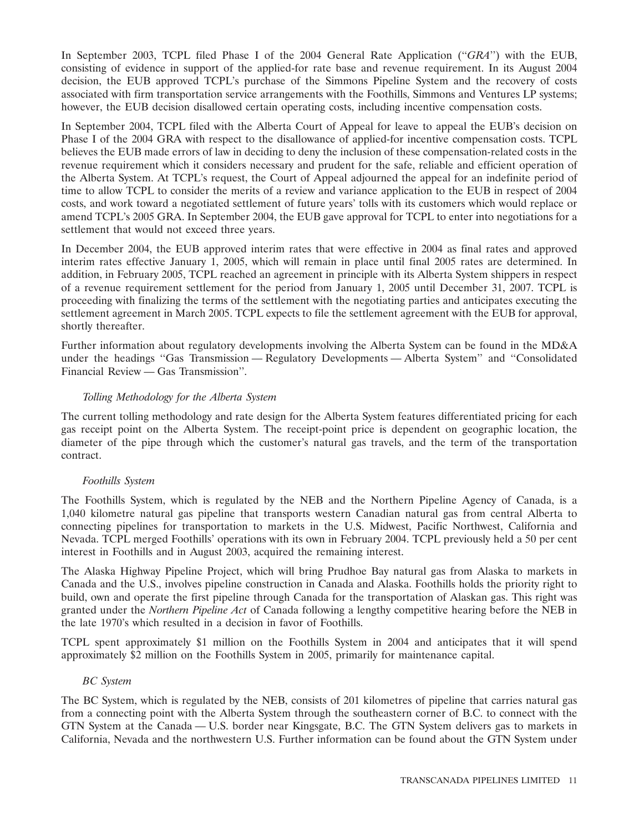In September 2003, TCPL filed Phase I of the 2004 General Rate Application (''*GRA*'') with the EUB, consisting of evidence in support of the applied-for rate base and revenue requirement. In its August 2004 decision, the EUB approved TCPL's purchase of the Simmons Pipeline System and the recovery of costs associated with firm transportation service arrangements with the Foothills, Simmons and Ventures LP systems; however, the EUB decision disallowed certain operating costs, including incentive compensation costs.

In September 2004, TCPL filed with the Alberta Court of Appeal for leave to appeal the EUB's decision on Phase I of the 2004 GRA with respect to the disallowance of applied-for incentive compensation costs. TCPL believes the EUB made errors of law in deciding to deny the inclusion of these compensation-related costs in the revenue requirement which it considers necessary and prudent for the safe, reliable and efficient operation of the Alberta System. At TCPL's request, the Court of Appeal adjourned the appeal for an indefinite period of time to allow TCPL to consider the merits of a review and variance application to the EUB in respect of 2004 costs, and work toward a negotiated settlement of future years' tolls with its customers which would replace or amend TCPL's 2005 GRA. In September 2004, the EUB gave approval for TCPL to enter into negotiations for a settlement that would not exceed three years.

In December 2004, the EUB approved interim rates that were effective in 2004 as final rates and approved interim rates effective January 1, 2005, which will remain in place until final 2005 rates are determined. In addition, in February 2005, TCPL reached an agreement in principle with its Alberta System shippers in respect of a revenue requirement settlement for the period from January 1, 2005 until December 31, 2007. TCPL is proceeding with finalizing the terms of the settlement with the negotiating parties and anticipates executing the settlement agreement in March 2005. TCPL expects to file the settlement agreement with the EUB for approval, shortly thereafter.

Further information about regulatory developments involving the Alberta System can be found in the MD&A under the headings ''Gas Transmission — Regulatory Developments — Alberta System'' and ''Consolidated Financial Review — Gas Transmission''.

# *Tolling Methodology for the Alberta System*

The current tolling methodology and rate design for the Alberta System features differentiated pricing for each gas receipt point on the Alberta System. The receipt-point price is dependent on geographic location, the diameter of the pipe through which the customer's natural gas travels, and the term of the transportation contract.

# *Foothills System*

The Foothills System, which is regulated by the NEB and the Northern Pipeline Agency of Canada, is a 1,040 kilometre natural gas pipeline that transports western Canadian natural gas from central Alberta to connecting pipelines for transportation to markets in the U.S. Midwest, Pacific Northwest, California and Nevada. TCPL merged Foothills' operations with its own in February 2004. TCPL previously held a 50 per cent interest in Foothills and in August 2003, acquired the remaining interest.

The Alaska Highway Pipeline Project, which will bring Prudhoe Bay natural gas from Alaska to markets in Canada and the U.S., involves pipeline construction in Canada and Alaska. Foothills holds the priority right to build, own and operate the first pipeline through Canada for the transportation of Alaskan gas. This right was granted under the *Northern Pipeline Act* of Canada following a lengthy competitive hearing before the NEB in the late 1970's which resulted in a decision in favor of Foothills.

TCPL spent approximately \$1 million on the Foothills System in 2004 and anticipates that it will spend approximately \$2 million on the Foothills System in 2005, primarily for maintenance capital.

# *BC System*

The BC System, which is regulated by the NEB, consists of 201 kilometres of pipeline that carries natural gas from a connecting point with the Alberta System through the southeastern corner of B.C. to connect with the GTN System at the Canada — U.S. border near Kingsgate, B.C. The GTN System delivers gas to markets in California, Nevada and the northwestern U.S. Further information can be found about the GTN System under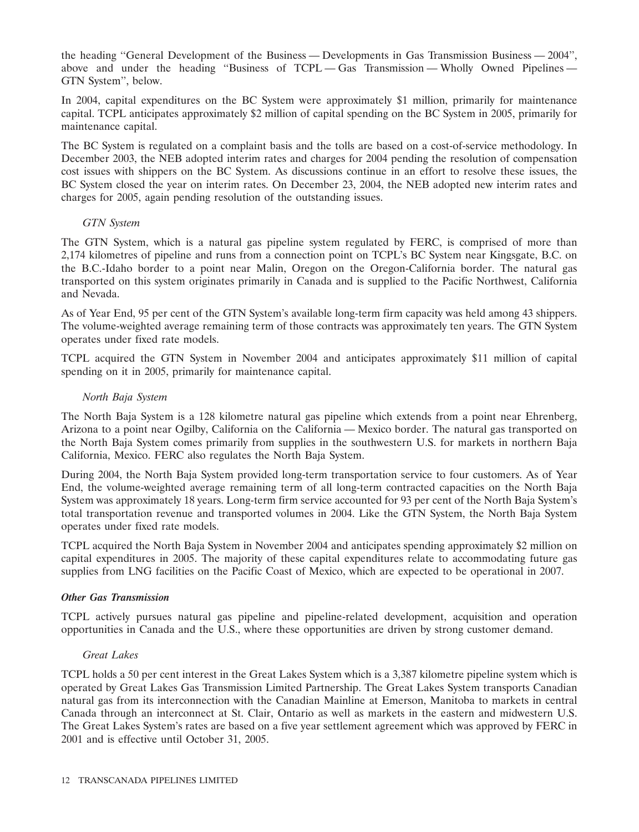the heading ''General Development of the Business — Developments in Gas Transmission Business — 2004'', above and under the heading ''Business of TCPL — Gas Transmission — Wholly Owned Pipelines — GTN System'', below.

In 2004, capital expenditures on the BC System were approximately \$1 million, primarily for maintenance capital. TCPL anticipates approximately \$2 million of capital spending on the BC System in 2005, primarily for maintenance capital.

The BC System is regulated on a complaint basis and the tolls are based on a cost-of-service methodology. In December 2003, the NEB adopted interim rates and charges for 2004 pending the resolution of compensation cost issues with shippers on the BC System. As discussions continue in an effort to resolve these issues, the BC System closed the year on interim rates. On December 23, 2004, the NEB adopted new interim rates and charges for 2005, again pending resolution of the outstanding issues.

# *GTN System*

The GTN System, which is a natural gas pipeline system regulated by FERC, is comprised of more than 2,174 kilometres of pipeline and runs from a connection point on TCPL's BC System near Kingsgate, B.C. on the B.C.-Idaho border to a point near Malin, Oregon on the Oregon-California border. The natural gas transported on this system originates primarily in Canada and is supplied to the Pacific Northwest, California and Nevada.

As of Year End, 95 per cent of the GTN System's available long-term firm capacity was held among 43 shippers. The volume-weighted average remaining term of those contracts was approximately ten years. The GTN System operates under fixed rate models.

TCPL acquired the GTN System in November 2004 and anticipates approximately \$11 million of capital spending on it in 2005, primarily for maintenance capital.

### *North Baja System*

The North Baja System is a 128 kilometre natural gas pipeline which extends from a point near Ehrenberg, Arizona to a point near Ogilby, California on the California — Mexico border. The natural gas transported on the North Baja System comes primarily from supplies in the southwestern U.S. for markets in northern Baja California, Mexico. FERC also regulates the North Baja System.

During 2004, the North Baja System provided long-term transportation service to four customers. As of Year End, the volume-weighted average remaining term of all long-term contracted capacities on the North Baja System was approximately 18 years. Long-term firm service accounted for 93 per cent of the North Baja System's total transportation revenue and transported volumes in 2004. Like the GTN System, the North Baja System operates under fixed rate models.

TCPL acquired the North Baja System in November 2004 and anticipates spending approximately \$2 million on capital expenditures in 2005. The majority of these capital expenditures relate to accommodating future gas supplies from LNG facilities on the Pacific Coast of Mexico, which are expected to be operational in 2007.

### *Other Gas Transmission*

TCPL actively pursues natural gas pipeline and pipeline-related development, acquisition and operation opportunities in Canada and the U.S., where these opportunities are driven by strong customer demand.

### *Great Lakes*

TCPL holds a 50 per cent interest in the Great Lakes System which is a 3,387 kilometre pipeline system which is operated by Great Lakes Gas Transmission Limited Partnership. The Great Lakes System transports Canadian natural gas from its interconnection with the Canadian Mainline at Emerson, Manitoba to markets in central Canada through an interconnect at St. Clair, Ontario as well as markets in the eastern and midwestern U.S. The Great Lakes System's rates are based on a five year settlement agreement which was approved by FERC in 2001 and is effective until October 31, 2005.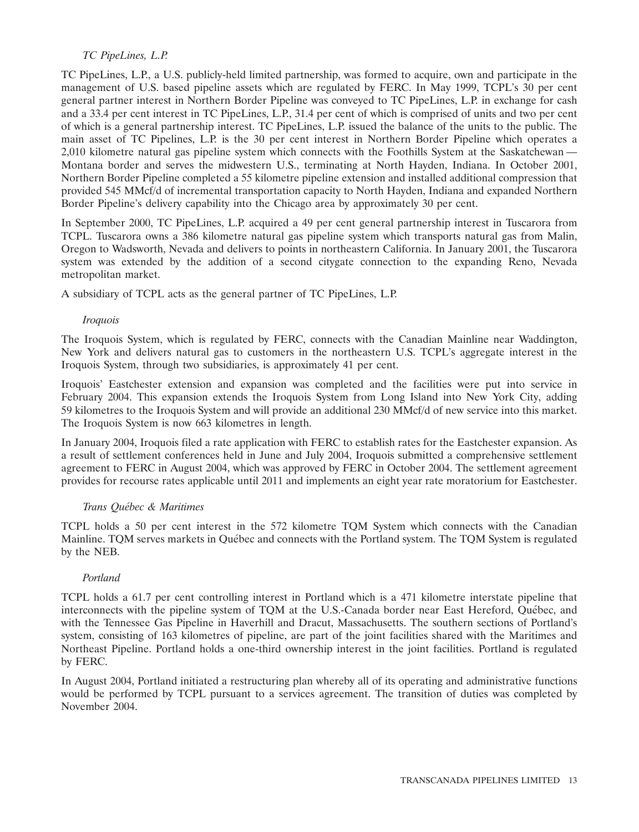# *TC PipeLines, L.P.*

TC PipeLines, L.P., a U.S. publicly-held limited partnership, was formed to acquire, own and participate in the management of U.S. based pipeline assets which are regulated by FERC. In May 1999, TCPL's 30 per cent general partner interest in Northern Border Pipeline was conveyed to TC PipeLines, L.P. in exchange for cash and a 33.4 per cent interest in TC PipeLines, L.P., 31.4 per cent of which is comprised of units and two per cent of which is a general partnership interest. TC PipeLines, L.P. issued the balance of the units to the public. The main asset of TC Pipelines, L.P. is the 30 per cent interest in Northern Border Pipeline which operates a 2,010 kilometre natural gas pipeline system which connects with the Foothills System at the Saskatchewan — Montana border and serves the midwestern U.S., terminating at North Hayden, Indiana. In October 2001, Northern Border Pipeline completed a 55 kilometre pipeline extension and installed additional compression that provided 545 MMcf/d of incremental transportation capacity to North Hayden, Indiana and expanded Northern Border Pipeline's delivery capability into the Chicago area by approximately 30 per cent.

In September 2000, TC PipeLines, L.P. acquired a 49 per cent general partnership interest in Tuscarora from TCPL. Tuscarora owns a 386 kilometre natural gas pipeline system which transports natural gas from Malin, Oregon to Wadsworth, Nevada and delivers to points in northeastern California. In January 2001, the Tuscarora system was extended by the addition of a second citygate connection to the expanding Reno, Nevada metropolitan market.

A subsidiary of TCPL acts as the general partner of TC PipeLines, L.P.

# *Iroquois*

The Iroquois System, which is regulated by FERC, connects with the Canadian Mainline near Waddington, New York and delivers natural gas to customers in the northeastern U.S. TCPL's aggregate interest in the Iroquois System, through two subsidiaries, is approximately 41 per cent.

Iroquois' Eastchester extension and expansion was completed and the facilities were put into service in February 2004. This expansion extends the Iroquois System from Long Island into New York City, adding 59 kilometres to the Iroquois System and will provide an additional 230 MMcf/d of new service into this market. The Iroquois System is now 663 kilometres in length.

In January 2004, Iroquois filed a rate application with FERC to establish rates for the Eastchester expansion. As a result of settlement conferences held in June and July 2004, Iroquois submitted a comprehensive settlement agreement to FERC in August 2004, which was approved by FERC in October 2004. The settlement agreement provides for recourse rates applicable until 2011 and implements an eight year rate moratorium for Eastchester.

# *Trans Qu´ebec & Maritimes*

TCPL holds a 50 per cent interest in the 572 kilometre TQM System which connects with the Canadian Mainline. TQM serves markets in Québec and connects with the Portland system. The TQM System is regulated by the NEB.

# *Portland*

TCPL holds a 61.7 per cent controlling interest in Portland which is a 471 kilometre interstate pipeline that interconnects with the pipeline system of TQM at the U.S.-Canada border near East Hereford, Quebec, and ´ with the Tennessee Gas Pipeline in Haverhill and Dracut, Massachusetts. The southern sections of Portland's system, consisting of 163 kilometres of pipeline, are part of the joint facilities shared with the Maritimes and Northeast Pipeline. Portland holds a one-third ownership interest in the joint facilities. Portland is regulated by FERC.

In August 2004, Portland initiated a restructuring plan whereby all of its operating and administrative functions would be performed by TCPL pursuant to a services agreement. The transition of duties was completed by November 2004.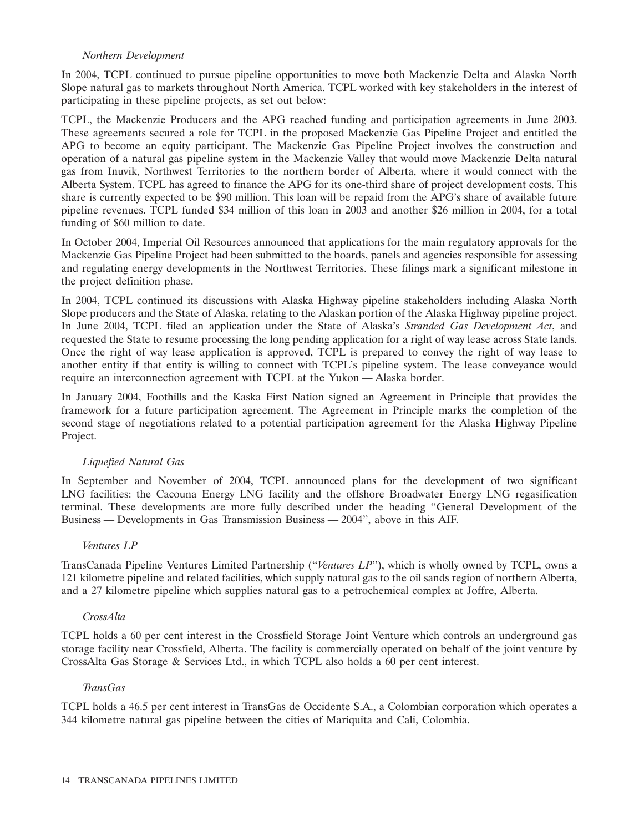# *Northern Development*

In 2004, TCPL continued to pursue pipeline opportunities to move both Mackenzie Delta and Alaska North Slope natural gas to markets throughout North America. TCPL worked with key stakeholders in the interest of participating in these pipeline projects, as set out below:

TCPL, the Mackenzie Producers and the APG reached funding and participation agreements in June 2003. These agreements secured a role for TCPL in the proposed Mackenzie Gas Pipeline Project and entitled the APG to become an equity participant. The Mackenzie Gas Pipeline Project involves the construction and operation of a natural gas pipeline system in the Mackenzie Valley that would move Mackenzie Delta natural gas from Inuvik, Northwest Territories to the northern border of Alberta, where it would connect with the Alberta System. TCPL has agreed to finance the APG for its one-third share of project development costs. This share is currently expected to be \$90 million. This loan will be repaid from the APG's share of available future pipeline revenues. TCPL funded \$34 million of this loan in 2003 and another \$26 million in 2004, for a total funding of \$60 million to date.

In October 2004, Imperial Oil Resources announced that applications for the main regulatory approvals for the Mackenzie Gas Pipeline Project had been submitted to the boards, panels and agencies responsible for assessing and regulating energy developments in the Northwest Territories. These filings mark a significant milestone in the project definition phase.

In 2004, TCPL continued its discussions with Alaska Highway pipeline stakeholders including Alaska North Slope producers and the State of Alaska, relating to the Alaskan portion of the Alaska Highway pipeline project. In June 2004, TCPL filed an application under the State of Alaska's *Stranded Gas Development Act*, and requested the State to resume processing the long pending application for a right of way lease across State lands. Once the right of way lease application is approved, TCPL is prepared to convey the right of way lease to another entity if that entity is willing to connect with TCPL's pipeline system. The lease conveyance would require an interconnection agreement with TCPL at the Yukon — Alaska border.

In January 2004, Foothills and the Kaska First Nation signed an Agreement in Principle that provides the framework for a future participation agreement. The Agreement in Principle marks the completion of the second stage of negotiations related to a potential participation agreement for the Alaska Highway Pipeline Project.

# *Liquefied Natural Gas*

In September and November of 2004, TCPL announced plans for the development of two significant LNG facilities: the Cacouna Energy LNG facility and the offshore Broadwater Energy LNG regasification terminal. These developments are more fully described under the heading ''General Development of the Business — Developments in Gas Transmission Business — 2004'', above in this AIF.

# *Ventures LP*

TransCanada Pipeline Ventures Limited Partnership (''*Ventures LP*''), which is wholly owned by TCPL, owns a 121 kilometre pipeline and related facilities, which supply natural gas to the oil sands region of northern Alberta, and a 27 kilometre pipeline which supplies natural gas to a petrochemical complex at Joffre, Alberta.

# *CrossAlta*

TCPL holds a 60 per cent interest in the Crossfield Storage Joint Venture which controls an underground gas storage facility near Crossfield, Alberta. The facility is commercially operated on behalf of the joint venture by CrossAlta Gas Storage & Services Ltd., in which TCPL also holds a 60 per cent interest.

# *TransGas*

TCPL holds a 46.5 per cent interest in TransGas de Occidente S.A., a Colombian corporation which operates a 344 kilometre natural gas pipeline between the cities of Mariquita and Cali, Colombia.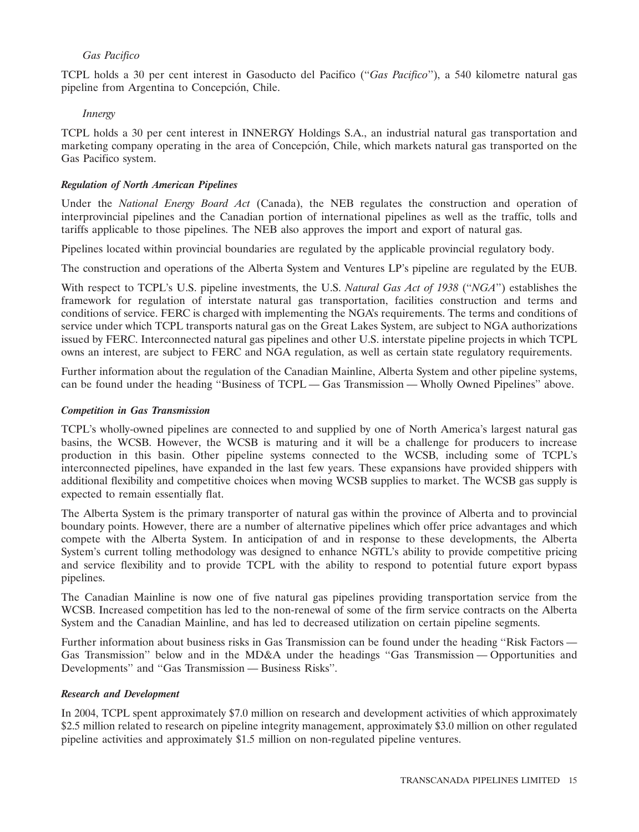# *Gas Pacifico*

TCPL holds a 30 per cent interest in Gasoducto del Pacifico (''*Gas Pacifico*''), a 540 kilometre natural gas pipeline from Argentina to Concepción, Chile.

### *Innergy*

TCPL holds a 30 per cent interest in INNERGY Holdings S.A., an industrial natural gas transportation and marketing company operating in the area of Concepción, Chile, which markets natural gas transported on the Gas Pacifico system.

### *Regulation of North American Pipelines*

Under the *National Energy Board Act* (Canada), the NEB regulates the construction and operation of interprovincial pipelines and the Canadian portion of international pipelines as well as the traffic, tolls and tariffs applicable to those pipelines. The NEB also approves the import and export of natural gas.

Pipelines located within provincial boundaries are regulated by the applicable provincial regulatory body.

The construction and operations of the Alberta System and Ventures LP's pipeline are regulated by the EUB.

With respect to TCPL's U.S. pipeline investments, the U.S. *Natural Gas Act of 1938* (''*NGA*'') establishes the framework for regulation of interstate natural gas transportation, facilities construction and terms and conditions of service. FERC is charged with implementing the NGA's requirements. The terms and conditions of service under which TCPL transports natural gas on the Great Lakes System, are subject to NGA authorizations issued by FERC. Interconnected natural gas pipelines and other U.S. interstate pipeline projects in which TCPL owns an interest, are subject to FERC and NGA regulation, as well as certain state regulatory requirements.

Further information about the regulation of the Canadian Mainline, Alberta System and other pipeline systems, can be found under the heading ''Business of TCPL — Gas Transmission — Wholly Owned Pipelines'' above.

### *Competition in Gas Transmission*

TCPL's wholly-owned pipelines are connected to and supplied by one of North America's largest natural gas basins, the WCSB. However, the WCSB is maturing and it will be a challenge for producers to increase production in this basin. Other pipeline systems connected to the WCSB, including some of TCPL's interconnected pipelines, have expanded in the last few years. These expansions have provided shippers with additional flexibility and competitive choices when moving WCSB supplies to market. The WCSB gas supply is expected to remain essentially flat.

The Alberta System is the primary transporter of natural gas within the province of Alberta and to provincial boundary points. However, there are a number of alternative pipelines which offer price advantages and which compete with the Alberta System. In anticipation of and in response to these developments, the Alberta System's current tolling methodology was designed to enhance NGTL's ability to provide competitive pricing and service flexibility and to provide TCPL with the ability to respond to potential future export bypass pipelines.

The Canadian Mainline is now one of five natural gas pipelines providing transportation service from the WCSB. Increased competition has led to the non-renewal of some of the firm service contracts on the Alberta System and the Canadian Mainline, and has led to decreased utilization on certain pipeline segments.

Further information about business risks in Gas Transmission can be found under the heading "Risk Factors — Gas Transmission'' below and in the MD&A under the headings ''Gas Transmission — Opportunities and Developments'' and ''Gas Transmission — Business Risks''.

# *Research and Development*

In 2004, TCPL spent approximately \$7.0 million on research and development activities of which approximately \$2.5 million related to research on pipeline integrity management, approximately \$3.0 million on other regulated pipeline activities and approximately \$1.5 million on non-regulated pipeline ventures.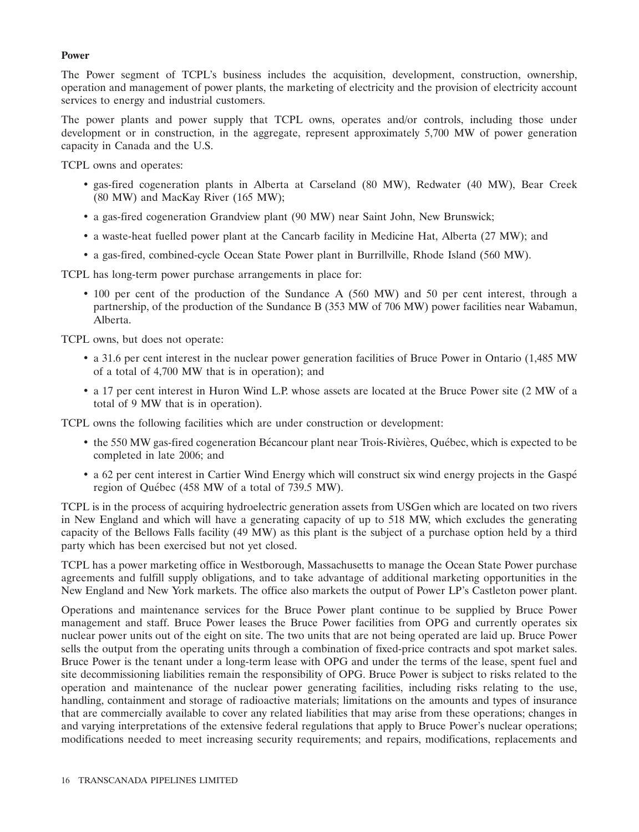### **Power**

The Power segment of TCPL's business includes the acquisition, development, construction, ownership, operation and management of power plants, the marketing of electricity and the provision of electricity account services to energy and industrial customers.

The power plants and power supply that TCPL owns, operates and/or controls, including those under development or in construction, in the aggregate, represent approximately 5,700 MW of power generation capacity in Canada and the U.S.

TCPL owns and operates:

- gas-fired cogeneration plants in Alberta at Carseland (80 MW), Redwater (40 MW), Bear Creek (80 MW) and MacKay River (165 MW);
- a gas-fired cogeneration Grandview plant (90 MW) near Saint John, New Brunswick;
- a waste-heat fuelled power plant at the Cancarb facility in Medicine Hat, Alberta (27 MW); and
- a gas-fired, combined-cycle Ocean State Power plant in Burrillville, Rhode Island (560 MW).

TCPL has long-term power purchase arrangements in place for:

• 100 per cent of the production of the Sundance A (560 MW) and 50 per cent interest, through a partnership, of the production of the Sundance B (353 MW of 706 MW) power facilities near Wabamun, Alberta.

TCPL owns, but does not operate:

- a 31.6 per cent interest in the nuclear power generation facilities of Bruce Power in Ontario (1,485 MW of a total of 4,700 MW that is in operation); and
- a 17 per cent interest in Huron Wind L.P. whose assets are located at the Bruce Power site (2 MW of a total of 9 MW that is in operation).

TCPL owns the following facilities which are under construction or development:

- the 550 MW gas-fired cogeneration Bécancour plant near Trois-Rivières, Québec, which is expected to be completed in late 2006; and
- a 62 per cent interest in Cartier Wind Energy which will construct six wind energy projects in the Gaspe ´ region of Québec (458 MW of a total of  $739.5$  MW).

TCPL is in the process of acquiring hydroelectric generation assets from USGen which are located on two rivers in New England and which will have a generating capacity of up to 518 MW, which excludes the generating capacity of the Bellows Falls facility (49 MW) as this plant is the subject of a purchase option held by a third party which has been exercised but not yet closed.

TCPL has a power marketing office in Westborough, Massachusetts to manage the Ocean State Power purchase agreements and fulfill supply obligations, and to take advantage of additional marketing opportunities in the New England and New York markets. The office also markets the output of Power LP's Castleton power plant.

Operations and maintenance services for the Bruce Power plant continue to be supplied by Bruce Power management and staff. Bruce Power leases the Bruce Power facilities from OPG and currently operates six nuclear power units out of the eight on site. The two units that are not being operated are laid up. Bruce Power sells the output from the operating units through a combination of fixed-price contracts and spot market sales. Bruce Power is the tenant under a long-term lease with OPG and under the terms of the lease, spent fuel and site decommissioning liabilities remain the responsibility of OPG. Bruce Power is subject to risks related to the operation and maintenance of the nuclear power generating facilities, including risks relating to the use, handling, containment and storage of radioactive materials; limitations on the amounts and types of insurance that are commercially available to cover any related liabilities that may arise from these operations; changes in and varying interpretations of the extensive federal regulations that apply to Bruce Power's nuclear operations; modifications needed to meet increasing security requirements; and repairs, modifications, replacements and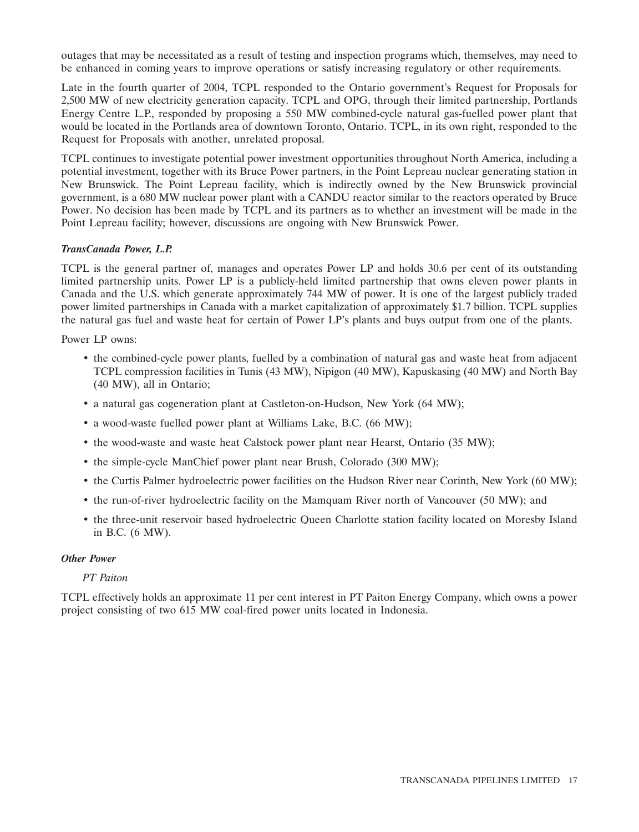outages that may be necessitated as a result of testing and inspection programs which, themselves, may need to be enhanced in coming years to improve operations or satisfy increasing regulatory or other requirements.

Late in the fourth quarter of 2004, TCPL responded to the Ontario government's Request for Proposals for 2,500 MW of new electricity generation capacity. TCPL and OPG, through their limited partnership, Portlands Energy Centre L.P., responded by proposing a 550 MW combined-cycle natural gas-fuelled power plant that would be located in the Portlands area of downtown Toronto, Ontario. TCPL, in its own right, responded to the Request for Proposals with another, unrelated proposal.

TCPL continues to investigate potential power investment opportunities throughout North America, including a potential investment, together with its Bruce Power partners, in the Point Lepreau nuclear generating station in New Brunswick. The Point Lepreau facility, which is indirectly owned by the New Brunswick provincial government, is a 680 MW nuclear power plant with a CANDU reactor similar to the reactors operated by Bruce Power. No decision has been made by TCPL and its partners as to whether an investment will be made in the Point Lepreau facility; however, discussions are ongoing with New Brunswick Power.

# *TransCanada Power, L.P.*

TCPL is the general partner of, manages and operates Power LP and holds 30.6 per cent of its outstanding limited partnership units. Power LP is a publicly-held limited partnership that owns eleven power plants in Canada and the U.S. which generate approximately 744 MW of power. It is one of the largest publicly traded power limited partnerships in Canada with a market capitalization of approximately \$1.7 billion. TCPL supplies the natural gas fuel and waste heat for certain of Power LP's plants and buys output from one of the plants.

Power LP owns:

- the combined-cycle power plants, fuelled by a combination of natural gas and waste heat from adjacent TCPL compression facilities in Tunis (43 MW), Nipigon (40 MW), Kapuskasing (40 MW) and North Bay (40 MW), all in Ontario;
- a natural gas cogeneration plant at Castleton-on-Hudson, New York (64 MW);
- a wood-waste fuelled power plant at Williams Lake, B.C. (66 MW);
- the wood-waste and waste heat Calstock power plant near Hearst, Ontario (35 MW);
- the simple-cycle ManChief power plant near Brush, Colorado (300 MW);
- the Curtis Palmer hydroelectric power facilities on the Hudson River near Corinth, New York (60 MW);
- the run-of-river hydroelectric facility on the Mamquam River north of Vancouver (50 MW); and
- the three-unit reservoir based hydroelectric Queen Charlotte station facility located on Moresby Island in B.C. (6 MW).

# *Other Power*

# *PT Paiton*

TCPL effectively holds an approximate 11 per cent interest in PT Paiton Energy Company, which owns a power project consisting of two 615 MW coal-fired power units located in Indonesia.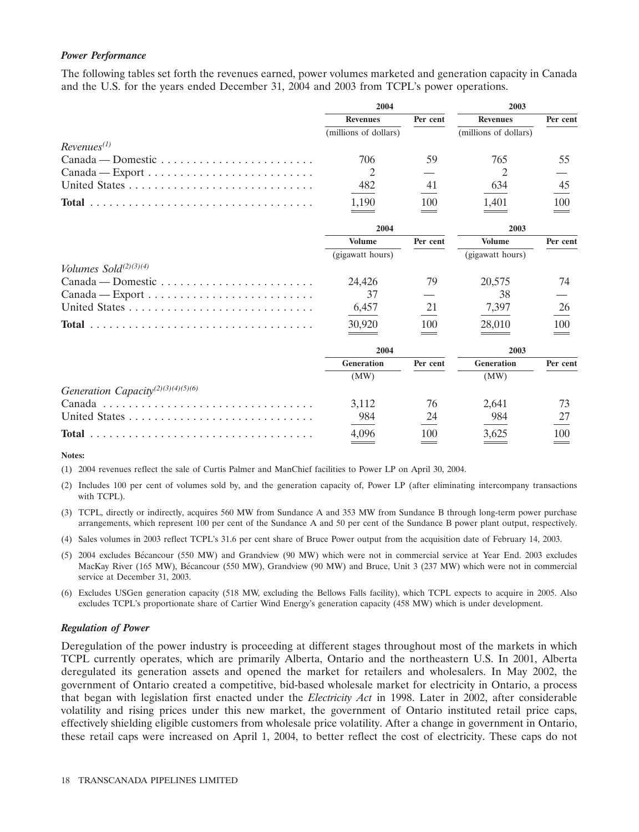### *Power Performance*

The following tables set forth the revenues earned, power volumes marketed and generation capacity in Canada and the U.S. for the years ended December 31, 2004 and 2003 from TCPL's power operations.

|                                                                           | 2004                  |          | 2003                  |          |  |
|---------------------------------------------------------------------------|-----------------------|----------|-----------------------|----------|--|
|                                                                           | <b>Revenues</b>       | Per cent | <b>Revenues</b>       | Per cent |  |
|                                                                           | (millions of dollars) |          | (millions of dollars) |          |  |
| $Revenues^{(1)}$                                                          |                       |          |                       |          |  |
| $Canada - Domestic \dots \dots \dots \dots \dots \dots \dots \dots \dots$ | 706                   | 59       | 765                   | 55       |  |
| $Canada - Expert \dots \dots \dots \dots \dots \dots \dots \dots \dots$   | 2                     |          | 2                     |          |  |
|                                                                           | 482                   | 41       | 634                   | 45       |  |
|                                                                           | 1,190                 | 100      | 1,401                 | 100      |  |
|                                                                           | 2004                  |          | 2003                  |          |  |
|                                                                           | <b>Volume</b>         | Per cent | <b>Volume</b>         | Per cent |  |
|                                                                           | (gigawatt hours)      |          | (gigawatt hours)      |          |  |
| Volumes Sold $(2)(3)(4)$                                                  |                       |          |                       |          |  |
|                                                                           | 24,426                | 79       | 20,575                | 74       |  |
| $Canada - Expert \dots \dots \dots \dots \dots \dots \dots \dots \dots$   | 37                    |          | 38                    |          |  |
|                                                                           | 6,457                 | 21       | 7,397                 | 26       |  |
|                                                                           | 30,920                | 100      | 28,010                | 100      |  |
|                                                                           | 2004                  |          | 2003                  |          |  |
|                                                                           | <b>Generation</b>     | Per cent | <b>Generation</b>     | Per cent |  |
|                                                                           | (MW)                  |          | (MW)                  |          |  |
| Generation Capacity <sup>(2)(3)(4)(5)(6)</sup>                            |                       |          |                       |          |  |
|                                                                           | 3,112                 | 76       | 2,641                 | 73       |  |
|                                                                           | 984                   | 24       | 984                   | 27       |  |
|                                                                           | 4,096                 | 100      | 3,625                 | 100      |  |

**Notes:**

(1) 2004 revenues reflect the sale of Curtis Palmer and ManChief facilities to Power LP on April 30, 2004.

- (2) Includes 100 per cent of volumes sold by, and the generation capacity of, Power LP (after eliminating intercompany transactions with TCPL).
- (3) TCPL, directly or indirectly, acquires 560 MW from Sundance A and 353 MW from Sundance B through long-term power purchase arrangements, which represent 100 per cent of the Sundance A and 50 per cent of the Sundance B power plant output, respectively.
- (4) Sales volumes in 2003 reflect TCPL's 31.6 per cent share of Bruce Power output from the acquisition date of February 14, 2003.
- (5) 2004 excludes Bécancour (550 MW) and Grandview (90 MW) which were not in commercial service at Year End. 2003 excludes MacKay River (165 MW), Bécancour (550 MW), Grandview (90 MW) and Bruce, Unit 3 (237 MW) which were not in commercial service at December 31, 2003.
- (6) Excludes USGen generation capacity (518 MW, excluding the Bellows Falls facility), which TCPL expects to acquire in 2005. Also excludes TCPL's proportionate share of Cartier Wind Energy's generation capacity (458 MW) which is under development.

### *Regulation of Power*

Deregulation of the power industry is proceeding at different stages throughout most of the markets in which TCPL currently operates, which are primarily Alberta, Ontario and the northeastern U.S. In 2001, Alberta deregulated its generation assets and opened the market for retailers and wholesalers. In May 2002, the government of Ontario created a competitive, bid-based wholesale market for electricity in Ontario, a process that began with legislation first enacted under the *Electricity Act* in 1998. Later in 2002, after considerable volatility and rising prices under this new market, the government of Ontario instituted retail price caps, effectively shielding eligible customers from wholesale price volatility. After a change in government in Ontario, these retail caps were increased on April 1, 2004, to better reflect the cost of electricity. These caps do not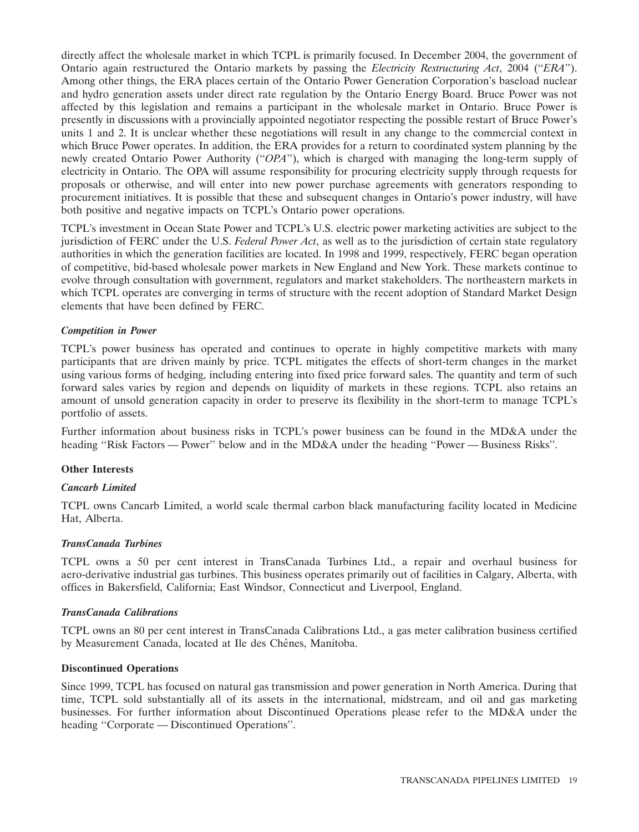directly affect the wholesale market in which TCPL is primarily focused. In December 2004, the government of Ontario again restructured the Ontario markets by passing the *Electricity Restructuring Act*, 2004 (''*ERA*''). Among other things, the ERA places certain of the Ontario Power Generation Corporation's baseload nuclear and hydro generation assets under direct rate regulation by the Ontario Energy Board. Bruce Power was not affected by this legislation and remains a participant in the wholesale market in Ontario. Bruce Power is presently in discussions with a provincially appointed negotiator respecting the possible restart of Bruce Power's units 1 and 2. It is unclear whether these negotiations will result in any change to the commercial context in which Bruce Power operates. In addition, the ERA provides for a return to coordinated system planning by the newly created Ontario Power Authority (''*OPA*''), which is charged with managing the long-term supply of electricity in Ontario. The OPA will assume responsibility for procuring electricity supply through requests for proposals or otherwise, and will enter into new power purchase agreements with generators responding to procurement initiatives. It is possible that these and subsequent changes in Ontario's power industry, will have both positive and negative impacts on TCPL's Ontario power operations.

TCPL's investment in Ocean State Power and TCPL's U.S. electric power marketing activities are subject to the jurisdiction of FERC under the U.S. *Federal Power Act*, as well as to the jurisdiction of certain state regulatory authorities in which the generation facilities are located. In 1998 and 1999, respectively, FERC began operation of competitive, bid-based wholesale power markets in New England and New York. These markets continue to evolve through consultation with government, regulators and market stakeholders. The northeastern markets in which TCPL operates are converging in terms of structure with the recent adoption of Standard Market Design elements that have been defined by FERC.

# *Competition in Power*

TCPL's power business has operated and continues to operate in highly competitive markets with many participants that are driven mainly by price. TCPL mitigates the effects of short-term changes in the market using various forms of hedging, including entering into fixed price forward sales. The quantity and term of such forward sales varies by region and depends on liquidity of markets in these regions. TCPL also retains an amount of unsold generation capacity in order to preserve its flexibility in the short-term to manage TCPL's portfolio of assets.

Further information about business risks in TCPL's power business can be found in the MD&A under the heading ''Risk Factors — Power'' below and in the MD&A under the heading ''Power — Business Risks''.

# **Other Interests**

# *Cancarb Limited*

TCPL owns Cancarb Limited, a world scale thermal carbon black manufacturing facility located in Medicine Hat, Alberta.

# *TransCanada Turbines*

TCPL owns a 50 per cent interest in TransCanada Turbines Ltd., a repair and overhaul business for aero-derivative industrial gas turbines. This business operates primarily out of facilities in Calgary, Alberta, with offices in Bakersfield, California; East Windsor, Connecticut and Liverpool, England.

# *TransCanada Calibrations*

TCPL owns an 80 per cent interest in TransCanada Calibrations Ltd., a gas meter calibration business certified by Measurement Canada, located at Ile des Chênes, Manitoba.

# **Discontinued Operations**

Since 1999, TCPL has focused on natural gas transmission and power generation in North America. During that time, TCPL sold substantially all of its assets in the international, midstream, and oil and gas marketing businesses. For further information about Discontinued Operations please refer to the MD&A under the heading ''Corporate — Discontinued Operations''.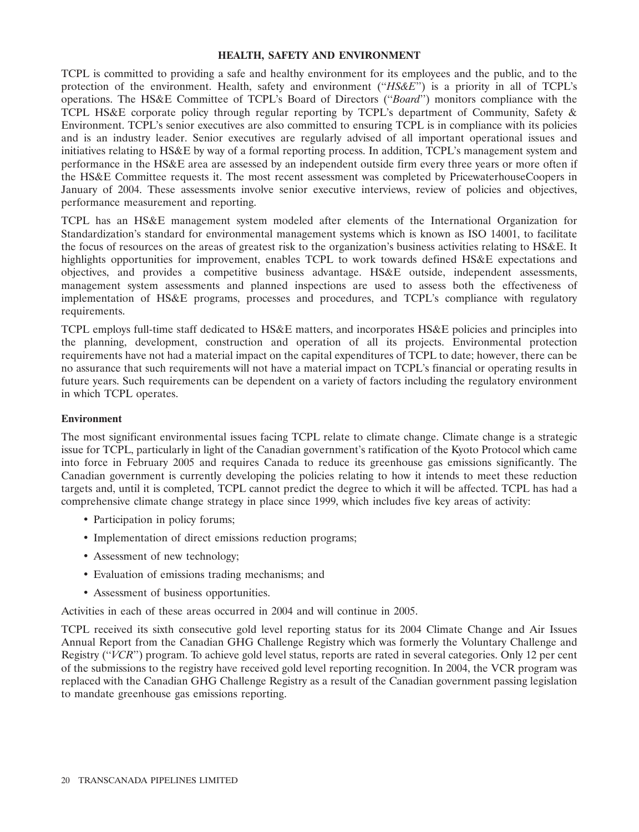### **HEALTH, SAFETY AND ENVIRONMENT**

TCPL is committed to providing a safe and healthy environment for its employees and the public, and to the protection of the environment. Health, safety and environment (''*HS&E*'') is a priority in all of TCPL's operations. The HS&E Committee of TCPL's Board of Directors (''*Board*'') monitors compliance with the TCPL HS&E corporate policy through regular reporting by TCPL's department of Community, Safety & Environment. TCPL's senior executives are also committed to ensuring TCPL is in compliance with its policies and is an industry leader. Senior executives are regularly advised of all important operational issues and initiatives relating to HS&E by way of a formal reporting process. In addition, TCPL's management system and performance in the HS&E area are assessed by an independent outside firm every three years or more often if the HS&E Committee requests it. The most recent assessment was completed by PricewaterhouseCoopers in January of 2004. These assessments involve senior executive interviews, review of policies and objectives, performance measurement and reporting.

TCPL has an HS&E management system modeled after elements of the International Organization for Standardization's standard for environmental management systems which is known as ISO 14001, to facilitate the focus of resources on the areas of greatest risk to the organization's business activities relating to HS&E. It highlights opportunities for improvement, enables TCPL to work towards defined HS&E expectations and objectives, and provides a competitive business advantage. HS&E outside, independent assessments, management system assessments and planned inspections are used to assess both the effectiveness of implementation of HS&E programs, processes and procedures, and TCPL's compliance with regulatory requirements.

TCPL employs full-time staff dedicated to HS&E matters, and incorporates HS&E policies and principles into the planning, development, construction and operation of all its projects. Environmental protection requirements have not had a material impact on the capital expenditures of TCPL to date; however, there can be no assurance that such requirements will not have a material impact on TCPL's financial or operating results in future years. Such requirements can be dependent on a variety of factors including the regulatory environment in which TCPL operates.

# **Environment**

The most significant environmental issues facing TCPL relate to climate change. Climate change is a strategic issue for TCPL, particularly in light of the Canadian government's ratification of the Kyoto Protocol which came into force in February 2005 and requires Canada to reduce its greenhouse gas emissions significantly. The Canadian government is currently developing the policies relating to how it intends to meet these reduction targets and, until it is completed, TCPL cannot predict the degree to which it will be affected. TCPL has had a comprehensive climate change strategy in place since 1999, which includes five key areas of activity:

- Participation in policy forums;
- Implementation of direct emissions reduction programs;
- Assessment of new technology;
- Evaluation of emissions trading mechanisms; and
- Assessment of business opportunities.

Activities in each of these areas occurred in 2004 and will continue in 2005.

TCPL received its sixth consecutive gold level reporting status for its 2004 Climate Change and Air Issues Annual Report from the Canadian GHG Challenge Registry which was formerly the Voluntary Challenge and Registry ("*VCR*") program. To achieve gold level status, reports are rated in several categories. Only 12 per cent of the submissions to the registry have received gold level reporting recognition. In 2004, the VCR program was replaced with the Canadian GHG Challenge Registry as a result of the Canadian government passing legislation to mandate greenhouse gas emissions reporting.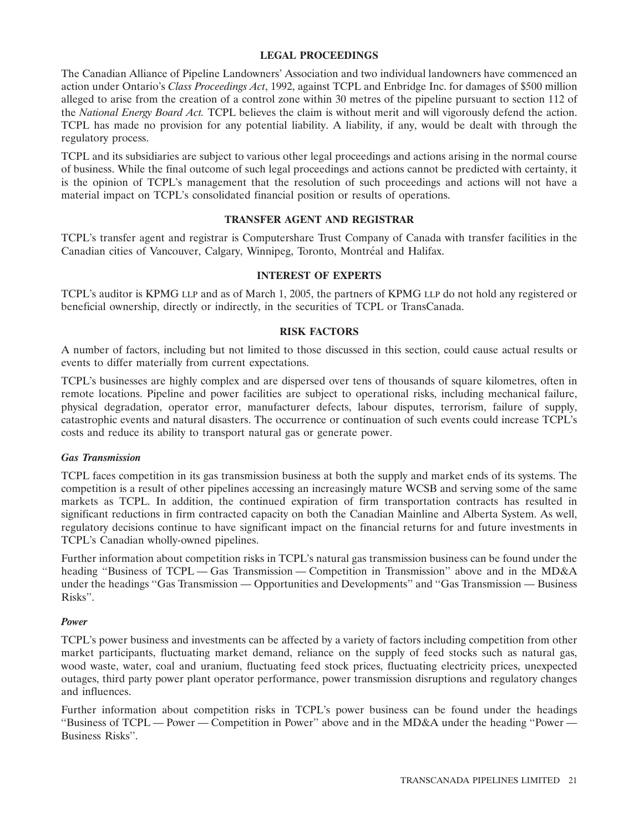# **LEGAL PROCEEDINGS**

The Canadian Alliance of Pipeline Landowners' Association and two individual landowners have commenced an action under Ontario's *Class Proceedings Act*, 1992, against TCPL and Enbridge Inc. for damages of \$500 million alleged to arise from the creation of a control zone within 30 metres of the pipeline pursuant to section 112 of the *National Energy Board Act.* TCPL believes the claim is without merit and will vigorously defend the action. TCPL has made no provision for any potential liability. A liability, if any, would be dealt with through the regulatory process.

TCPL and its subsidiaries are subject to various other legal proceedings and actions arising in the normal course of business. While the final outcome of such legal proceedings and actions cannot be predicted with certainty, it is the opinion of TCPL's management that the resolution of such proceedings and actions will not have a material impact on TCPL's consolidated financial position or results of operations.

# **TRANSFER AGENT AND REGISTRAR**

TCPL's transfer agent and registrar is Computershare Trust Company of Canada with transfer facilities in the Canadian cities of Vancouver, Calgary, Winnipeg, Toronto, Montréal and Halifax.

# **INTEREST OF EXPERTS**

TCPL's auditor is KPMG LLP and as of March 1, 2005, the partners of KPMG LLP do not hold any registered or beneficial ownership, directly or indirectly, in the securities of TCPL or TransCanada.

### **RISK FACTORS**

A number of factors, including but not limited to those discussed in this section, could cause actual results or events to differ materially from current expectations.

TCPL's businesses are highly complex and are dispersed over tens of thousands of square kilometres, often in remote locations. Pipeline and power facilities are subject to operational risks, including mechanical failure, physical degradation, operator error, manufacturer defects, labour disputes, terrorism, failure of supply, catastrophic events and natural disasters. The occurrence or continuation of such events could increase TCPL's costs and reduce its ability to transport natural gas or generate power.

# *Gas Transmission*

TCPL faces competition in its gas transmission business at both the supply and market ends of its systems. The competition is a result of other pipelines accessing an increasingly mature WCSB and serving some of the same markets as TCPL. In addition, the continued expiration of firm transportation contracts has resulted in significant reductions in firm contracted capacity on both the Canadian Mainline and Alberta System. As well, regulatory decisions continue to have significant impact on the financial returns for and future investments in TCPL's Canadian wholly-owned pipelines.

Further information about competition risks in TCPL's natural gas transmission business can be found under the heading "Business of TCPL — Gas Transmission — Competition in Transmission" above and in the MD&A under the headings ''Gas Transmission — Opportunities and Developments'' and ''Gas Transmission — Business Risks''.

# *Power*

TCPL's power business and investments can be affected by a variety of factors including competition from other market participants, fluctuating market demand, reliance on the supply of feed stocks such as natural gas, wood waste, water, coal and uranium, fluctuating feed stock prices, fluctuating electricity prices, unexpected outages, third party power plant operator performance, power transmission disruptions and regulatory changes and influences.

Further information about competition risks in TCPL's power business can be found under the headings ''Business of TCPL — Power — Competition in Power'' above and in the MD&A under the heading ''Power — Business Risks''.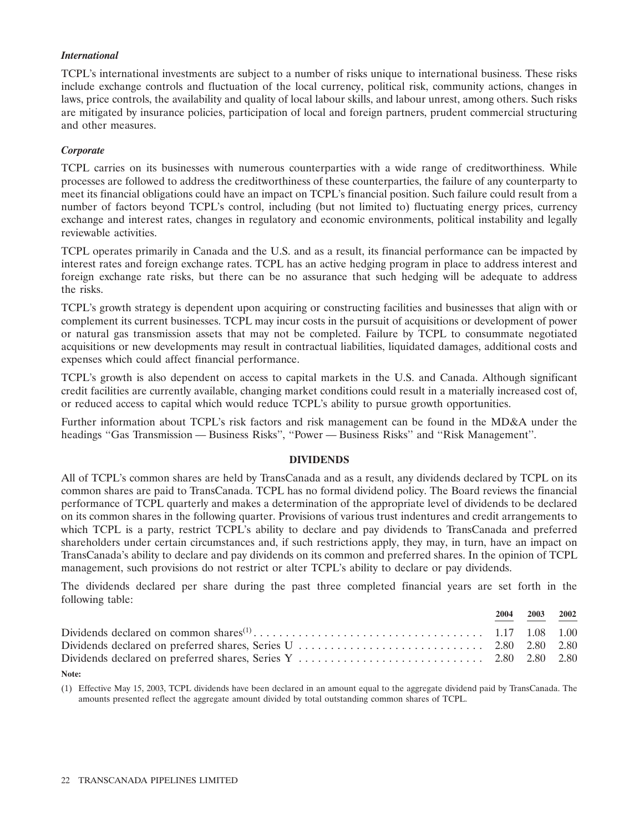# *International*

TCPL's international investments are subject to a number of risks unique to international business. These risks include exchange controls and fluctuation of the local currency, political risk, community actions, changes in laws, price controls, the availability and quality of local labour skills, and labour unrest, among others. Such risks are mitigated by insurance policies, participation of local and foreign partners, prudent commercial structuring and other measures.

# *Corporate*

TCPL carries on its businesses with numerous counterparties with a wide range of creditworthiness. While processes are followed to address the creditworthiness of these counterparties, the failure of any counterparty to meet its financial obligations could have an impact on TCPL's financial position. Such failure could result from a number of factors beyond TCPL's control, including (but not limited to) fluctuating energy prices, currency exchange and interest rates, changes in regulatory and economic environments, political instability and legally reviewable activities.

TCPL operates primarily in Canada and the U.S. and as a result, its financial performance can be impacted by interest rates and foreign exchange rates. TCPL has an active hedging program in place to address interest and foreign exchange rate risks, but there can be no assurance that such hedging will be adequate to address the risks.

TCPL's growth strategy is dependent upon acquiring or constructing facilities and businesses that align with or complement its current businesses. TCPL may incur costs in the pursuit of acquisitions or development of power or natural gas transmission assets that may not be completed. Failure by TCPL to consummate negotiated acquisitions or new developments may result in contractual liabilities, liquidated damages, additional costs and expenses which could affect financial performance.

TCPL's growth is also dependent on access to capital markets in the U.S. and Canada. Although significant credit facilities are currently available, changing market conditions could result in a materially increased cost of, or reduced access to capital which would reduce TCPL's ability to pursue growth opportunities.

Further information about TCPL's risk factors and risk management can be found in the MD&A under the headings "Gas Transmission — Business Risks", "Power — Business Risks" and "Risk Management".

# **DIVIDENDS**

All of TCPL's common shares are held by TransCanada and as a result, any dividends declared by TCPL on its common shares are paid to TransCanada. TCPL has no formal dividend policy. The Board reviews the financial performance of TCPL quarterly and makes a determination of the appropriate level of dividends to be declared on its common shares in the following quarter. Provisions of various trust indentures and credit arrangements to which TCPL is a party, restrict TCPL's ability to declare and pay dividends to TransCanada and preferred shareholders under certain circumstances and, if such restrictions apply, they may, in turn, have an impact on TransCanada's ability to declare and pay dividends on its common and preferred shares. In the opinion of TCPL management, such provisions do not restrict or alter TCPL's ability to declare or pay dividends.

The dividends declared per share during the past three completed financial years are set forth in the following table:

|  | 2004 2003 2002 |  |
|--|----------------|--|
|  |                |  |
|  |                |  |
|  |                |  |

### **Note:**

(1) Effective May 15, 2003, TCPL dividends have been declared in an amount equal to the aggregate dividend paid by TransCanada. The amounts presented reflect the aggregate amount divided by total outstanding common shares of TCPL.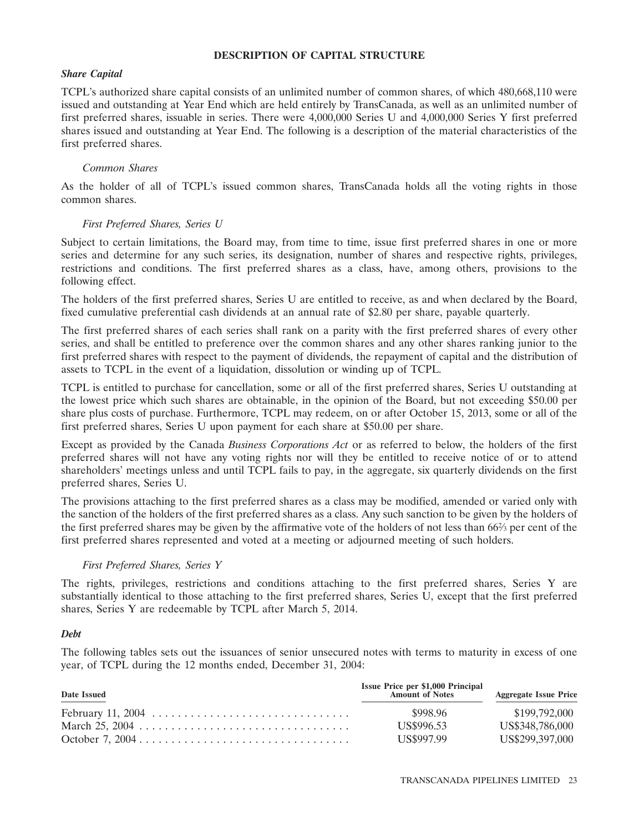### **DESCRIPTION OF CAPITAL STRUCTURE**

# *Share Capital*

TCPL's authorized share capital consists of an unlimited number of common shares, of which 480,668,110 were issued and outstanding at Year End which are held entirely by TransCanada, as well as an unlimited number of first preferred shares, issuable in series. There were 4,000,000 Series U and 4,000,000 Series Y first preferred shares issued and outstanding at Year End. The following is a description of the material characteristics of the first preferred shares.

# *Common Shares*

As the holder of all of TCPL's issued common shares, TransCanada holds all the voting rights in those common shares.

# *First Preferred Shares, Series U*

Subject to certain limitations, the Board may, from time to time, issue first preferred shares in one or more series and determine for any such series, its designation, number of shares and respective rights, privileges, restrictions and conditions. The first preferred shares as a class, have, among others, provisions to the following effect.

The holders of the first preferred shares, Series U are entitled to receive, as and when declared by the Board, fixed cumulative preferential cash dividends at an annual rate of \$2.80 per share, payable quarterly.

The first preferred shares of each series shall rank on a parity with the first preferred shares of every other series, and shall be entitled to preference over the common shares and any other shares ranking junior to the first preferred shares with respect to the payment of dividends, the repayment of capital and the distribution of assets to TCPL in the event of a liquidation, dissolution or winding up of TCPL.

TCPL is entitled to purchase for cancellation, some or all of the first preferred shares, Series U outstanding at the lowest price which such shares are obtainable, in the opinion of the Board, but not exceeding \$50.00 per share plus costs of purchase. Furthermore, TCPL may redeem, on or after October 15, 2013, some or all of the first preferred shares, Series U upon payment for each share at \$50.00 per share.

Except as provided by the Canada *Business Corporations Act* or as referred to below, the holders of the first preferred shares will not have any voting rights nor will they be entitled to receive notice of or to attend shareholders' meetings unless and until TCPL fails to pay, in the aggregate, six quarterly dividends on the first preferred shares, Series U.

The provisions attaching to the first preferred shares as a class may be modified, amended or varied only with the sanction of the holders of the first preferred shares as a class. Any such sanction to be given by the holders of the first preferred shares may be given by the affirmative vote of the holders of not less than 662⁄3 per cent of the first preferred shares represented and voted at a meeting or adjourned meeting of such holders.

# *First Preferred Shares, Series Y*

The rights, privileges, restrictions and conditions attaching to the first preferred shares, Series Y are substantially identical to those attaching to the first preferred shares, Series U, except that the first preferred shares, Series Y are redeemable by TCPL after March 5, 2014.

# *Debt*

The following tables sets out the issuances of senior unsecured notes with terms to maturity in excess of one year, of TCPL during the 12 months ended, December 31, 2004:

| <b>Date Issued</b> | <b>Issue Price per \$1,000 Principal</b><br><b>Amount of Notes</b> | <b>Aggregate Issue Price</b> |
|--------------------|--------------------------------------------------------------------|------------------------------|
|                    | \$998.96                                                           | \$199,792,000                |
|                    | US\$996.53                                                         | US\$348,786,000              |
|                    | US\$997.99                                                         | US\$299,397,000              |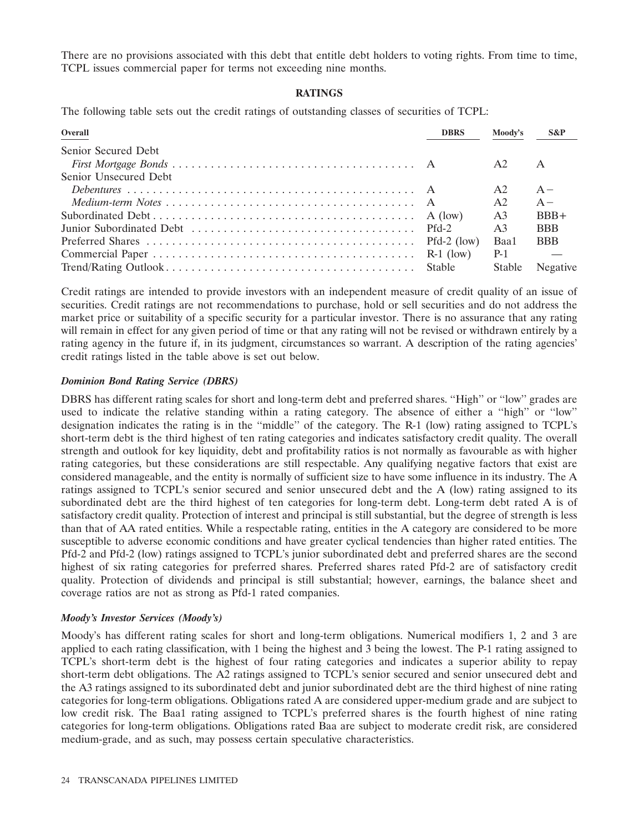There are no provisions associated with this debt that entitle debt holders to voting rights. From time to time, TCPL issues commercial paper for terms not exceeding nine months.

# **RATINGS**

The following table sets out the credit ratings of outstanding classes of securities of TCPL:

| Overall               | <b>DBRS</b> | Moody's        | $S\&P$          |
|-----------------------|-------------|----------------|-----------------|
| Senior Secured Debt   |             |                |                 |
|                       |             | A2             | A               |
| Senior Unsecured Debt |             |                |                 |
|                       |             | A2             | $A -$           |
|                       |             | A2             | $A -$           |
|                       |             | A <sub>3</sub> | $BBB+$          |
|                       |             | A <sub>3</sub> | <b>BBB</b>      |
|                       |             | Baa1           | <b>BBB</b>      |
|                       |             | $P-1$          |                 |
|                       |             |                | Stable Negative |

Credit ratings are intended to provide investors with an independent measure of credit quality of an issue of securities. Credit ratings are not recommendations to purchase, hold or sell securities and do not address the market price or suitability of a specific security for a particular investor. There is no assurance that any rating will remain in effect for any given period of time or that any rating will not be revised or withdrawn entirely by a rating agency in the future if, in its judgment, circumstances so warrant. A description of the rating agencies' credit ratings listed in the table above is set out below.

# *Dominion Bond Rating Service (DBRS)*

DBRS has different rating scales for short and long-term debt and preferred shares. ''High'' or ''low'' grades are used to indicate the relative standing within a rating category. The absence of either a ''high'' or ''low'' designation indicates the rating is in the ''middle'' of the category. The R-1 (low) rating assigned to TCPL's short-term debt is the third highest of ten rating categories and indicates satisfactory credit quality. The overall strength and outlook for key liquidity, debt and profitability ratios is not normally as favourable as with higher rating categories, but these considerations are still respectable. Any qualifying negative factors that exist are considered manageable, and the entity is normally of sufficient size to have some influence in its industry. The A ratings assigned to TCPL's senior secured and senior unsecured debt and the A (low) rating assigned to its subordinated debt are the third highest of ten categories for long-term debt. Long-term debt rated A is of satisfactory credit quality. Protection of interest and principal is still substantial, but the degree of strength is less than that of AA rated entities. While a respectable rating, entities in the A category are considered to be more susceptible to adverse economic conditions and have greater cyclical tendencies than higher rated entities. The Pfd-2 and Pfd-2 (low) ratings assigned to TCPL's junior subordinated debt and preferred shares are the second highest of six rating categories for preferred shares. Preferred shares rated Pfd-2 are of satisfactory credit quality. Protection of dividends and principal is still substantial; however, earnings, the balance sheet and coverage ratios are not as strong as Pfd-1 rated companies.

# *Moody's Investor Services (Moody's)*

Moody's has different rating scales for short and long-term obligations. Numerical modifiers 1, 2 and 3 are applied to each rating classification, with 1 being the highest and 3 being the lowest. The P-1 rating assigned to TCPL's short-term debt is the highest of four rating categories and indicates a superior ability to repay short-term debt obligations. The A2 ratings assigned to TCPL's senior secured and senior unsecured debt and the A3 ratings assigned to its subordinated debt and junior subordinated debt are the third highest of nine rating categories for long-term obligations. Obligations rated A are considered upper-medium grade and are subject to low credit risk. The Baa1 rating assigned to TCPL's preferred shares is the fourth highest of nine rating categories for long-term obligations. Obligations rated Baa are subject to moderate credit risk, are considered medium-grade, and as such, may possess certain speculative characteristics.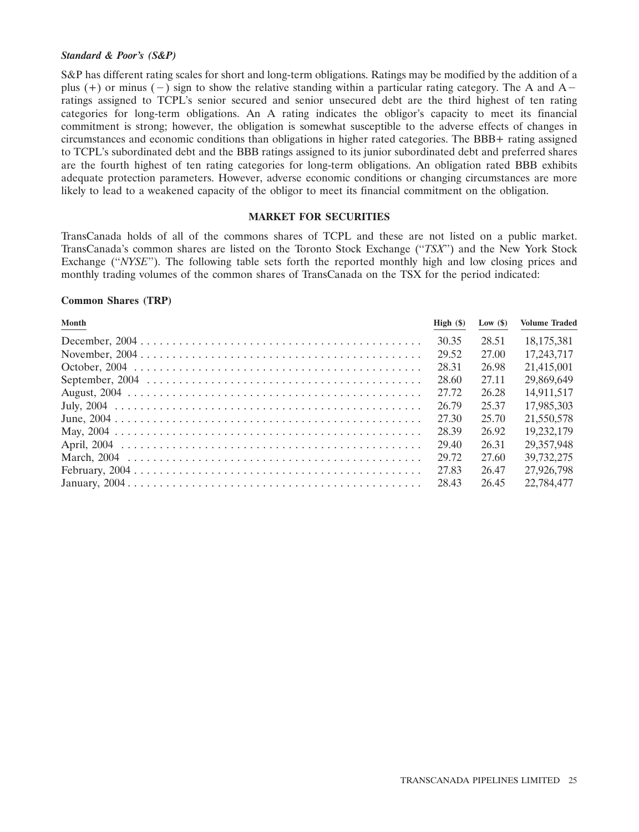### *Standard & Poor's (S&P)*

S&P has different rating scales for short and long-term obligations. Ratings may be modified by the addition of a plus  $(+)$  or minus  $(-)$  sign to show the relative standing within a particular rating category. The A and A ratings assigned to TCPL's senior secured and senior unsecured debt are the third highest of ten rating categories for long-term obligations. An A rating indicates the obligor's capacity to meet its financial commitment is strong; however, the obligation is somewhat susceptible to the adverse effects of changes in circumstances and economic conditions than obligations in higher rated categories. The BBB+ rating assigned to TCPL's subordinated debt and the BBB ratings assigned to its junior subordinated debt and preferred shares are the fourth highest of ten rating categories for long-term obligations. An obligation rated BBB exhibits adequate protection parameters. However, adverse economic conditions or changing circumstances are more likely to lead to a weakened capacity of the obligor to meet its financial commitment on the obligation.

### **MARKET FOR SECURITIES**

TransCanada holds of all of the commons shares of TCPL and these are not listed on a public market. TransCanada's common shares are listed on the Toronto Stock Exchange (''*TSX*'') and the New York Stock Exchange ("*NYSE*"). The following table sets forth the reported monthly high and low closing prices and monthly trading volumes of the common shares of TransCanada on the TSX for the period indicated:

### **Common Shares (TRP)**

| Month | High $(\$)$ | Low $(\$)$ | <b>Volume Traded</b> |
|-------|-------------|------------|----------------------|
|       | 30.35       | 28.51      | 18,175,381           |
|       | 29.52       | 27.00      | 17,243,717           |
|       | 28.31       | 26.98      | 21,415,001           |
|       | 28.60       | 27.11      | 29,869,649           |
|       | 27.72       | 26.28      | 14,911,517           |
|       | 26.79       | 25.37      | 17,985,303           |
|       | 27.30       | 25.70      | 21,550,578           |
|       | 28.39       | 26.92      | 19.232,179           |
|       | 29.40       | 26.31      | 29.357.948           |
|       | 29.72       | 27.60      | 39,732,275           |
|       | 27.83       | 26.47      | 27,926,798           |
|       | 28.43       | 26.45      | 22,784,477           |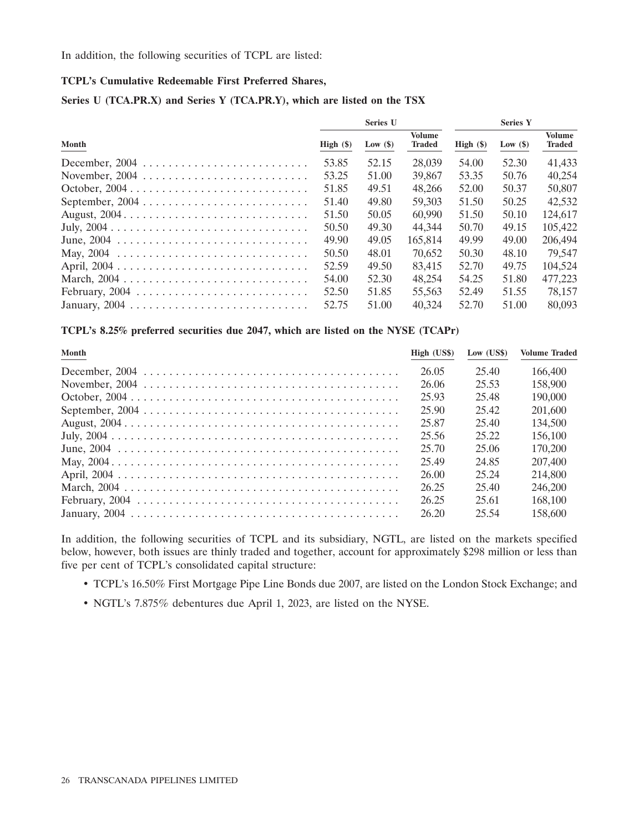In addition, the following securities of TCPL are listed:

# **TCPL's Cumulative Redeemable First Preferred Shares,**

# **Series U (TCA.PR.X) and Series Y (TCA.PR.Y), which are listed on the TSX**

|       |             | <b>Series U</b> |                         |             | <b>Series Y</b> |                                |
|-------|-------------|-----------------|-------------------------|-------------|-----------------|--------------------------------|
| Month | High $(\$)$ | Low $(\$)$      | Volume<br><b>Traded</b> | High $(\$)$ | Low $(\$)$      | <b>Volume</b><br><b>Traded</b> |
|       | 53.85       | 52.15           | 28,039                  | 54.00       | 52.30           | 41.433                         |
|       | 53.25       | 51.00           | 39,867                  | 53.35       | 50.76           | 40.254                         |
|       | 51.85       | 49.51           | 48.266                  | 52.00       | 50.37           | 50,807                         |
|       | 51.40       | 49.80           | 59,303                  | 51.50       | 50.25           | 42,532                         |
|       | 51.50       | 50.05           | 60,990                  | 51.50       | 50.10           | 124,617                        |
|       | 50.50       | 49.30           | 44,344                  | 50.70       | 49.15           | 105,422                        |
|       | 49.90       | 49.05           | 165,814                 | 49.99       | 49.00           | 206,494                        |
|       | 50.50       | 48.01           | 70.652                  | 50.30       | 48.10           | 79.547                         |
|       | 52.59       | 49.50           | 83.415                  | 52.70       | 49.75           | 104,524                        |
|       | 54.00       | 52.30           | 48.254                  | 54.25       | 51.80           | 477,223                        |
|       | 52.50       | 51.85           | 55.563                  | 52.49       | 51.55           | 78.157                         |
|       | 52.75       | 51.00           | 40.324                  | 52.70       | 51.00           | 80,093                         |

### **TCPL's 8.25% preferred securities due 2047, which are listed on the NYSE (TCAPr)**

| Month | High (US\$) | Low $(US$)$ | <b>Volume Traded</b> |
|-------|-------------|-------------|----------------------|
|       | 26.05       | 25.40       | 166,400              |
|       | 26.06       | 25.53       | 158,900              |
|       | 25.93       | 25.48       | 190,000              |
|       | 25.90       | 25.42       | 201,600              |
|       | 25.87       | 25.40       | 134,500              |
|       | 25.56       | 25.22       | 156,100              |
|       | 25.70       | 25.06       | 170.200              |
|       | 25.49       | 24.85       | 207,400              |
|       | 26.00       | 25.24       | 214,800              |
|       | 26.25       | 25.40       | 246,200              |
|       | 26.25       | 25.61       | 168,100              |
|       | 26.20       | 25.54       | 158,600              |

In addition, the following securities of TCPL and its subsidiary, NGTL, are listed on the markets specified below, however, both issues are thinly traded and together, account for approximately \$298 million or less than five per cent of TCPL's consolidated capital structure:

- TCPL's 16.50% First Mortgage Pipe Line Bonds due 2007, are listed on the London Stock Exchange; and
- NGTL's 7.875% debentures due April 1, 2023, are listed on the NYSE.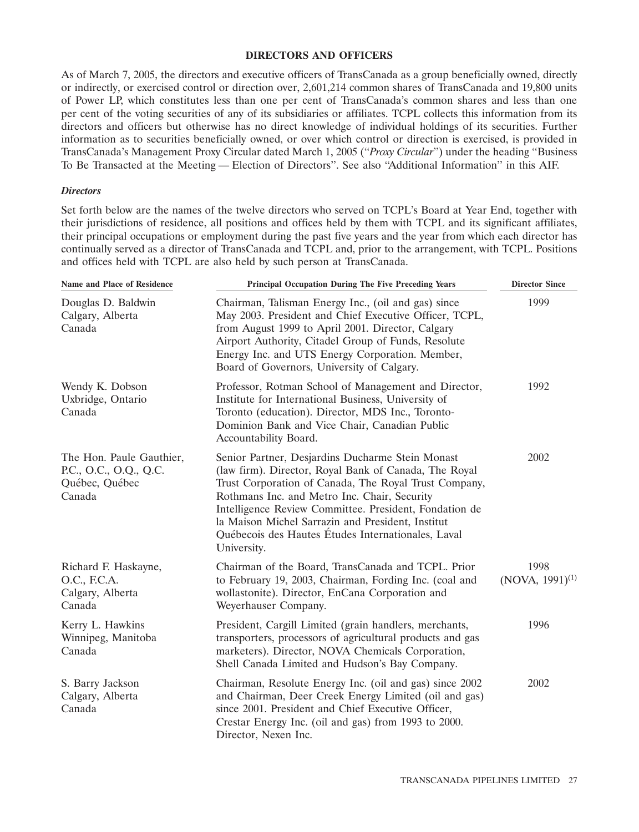### **DIRECTORS AND OFFICERS**

As of March 7, 2005, the directors and executive officers of TransCanada as a group beneficially owned, directly or indirectly, or exercised control or direction over, 2,601,214 common shares of TransCanada and 19,800 units of Power LP, which constitutes less than one per cent of TransCanada's common shares and less than one per cent of the voting securities of any of its subsidiaries or affiliates. TCPL collects this information from its directors and officers but otherwise has no direct knowledge of individual holdings of its securities. Further information as to securities beneficially owned, or over which control or direction is exercised, is provided in TransCanada's Management Proxy Circular dated March 1, 2005 (''*Proxy Circular*'') under the heading ''Business To Be Transacted at the Meeting — Election of Directors''. See also ''Additional Information'' in this AIF.

### *Directors*

Set forth below are the names of the twelve directors who served on TCPL's Board at Year End, together with their jurisdictions of residence, all positions and offices held by them with TCPL and its significant affiliates, their principal occupations or employment during the past five years and the year from which each director has continually served as a director of TransCanada and TCPL and, prior to the arrangement, with TCPL. Positions and offices held with TCPL are also held by such person at TransCanada.

| <b>Name and Place of Residence</b>                                             | Principal Occupation During The Five Preceding Years                                                                                                                                                                                                                                                                                                                                                   | <b>Director Since</b>        |
|--------------------------------------------------------------------------------|--------------------------------------------------------------------------------------------------------------------------------------------------------------------------------------------------------------------------------------------------------------------------------------------------------------------------------------------------------------------------------------------------------|------------------------------|
| Douglas D. Baldwin<br>Calgary, Alberta<br>Canada                               | Chairman, Talisman Energy Inc., (oil and gas) since<br>May 2003. President and Chief Executive Officer, TCPL,<br>from August 1999 to April 2001. Director, Calgary<br>Airport Authority, Citadel Group of Funds, Resolute<br>Energy Inc. and UTS Energy Corporation. Member,<br>Board of Governors, University of Calgary.                                                                             | 1999                         |
| Wendy K. Dobson<br>Uxbridge, Ontario<br>Canada                                 | Professor, Rotman School of Management and Director,<br>Institute for International Business, University of<br>Toronto (education). Director, MDS Inc., Toronto-<br>Dominion Bank and Vice Chair, Canadian Public<br>Accountability Board.                                                                                                                                                             | 1992                         |
| The Hon. Paule Gauthier,<br>P.C., O.C., O.Q., Q.C.<br>Québec, Québec<br>Canada | Senior Partner, Desjardins Ducharme Stein Monast<br>(law firm). Director, Royal Bank of Canada, The Royal<br>Trust Corporation of Canada, The Royal Trust Company,<br>Rothmans Inc. and Metro Inc. Chair, Security<br>Intelligence Review Committee. President, Fondation de<br>la Maison Michel Sarrazin and President, Institut<br>Québecois des Hautes Études Internationales, Laval<br>University. | 2002                         |
| Richard F. Haskayne,<br>O.C., F.C.A.<br>Calgary, Alberta<br>Canada             | Chairman of the Board, TransCanada and TCPL. Prior<br>to February 19, 2003, Chairman, Fording Inc. (coal and<br>wollastonite). Director, EnCana Corporation and<br>Weyerhauser Company.                                                                                                                                                                                                                | 1998<br>$(NOVA, 1991)^{(1)}$ |
| Kerry L. Hawkins<br>Winnipeg, Manitoba<br>Canada                               | President, Cargill Limited (grain handlers, merchants,<br>transporters, processors of agricultural products and gas<br>marketers). Director, NOVA Chemicals Corporation,<br>Shell Canada Limited and Hudson's Bay Company.                                                                                                                                                                             | 1996                         |
| S. Barry Jackson<br>Calgary, Alberta<br>Canada                                 | Chairman, Resolute Energy Inc. (oil and gas) since 2002<br>and Chairman, Deer Creek Energy Limited (oil and gas)<br>since 2001. President and Chief Executive Officer,<br>Crestar Energy Inc. (oil and gas) from 1993 to 2000.<br>Director, Nexen Inc.                                                                                                                                                 | 2002                         |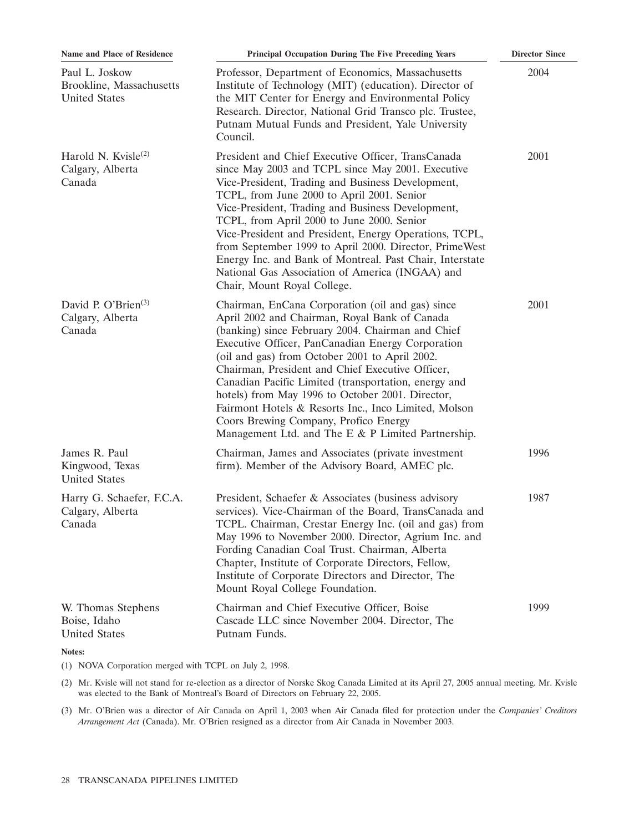| Name and Place of Residence                                        | <b>Principal Occupation During The Five Preceding Years</b>                                                                                                                                                                                                                                                                                                                                                                                                                                                                                                                          | <b>Director Since</b> |
|--------------------------------------------------------------------|--------------------------------------------------------------------------------------------------------------------------------------------------------------------------------------------------------------------------------------------------------------------------------------------------------------------------------------------------------------------------------------------------------------------------------------------------------------------------------------------------------------------------------------------------------------------------------------|-----------------------|
| Paul L. Joskow<br>Brookline, Massachusetts<br><b>United States</b> | Professor, Department of Economics, Massachusetts<br>Institute of Technology (MIT) (education). Director of<br>the MIT Center for Energy and Environmental Policy<br>Research. Director, National Grid Transco plc. Trustee,<br>Putnam Mutual Funds and President, Yale University<br>Council.                                                                                                                                                                                                                                                                                       | 2004                  |
| Harold N. Kvisle <sup>(2)</sup><br>Calgary, Alberta<br>Canada      | President and Chief Executive Officer, TransCanada<br>since May 2003 and TCPL since May 2001. Executive<br>Vice-President, Trading and Business Development,<br>TCPL, from June 2000 to April 2001. Senior<br>Vice-President, Trading and Business Development,<br>TCPL, from April 2000 to June 2000. Senior<br>Vice-President and President, Energy Operations, TCPL,<br>from September 1999 to April 2000. Director, PrimeWest<br>Energy Inc. and Bank of Montreal. Past Chair, Interstate<br>National Gas Association of America (INGAA) and<br>Chair, Mount Royal College.      | 2001                  |
| David P. O'Brien $(3)$<br>Calgary, Alberta<br>Canada               | Chairman, EnCana Corporation (oil and gas) since<br>April 2002 and Chairman, Royal Bank of Canada<br>(banking) since February 2004. Chairman and Chief<br>Executive Officer, PanCanadian Energy Corporation<br>(oil and gas) from October 2001 to April 2002.<br>Chairman, President and Chief Executive Officer,<br>Canadian Pacific Limited (transportation, energy and<br>hotels) from May 1996 to October 2001. Director,<br>Fairmont Hotels & Resorts Inc., Inco Limited, Molson<br>Coors Brewing Company, Profico Energy<br>Management Ltd. and The E & P Limited Partnership. | 2001                  |
| James R. Paul<br>Kingwood, Texas<br><b>United States</b>           | Chairman, James and Associates (private investment<br>firm). Member of the Advisory Board, AMEC plc.                                                                                                                                                                                                                                                                                                                                                                                                                                                                                 | 1996                  |
| Harry G. Schaefer, F.C.A.<br>Calgary, Alberta<br>Canada            | President, Schaefer & Associates (business advisory<br>services). Vice-Chairman of the Board, TransCanada and<br>TCPL. Chairman, Crestar Energy Inc. (oil and gas) from<br>May 1996 to November 2000. Director, Agrium Inc. and<br>Fording Canadian Coal Trust. Chairman, Alberta<br>Chapter, Institute of Corporate Directors, Fellow,<br>Institute of Corporate Directors and Director, The<br>Mount Royal College Foundation.                                                                                                                                                     | 1987                  |
| W. Thomas Stephens<br>Boise, Idaho<br><b>United States</b>         | Chairman and Chief Executive Officer, Boise<br>Cascade LLC since November 2004. Director, The<br>Putnam Funds.                                                                                                                                                                                                                                                                                                                                                                                                                                                                       | 1999                  |
| Notes:                                                             |                                                                                                                                                                                                                                                                                                                                                                                                                                                                                                                                                                                      |                       |

(1) NOVA Corporation merged with TCPL on July 2, 1998.

(2) Mr. Kvisle will not stand for re-election as a director of Norske Skog Canada Limited at its April 27, 2005 annual meeting. Mr. Kvisle was elected to the Bank of Montreal's Board of Directors on February 22, 2005.

(3) Mr. O'Brien was a director of Air Canada on April 1, 2003 when Air Canada filed for protection under the *Companies' Creditors Arrangement Act* (Canada). Mr. O'Brien resigned as a director from Air Canada in November 2003.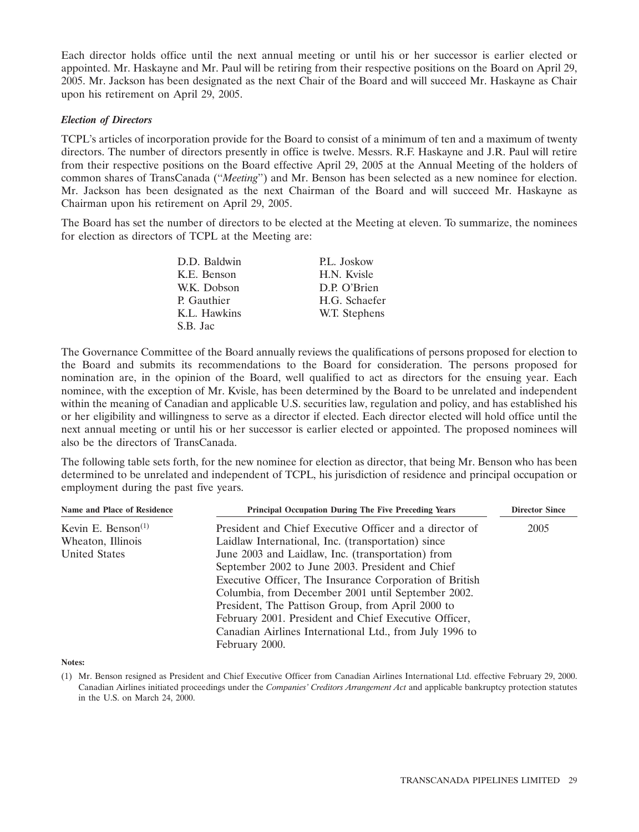Each director holds office until the next annual meeting or until his or her successor is earlier elected or appointed. Mr. Haskayne and Mr. Paul will be retiring from their respective positions on the Board on April 29, 2005. Mr. Jackson has been designated as the next Chair of the Board and will succeed Mr. Haskayne as Chair upon his retirement on April 29, 2005.

### *Election of Directors*

TCPL's articles of incorporation provide for the Board to consist of a minimum of ten and a maximum of twenty directors. The number of directors presently in office is twelve. Messrs. R.F. Haskayne and J.R. Paul will retire from their respective positions on the Board effective April 29, 2005 at the Annual Meeting of the holders of common shares of TransCanada (''*Meeting*'') and Mr. Benson has been selected as a new nominee for election. Mr. Jackson has been designated as the next Chairman of the Board and will succeed Mr. Haskayne as Chairman upon his retirement on April 29, 2005.

The Board has set the number of directors to be elected at the Meeting at eleven. To summarize, the nominees for election as directors of TCPL at the Meeting are:

| D.D. Baldwin | P.L. Joskow   |
|--------------|---------------|
| K.E. Benson  | H.N. Kvisle   |
| W.K. Dobson  | D.P. O'Brien  |
| P. Gauthier  | H.G. Schaefer |
| K.L. Hawkins | W.T. Stephens |
| S.B. Jac     |               |

The Governance Committee of the Board annually reviews the qualifications of persons proposed for election to the Board and submits its recommendations to the Board for consideration. The persons proposed for nomination are, in the opinion of the Board, well qualified to act as directors for the ensuing year. Each nominee, with the exception of Mr. Kvisle, has been determined by the Board to be unrelated and independent within the meaning of Canadian and applicable U.S. securities law, regulation and policy, and has established his or her eligibility and willingness to serve as a director if elected. Each director elected will hold office until the next annual meeting or until his or her successor is earlier elected or appointed. The proposed nominees will also be the directors of TransCanada.

The following table sets forth, for the new nominee for election as director, that being Mr. Benson who has been determined to be unrelated and independent of TCPL, his jurisdiction of residence and principal occupation or employment during the past five years.

| Name and Place of Residence | <b>Principal Occupation During The Five Preceding Years</b> | <b>Director Since</b> |
|-----------------------------|-------------------------------------------------------------|-----------------------|
| Kevin E. Benson $(1)$       | President and Chief Executive Officer and a director of     | 2005                  |
| Wheaton, Illinois           | Laidlaw International, Inc. (transportation) since          |                       |
| <b>United States</b>        | June 2003 and Laidlaw, Inc. (transportation) from           |                       |
|                             | September 2002 to June 2003. President and Chief            |                       |
|                             | Executive Officer, The Insurance Corporation of British     |                       |
|                             | Columbia, from December 2001 until September 2002.          |                       |
|                             | President, The Pattison Group, from April 2000 to           |                       |
|                             | February 2001. President and Chief Executive Officer,       |                       |
|                             | Canadian Airlines International Ltd., from July 1996 to     |                       |
|                             | February 2000.                                              |                       |

#### **Notes:**

<sup>(1)</sup> Mr. Benson resigned as President and Chief Executive Officer from Canadian Airlines International Ltd. effective February 29, 2000. Canadian Airlines initiated proceedings under the *Companies' Creditors Arrangement Act* and applicable bankruptcy protection statutes in the U.S. on March 24, 2000.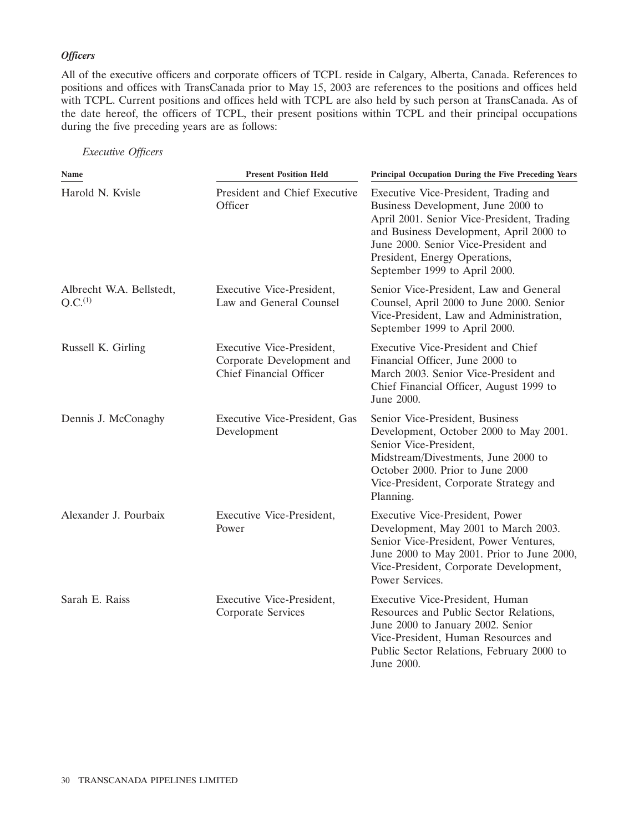# *Officers*

All of the executive officers and corporate officers of TCPL reside in Calgary, Alberta, Canada. References to positions and offices with TransCanada prior to May 15, 2003 are references to the positions and offices held with TCPL. Current positions and offices held with TCPL are also held by such person at TransCanada. As of the date hereof, the officers of TCPL, their present positions within TCPL and their principal occupations during the five preceding years are as follows:

# *Executive Officers*

| Name                                            | <b>Present Position Held</b>                                                      | Principal Occupation During the Five Preceding Years                                                                                                                                                                                                                           |
|-------------------------------------------------|-----------------------------------------------------------------------------------|--------------------------------------------------------------------------------------------------------------------------------------------------------------------------------------------------------------------------------------------------------------------------------|
| Harold N. Kvisle                                | President and Chief Executive<br>Officer                                          | Executive Vice-President, Trading and<br>Business Development, June 2000 to<br>April 2001. Senior Vice-President, Trading<br>and Business Development, April 2000 to<br>June 2000. Senior Vice-President and<br>President, Energy Operations,<br>September 1999 to April 2000. |
| Albrecht W.A. Bellstedt,<br>Q.C. <sup>(1)</sup> | Executive Vice-President,<br>Law and General Counsel                              | Senior Vice-President, Law and General<br>Counsel, April 2000 to June 2000. Senior<br>Vice-President, Law and Administration,<br>September 1999 to April 2000.                                                                                                                 |
| Russell K. Girling                              | Executive Vice-President,<br>Corporate Development and<br>Chief Financial Officer | Executive Vice-President and Chief<br>Financial Officer, June 2000 to<br>March 2003. Senior Vice-President and<br>Chief Financial Officer, August 1999 to<br>June 2000.                                                                                                        |
| Dennis J. McConaghy                             | Executive Vice-President, Gas<br>Development                                      | Senior Vice-President, Business<br>Development, October 2000 to May 2001.<br>Senior Vice-President,<br>Midstream/Divestments, June 2000 to<br>October 2000. Prior to June 2000<br>Vice-President, Corporate Strategy and<br>Planning.                                          |
| Alexander J. Pourbaix                           | Executive Vice-President,<br>Power                                                | Executive Vice-President, Power<br>Development, May 2001 to March 2003.<br>Senior Vice-President, Power Ventures,<br>June 2000 to May 2001. Prior to June 2000,<br>Vice-President, Corporate Development,<br>Power Services.                                                   |
| Sarah E. Raiss                                  | Executive Vice-President,<br>Corporate Services                                   | Executive Vice-President, Human<br>Resources and Public Sector Relations,<br>June 2000 to January 2002. Senior<br>Vice-President, Human Resources and<br>Public Sector Relations, February 2000 to<br>June 2000.                                                               |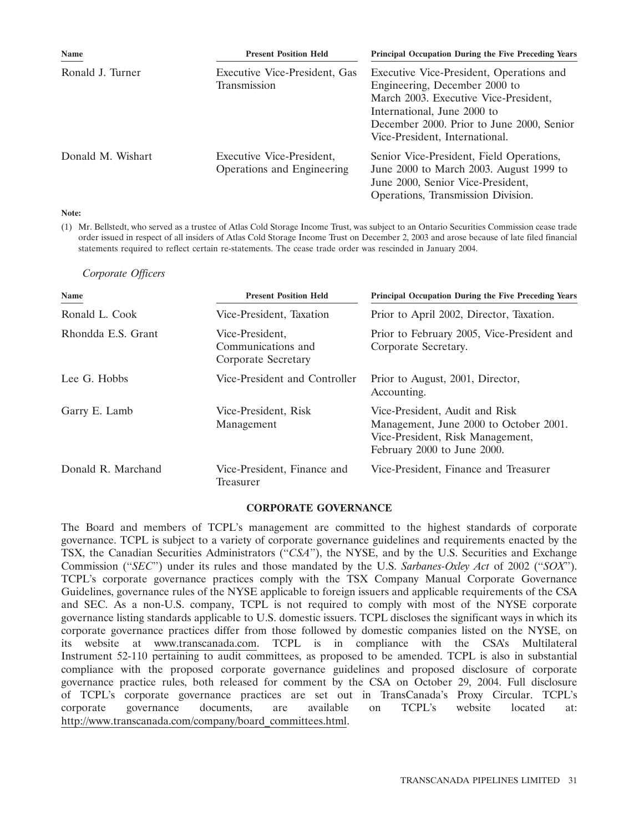| <b>Name</b>       | <b>Present Position Held</b>                            | <b>Principal Occupation During the Five Preceding Years</b>                                                                                                                                                                      |
|-------------------|---------------------------------------------------------|----------------------------------------------------------------------------------------------------------------------------------------------------------------------------------------------------------------------------------|
| Ronald J. Turner  | Executive Vice-President, Gas<br>Transmission           | Executive Vice-President, Operations and<br>Engineering, December 2000 to<br>March 2003. Executive Vice-President,<br>International, June 2000 to<br>December 2000. Prior to June 2000, Senior<br>Vice-President, International. |
| Donald M. Wishart | Executive Vice-President,<br>Operations and Engineering | Senior Vice-President, Field Operations,<br>June 2000 to March 2003. August 1999 to<br>June 2000, Senior Vice-President,<br>Operations, Transmission Division.                                                                   |

### **Note:**

(1) Mr. Bellstedt, who served as a trustee of Atlas Cold Storage Income Trust, was subject to an Ontario Securities Commission cease trade order issued in respect of all insiders of Atlas Cold Storage Income Trust on December 2, 2003 and arose because of late filed financial statements required to reflect certain re-statements. The cease trade order was rescinded in January 2004.

*Corporate Officers*

| Name               | <b>Present Position Held</b>                                 | Principal Occupation During the Five Preceding Years                                                                                        |
|--------------------|--------------------------------------------------------------|---------------------------------------------------------------------------------------------------------------------------------------------|
| Ronald L. Cook     | Vice-President, Taxation                                     | Prior to April 2002, Director, Taxation.                                                                                                    |
| Rhondda E.S. Grant | Vice-President,<br>Communications and<br>Corporate Secretary | Prior to February 2005, Vice-President and<br>Corporate Secretary.                                                                          |
| Lee G. Hobbs       | Vice-President and Controller                                | Prior to August, 2001, Director,<br>Accounting.                                                                                             |
| Garry E. Lamb      | Vice-President, Risk<br>Management                           | Vice-President, Audit and Risk<br>Management, June 2000 to October 2001.<br>Vice-President, Risk Management,<br>February 2000 to June 2000. |
| Donald R. Marchand | Vice-President, Finance and<br>Treasurer                     | Vice-President, Finance and Treasurer                                                                                                       |

### **CORPORATE GOVERNANCE**

The Board and members of TCPL's management are committed to the highest standards of corporate governance. TCPL is subject to a variety of corporate governance guidelines and requirements enacted by the TSX, the Canadian Securities Administrators ("CSA"), the NYSE, and by the U.S. Securities and Exchange Commission (''*SEC*'') under its rules and those mandated by the U.S. *Sarbanes-Oxley Act* of 2002 (''*SOX*''). TCPL's corporate governance practices comply with the TSX Company Manual Corporate Governance Guidelines, governance rules of the NYSE applicable to foreign issuers and applicable requirements of the CSA and SEC. As a non-U.S. company, TCPL is not required to comply with most of the NYSE corporate governance listing standards applicable to U.S. domestic issuers. TCPL discloses the significant ways in which its corporate governance practices differ from those followed by domestic companies listed on the NYSE, on its website at www.transcanada.com. TCPL is in compliance with the CSA's Multilateral Instrument 52-110 pertaining to audit committees, as proposed to be amended. TCPL is also in substantial compliance with the proposed corporate governance guidelines and proposed disclosure of corporate governance practice rules, both released for comment by the CSA on October 29, 2004. Full disclosure of TCPL's corporate governance practices are set out in TransCanada's Proxy Circular. TCPL's corporate governance documents, are available on TCPL's website located at: http://www.transcanada.com/company/board\_committees.html.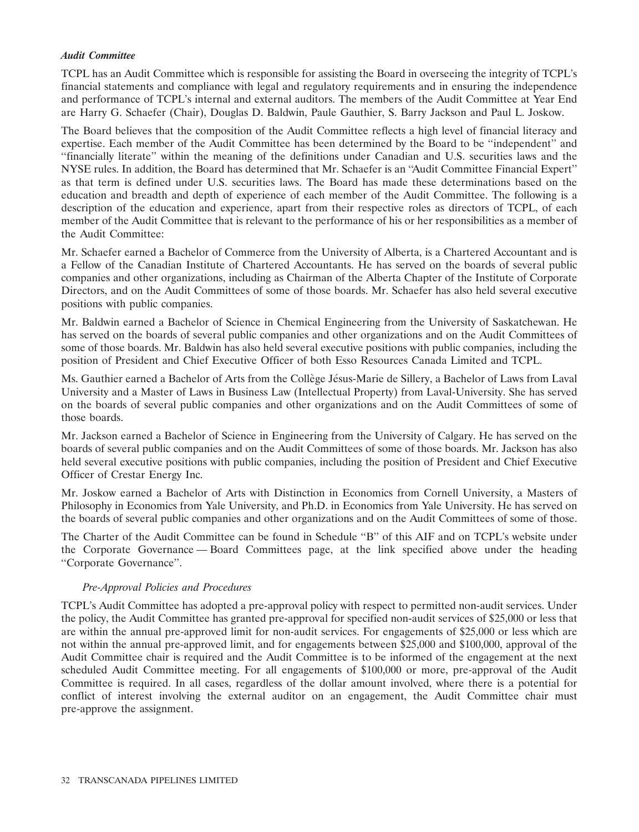# *Audit Committee*

TCPL has an Audit Committee which is responsible for assisting the Board in overseeing the integrity of TCPL's financial statements and compliance with legal and regulatory requirements and in ensuring the independence and performance of TCPL's internal and external auditors. The members of the Audit Committee at Year End are Harry G. Schaefer (Chair), Douglas D. Baldwin, Paule Gauthier, S. Barry Jackson and Paul L. Joskow.

The Board believes that the composition of the Audit Committee reflects a high level of financial literacy and expertise. Each member of the Audit Committee has been determined by the Board to be ''independent'' and ''financially literate'' within the meaning of the definitions under Canadian and U.S. securities laws and the NYSE rules. In addition, the Board has determined that Mr. Schaefer is an ''Audit Committee Financial Expert'' as that term is defined under U.S. securities laws. The Board has made these determinations based on the education and breadth and depth of experience of each member of the Audit Committee. The following is a description of the education and experience, apart from their respective roles as directors of TCPL, of each member of the Audit Committee that is relevant to the performance of his or her responsibilities as a member of the Audit Committee:

Mr. Schaefer earned a Bachelor of Commerce from the University of Alberta, is a Chartered Accountant and is a Fellow of the Canadian Institute of Chartered Accountants. He has served on the boards of several public companies and other organizations, including as Chairman of the Alberta Chapter of the Institute of Corporate Directors, and on the Audit Committees of some of those boards. Mr. Schaefer has also held several executive positions with public companies.

Mr. Baldwin earned a Bachelor of Science in Chemical Engineering from the University of Saskatchewan. He has served on the boards of several public companies and other organizations and on the Audit Committees of some of those boards. Mr. Baldwin has also held several executive positions with public companies, including the position of President and Chief Executive Officer of both Esso Resources Canada Limited and TCPL.

Ms. Gauthier earned a Bachelor of Arts from the Collège Jésus-Marie de Sillery, a Bachelor of Laws from Laval University and a Master of Laws in Business Law (Intellectual Property) from Laval-University. She has served on the boards of several public companies and other organizations and on the Audit Committees of some of those boards.

Mr. Jackson earned a Bachelor of Science in Engineering from the University of Calgary. He has served on the boards of several public companies and on the Audit Committees of some of those boards. Mr. Jackson has also held several executive positions with public companies, including the position of President and Chief Executive Officer of Crestar Energy Inc.

Mr. Joskow earned a Bachelor of Arts with Distinction in Economics from Cornell University, a Masters of Philosophy in Economics from Yale University, and Ph.D. in Economics from Yale University. He has served on the boards of several public companies and other organizations and on the Audit Committees of some of those.

The Charter of the Audit Committee can be found in Schedule ''B'' of this AIF and on TCPL's website under the Corporate Governance — Board Committees page, at the link specified above under the heading ''Corporate Governance''.

# *Pre-Approval Policies and Procedures*

TCPL's Audit Committee has adopted a pre-approval policy with respect to permitted non-audit services. Under the policy, the Audit Committee has granted pre-approval for specified non-audit services of \$25,000 or less that are within the annual pre-approved limit for non-audit services. For engagements of \$25,000 or less which are not within the annual pre-approved limit, and for engagements between \$25,000 and \$100,000, approval of the Audit Committee chair is required and the Audit Committee is to be informed of the engagement at the next scheduled Audit Committee meeting. For all engagements of \$100,000 or more, pre-approval of the Audit Committee is required. In all cases, regardless of the dollar amount involved, where there is a potential for conflict of interest involving the external auditor on an engagement, the Audit Committee chair must pre-approve the assignment.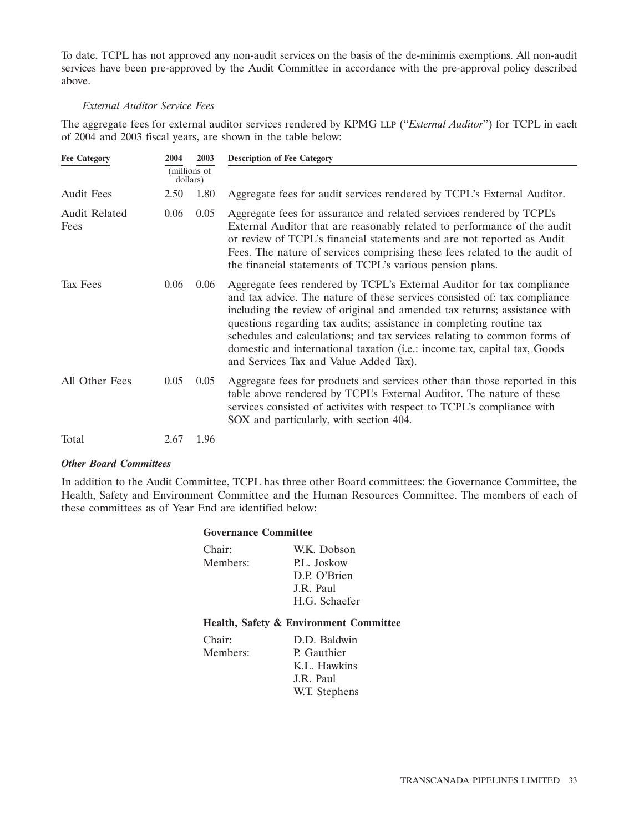To date, TCPL has not approved any non-audit services on the basis of the de-minimis exemptions. All non-audit services have been pre-approved by the Audit Committee in accordance with the pre-approval policy described above.

### *External Auditor Service Fees*

The aggregate fees for external auditor services rendered by KPMG LLP (''*External Auditor*'') for TCPL in each of 2004 and 2003 fiscal years, are shown in the table below:

| <b>Fee Category</b>          | 2004     | 2003         | <b>Description of Fee Category</b>                                                                                                                                                                                                                                                                                                                                                                                                                                                                         |
|------------------------------|----------|--------------|------------------------------------------------------------------------------------------------------------------------------------------------------------------------------------------------------------------------------------------------------------------------------------------------------------------------------------------------------------------------------------------------------------------------------------------------------------------------------------------------------------|
|                              | dollars) | (millions of |                                                                                                                                                                                                                                                                                                                                                                                                                                                                                                            |
| <b>Audit Fees</b>            | 2.50     | 1.80         | Aggregate fees for audit services rendered by TCPL's External Auditor.                                                                                                                                                                                                                                                                                                                                                                                                                                     |
| <b>Audit Related</b><br>Fees | 0.06     | 0.05         | Aggregate fees for assurance and related services rendered by TCPL's<br>External Auditor that are reasonably related to performance of the audit<br>or review of TCPL's financial statements and are not reported as Audit<br>Fees. The nature of services comprising these fees related to the audit of<br>the financial statements of TCPL's various pension plans.                                                                                                                                      |
| Tax Fees                     | 0.06     | 0.06         | Aggregate fees rendered by TCPL's External Auditor for tax compliance<br>and tax advice. The nature of these services consisted of: tax compliance<br>including the review of original and amended tax returns; assistance with<br>questions regarding tax audits; assistance in completing routine tax<br>schedules and calculations; and tax services relating to common forms of<br>domestic and international taxation (i.e.: income tax, capital tax, Goods<br>and Services Tax and Value Added Tax). |
| All Other Fees               | 0.05     | 0.05         | Aggregate fees for products and services other than those reported in this<br>table above rendered by TCPL's External Auditor. The nature of these<br>services consisted of activites with respect to TCPL's compliance with<br>SOX and particularly, with section 404.                                                                                                                                                                                                                                    |
| Total                        | 2.67     | 1.96         |                                                                                                                                                                                                                                                                                                                                                                                                                                                                                                            |

### *Other Board Committees*

In addition to the Audit Committee, TCPL has three other Board committees: the Governance Committee, the Health, Safety and Environment Committee and the Human Resources Committee. The members of each of these committees as of Year End are identified below:

### **Governance Committee**

| Chair:   | W.K. Dobson   |
|----------|---------------|
| Members: | P.L. Joskow   |
|          | D.P. O'Brien  |
|          | J.R. Paul     |
|          | H.G. Schaefer |
|          |               |

# **Health, Safety & Environment Committee**

| Chair:   | D.D. Baldwin  |
|----------|---------------|
| Members: | P. Gauthier   |
|          | K.L. Hawkins  |
|          | J.R. Paul     |
|          | W.T. Stephens |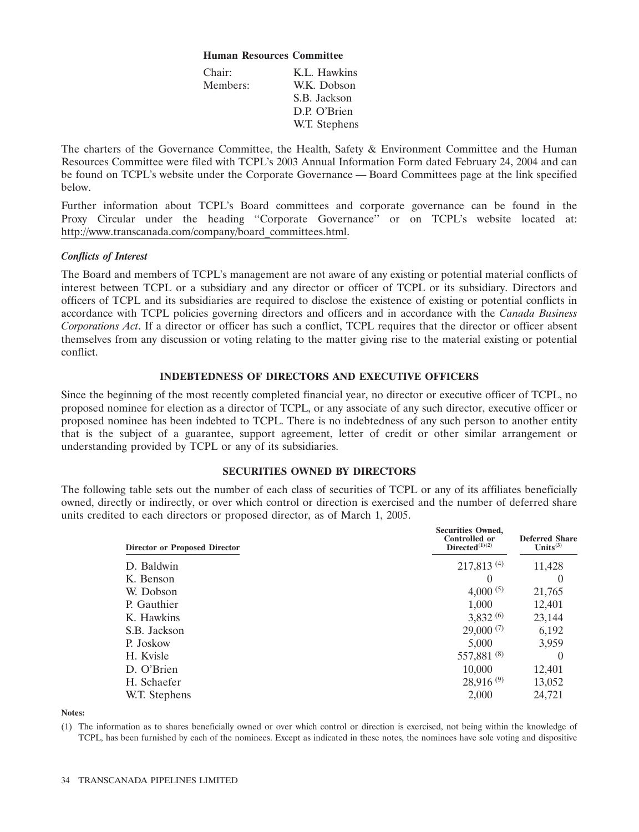### **Human Resources Committee**

| Chair:   | K.L. Hawkins  |
|----------|---------------|
| Members: | W.K. Dobson   |
|          | S.B. Jackson  |
|          | D.P. O'Brien  |
|          | W.T. Stephens |
|          |               |

The charters of the Governance Committee, the Health, Safety & Environment Committee and the Human Resources Committee were filed with TCPL's 2003 Annual Information Form dated February 24, 2004 and can be found on TCPL's website under the Corporate Governance — Board Committees page at the link specified below.

Further information about TCPL's Board committees and corporate governance can be found in the Proxy Circular under the heading ''Corporate Governance'' or on TCPL's website located at: http://www.transcanada.com/company/board\_committees.html.

# *Conflicts of Interest*

The Board and members of TCPL's management are not aware of any existing or potential material conflicts of interest between TCPL or a subsidiary and any director or officer of TCPL or its subsidiary. Directors and officers of TCPL and its subsidiaries are required to disclose the existence of existing or potential conflicts in accordance with TCPL policies governing directors and officers and in accordance with the *Canada Business Corporations Act*. If a director or officer has such a conflict, TCPL requires that the director or officer absent themselves from any discussion or voting relating to the matter giving rise to the material existing or potential conflict.

### **INDEBTEDNESS OF DIRECTORS AND EXECUTIVE OFFICERS**

Since the beginning of the most recently completed financial year, no director or executive officer of TCPL, no proposed nominee for election as a director of TCPL, or any associate of any such director, executive officer or proposed nominee has been indebted to TCPL. There is no indebtedness of any such person to another entity that is the subject of a guarantee, support agreement, letter of credit or other similar arrangement or understanding provided by TCPL or any of its subsidiaries.

# **SECURITIES OWNED BY DIRECTORS**

The following table sets out the number of each class of securities of TCPL or any of its affiliates beneficially owned, directly or indirectly, or over which control or direction is exercised and the number of deferred share units credited to each directors or proposed director, as of March 1, 2005.

| <b>Director or Proposed Director</b> | <b>Securities Owned,</b><br><b>Controlled or</b><br>Directed $(1)(2)$ | <b>Deferred Share</b><br>Units $(3)$ |  |  |
|--------------------------------------|-----------------------------------------------------------------------|--------------------------------------|--|--|
| D. Baldwin                           | 217,813(4)                                                            | 11,428                               |  |  |
| K. Benson                            | $\theta$                                                              | $\theta$                             |  |  |
| W. Dobson                            | $4,000^{(5)}$                                                         | 21,765                               |  |  |
| P. Gauthier                          | 1.000                                                                 | 12,401                               |  |  |
| K. Hawkins                           | 3,832(6)                                                              | 23,144                               |  |  |
| S.B. Jackson                         | $29,000^{(7)}$                                                        | 6,192                                |  |  |
| P. Joskow                            | 5,000                                                                 | 3,959                                |  |  |
| H. Kvisle                            | 557,881 $(8)$                                                         | $\theta$                             |  |  |
| D. O'Brien                           | 10,000                                                                | 12,401                               |  |  |
| H. Schaefer                          | $28,916^{(9)}$                                                        | 13,052                               |  |  |
| W.T. Stephens                        | 2,000                                                                 | 24,721                               |  |  |

**Notes:**

(1) The information as to shares beneficially owned or over which control or direction is exercised, not being within the knowledge of TCPL, has been furnished by each of the nominees. Except as indicated in these notes, the nominees have sole voting and dispositive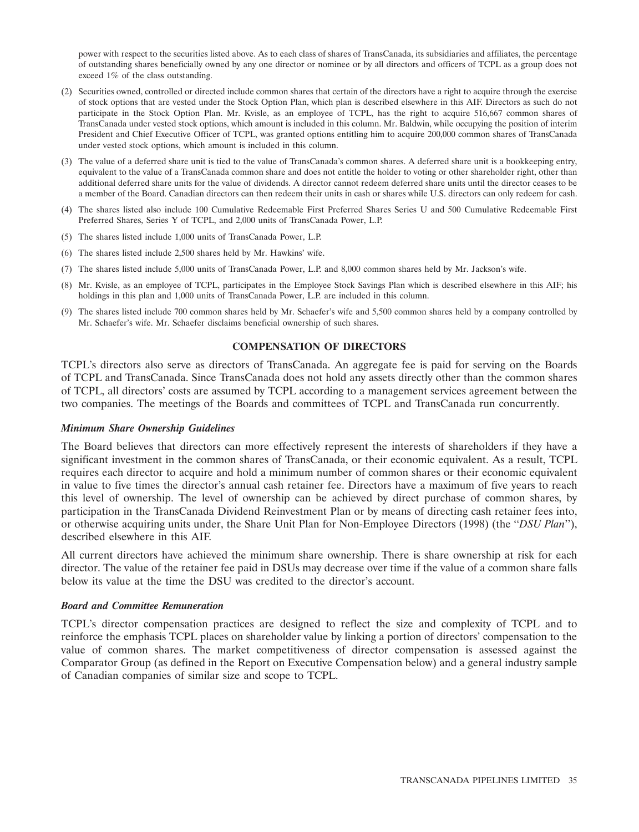power with respect to the securities listed above. As to each class of shares of TransCanada, its subsidiaries and affiliates, the percentage of outstanding shares beneficially owned by any one director or nominee or by all directors and officers of TCPL as a group does not exceed 1% of the class outstanding.

- (2) Securities owned, controlled or directed include common shares that certain of the directors have a right to acquire through the exercise of stock options that are vested under the Stock Option Plan, which plan is described elsewhere in this AIF. Directors as such do not participate in the Stock Option Plan. Mr. Kvisle, as an employee of TCPL, has the right to acquire 516,667 common shares of TransCanada under vested stock options, which amount is included in this column. Mr. Baldwin, while occupying the position of interim President and Chief Executive Officer of TCPL, was granted options entitling him to acquire 200,000 common shares of TransCanada under vested stock options, which amount is included in this column.
- (3) The value of a deferred share unit is tied to the value of TransCanada's common shares. A deferred share unit is a bookkeeping entry, equivalent to the value of a TransCanada common share and does not entitle the holder to voting or other shareholder right, other than additional deferred share units for the value of dividends. A director cannot redeem deferred share units until the director ceases to be a member of the Board. Canadian directors can then redeem their units in cash or shares while U.S. directors can only redeem for cash.
- (4) The shares listed also include 100 Cumulative Redeemable First Preferred Shares Series U and 500 Cumulative Redeemable First Preferred Shares, Series Y of TCPL, and 2,000 units of TransCanada Power, L.P.
- (5) The shares listed include 1,000 units of TransCanada Power, L.P.
- (6) The shares listed include 2,500 shares held by Mr. Hawkins' wife.
- (7) The shares listed include 5,000 units of TransCanada Power, L.P. and 8,000 common shares held by Mr. Jackson's wife.
- (8) Mr. Kvisle, as an employee of TCPL, participates in the Employee Stock Savings Plan which is described elsewhere in this AIF; his holdings in this plan and 1,000 units of TransCanada Power, L.P. are included in this column.
- (9) The shares listed include 700 common shares held by Mr. Schaefer's wife and 5,500 common shares held by a company controlled by Mr. Schaefer's wife. Mr. Schaefer disclaims beneficial ownership of such shares.

### **COMPENSATION OF DIRECTORS**

TCPL's directors also serve as directors of TransCanada. An aggregate fee is paid for serving on the Boards of TCPL and TransCanada. Since TransCanada does not hold any assets directly other than the common shares of TCPL, all directors' costs are assumed by TCPL according to a management services agreement between the two companies. The meetings of the Boards and committees of TCPL and TransCanada run concurrently.

### *Minimum Share Ownership Guidelines*

The Board believes that directors can more effectively represent the interests of shareholders if they have a significant investment in the common shares of TransCanada, or their economic equivalent. As a result, TCPL requires each director to acquire and hold a minimum number of common shares or their economic equivalent in value to five times the director's annual cash retainer fee. Directors have a maximum of five years to reach this level of ownership. The level of ownership can be achieved by direct purchase of common shares, by participation in the TransCanada Dividend Reinvestment Plan or by means of directing cash retainer fees into, or otherwise acquiring units under, the Share Unit Plan for Non-Employee Directors (1998) (the ''*DSU Plan*''), described elsewhere in this AIF.

All current directors have achieved the minimum share ownership. There is share ownership at risk for each director. The value of the retainer fee paid in DSUs may decrease over time if the value of a common share falls below its value at the time the DSU was credited to the director's account.

### *Board and Committee Remuneration*

TCPL's director compensation practices are designed to reflect the size and complexity of TCPL and to reinforce the emphasis TCPL places on shareholder value by linking a portion of directors' compensation to the value of common shares. The market competitiveness of director compensation is assessed against the Comparator Group (as defined in the Report on Executive Compensation below) and a general industry sample of Canadian companies of similar size and scope to TCPL.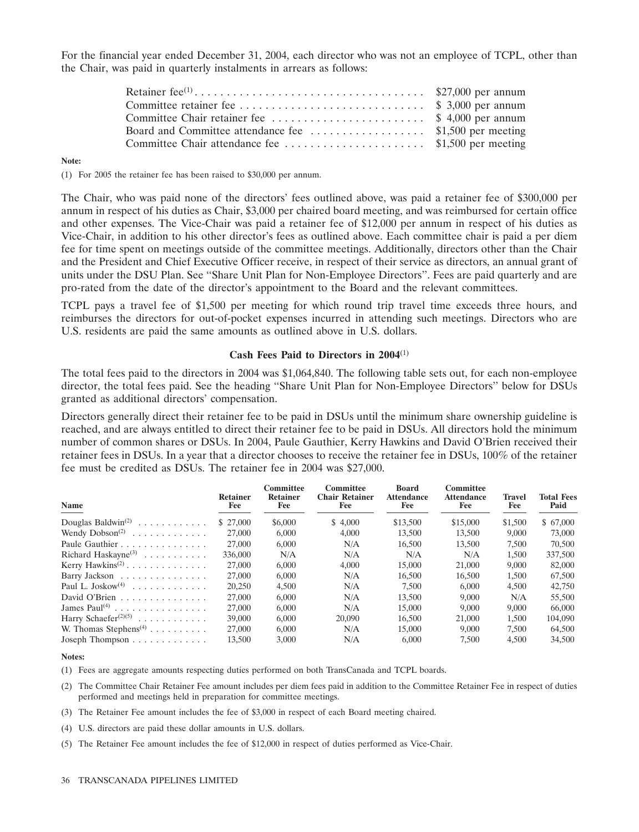For the financial year ended December 31, 2004, each director who was not an employee of TCPL, other than the Chair, was paid in quarterly instalments in arrears as follows:

#### **Note:**

(1) For 2005 the retainer fee has been raised to \$30,000 per annum.

The Chair, who was paid none of the directors' fees outlined above, was paid a retainer fee of \$300,000 per annum in respect of his duties as Chair, \$3,000 per chaired board meeting, and was reimbursed for certain office and other expenses. The Vice-Chair was paid a retainer fee of \$12,000 per annum in respect of his duties as Vice-Chair, in addition to his other director's fees as outlined above. Each committee chair is paid a per diem fee for time spent on meetings outside of the committee meetings. Additionally, directors other than the Chair and the President and Chief Executive Officer receive, in respect of their service as directors, an annual grant of units under the DSU Plan. See ''Share Unit Plan for Non-Employee Directors''. Fees are paid quarterly and are pro-rated from the date of the director's appointment to the Board and the relevant committees.

TCPL pays a travel fee of \$1,500 per meeting for which round trip travel time exceeds three hours, and reimburses the directors for out-of-pocket expenses incurred in attending such meetings. Directors who are U.S. residents are paid the same amounts as outlined above in U.S. dollars.

### **Cash Fees Paid to Directors in 2004**(1)

The total fees paid to the directors in 2004 was \$1,064,840. The following table sets out, for each non-employee director, the total fees paid. See the heading ''Share Unit Plan for Non-Employee Directors'' below for DSUs granted as additional directors' compensation.

Directors generally direct their retainer fee to be paid in DSUs until the minimum share ownership guideline is reached, and are always entitled to direct their retainer fee to be paid in DSUs. All directors hold the minimum number of common shares or DSUs. In 2004, Paule Gauthier, Kerry Hawkins and David O'Brien received their retainer fees in DSUs. In a year that a director chooses to receive the retainer fee in DSUs, 100% of the retainer fee must be credited as DSUs. The retainer fee in 2004 was \$27,000.

| <b>Name</b>                                    | <b>Retainer</b><br>Fee | Committee<br><b>Retainer</b><br>Fee | Committee<br><b>Chair Retainer</b><br>Fee | <b>Board</b><br><b>Attendance</b><br>Fee | Committee<br><b>Attendance</b><br>Fee | <b>Travel</b><br>Fee | <b>Total Fees</b><br>Paid |
|------------------------------------------------|------------------------|-------------------------------------|-------------------------------------------|------------------------------------------|---------------------------------------|----------------------|---------------------------|
| Douglas Baldwin <sup>(2)</sup>                 | \$ 27,000              | \$6,000                             | \$4.000                                   | \$13,500                                 | \$15,000                              | \$1,500              | \$67,000                  |
| Wendy $Dobson^{(2)}$                           | 27,000                 | 6,000                               | 4,000                                     | 13,500                                   | 13,500                                | 9,000                | 73,000                    |
| Paule Gauthier                                 | 27,000                 | 6,000                               | N/A                                       | 16,500                                   | 13,500                                | 7,500                | 70,500                    |
| Richard Haskayne <sup>(3)</sup>                | 336,000                | N/A                                 | N/A                                       | N/A                                      | N/A                                   | 1,500                | 337,500                   |
| Kerry Hawkins <sup><math>(2)</math></sup> .    | 27,000                 | 6,000                               | 4,000                                     | 15,000                                   | 21,000                                | 9,000                | 82,000                    |
| Barry Jackson                                  | 27,000                 | 6,000                               | N/A                                       | 16.500                                   | 16,500                                | 1,500                | 67,500                    |
| Paul L. Joskow <sup>(4)</sup>                  | 20,250                 | 4.500                               | N/A                                       | 7.500                                    | 6,000                                 | 4.500                | 42,750                    |
| David O'Brien                                  | 27,000                 | 6,000                               | N/A                                       | 13,500                                   | 9,000                                 | N/A                  | 55,500                    |
| James Paul <sup>(4)</sup>                      | 27,000                 | 6,000                               | N/A                                       | 15,000                                   | 9,000                                 | 9,000                | 66,000                    |
| Harry Schaefer <sup><math>(2)(5)</math></sup>  | 39,000                 | 6,000                               | 20,090                                    | 16,500                                   | 21,000                                | 1.500                | 104,090                   |
| W. Thomas Stephens <sup><math>(4)</math></sup> | 27,000                 | 6,000                               | N/A                                       | 15,000                                   | 9,000                                 | 7.500                | 64,500                    |
| Joseph Thompson $\dots \dots \dots \dots$      | 13.500                 | 3.000                               | N/A                                       | 6,000                                    | 7.500                                 | 4.500                | 34,500                    |

#### **Notes:**

(1) Fees are aggregate amounts respecting duties performed on both TransCanada and TCPL boards.

- (2) The Committee Chair Retainer Fee amount includes per diem fees paid in addition to the Committee Retainer Fee in respect of duties performed and meetings held in preparation for committee meetings.
- (3) The Retainer Fee amount includes the fee of \$3,000 in respect of each Board meeting chaired.
- (4) U.S. directors are paid these dollar amounts in U.S. dollars.
- (5) The Retainer Fee amount includes the fee of \$12,000 in respect of duties performed as Vice-Chair.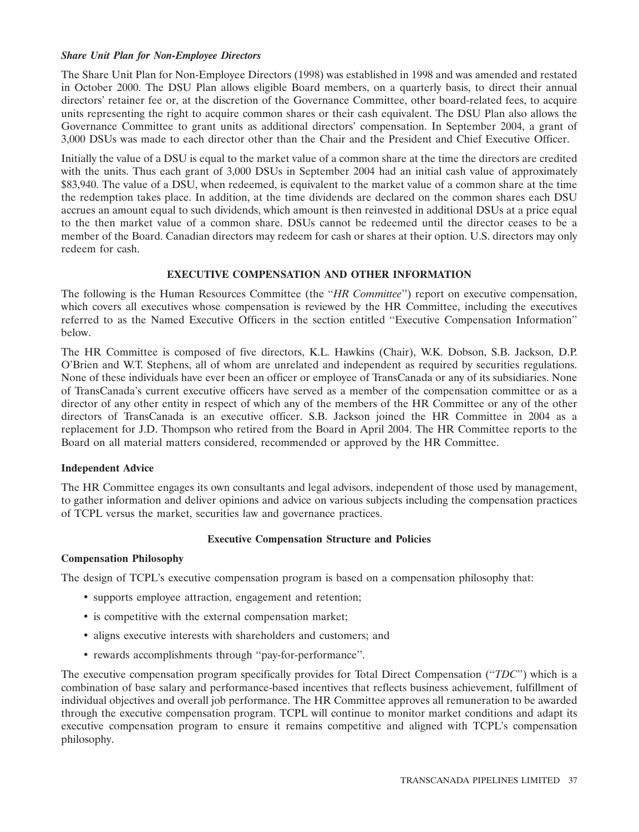# *Share Unit Plan for Non-Employee Directors*

The Share Unit Plan for Non-Employee Directors (1998) was established in 1998 and was amended and restated in October 2000. The DSU Plan allows eligible Board members, on a quarterly basis, to direct their annual directors' retainer fee or, at the discretion of the Governance Committee, other board-related fees, to acquire units representing the right to acquire common shares or their cash equivalent. The DSU Plan also allows the Governance Committee to grant units as additional directors' compensation. In September 2004, a grant of 3,000 DSUs was made to each director other than the Chair and the President and Chief Executive Officer.

Initially the value of a DSU is equal to the market value of a common share at the time the directors are credited with the units. Thus each grant of 3,000 DSUs in September 2004 had an initial cash value of approximately \$83,940. The value of a DSU, when redeemed, is equivalent to the market value of a common share at the time the redemption takes place. In addition, at the time dividends are declared on the common shares each DSU accrues an amount equal to such dividends, which amount is then reinvested in additional DSUs at a price equal to the then market value of a common share. DSUs cannot be redeemed until the director ceases to be a member of the Board. Canadian directors may redeem for cash or shares at their option. U.S. directors may only redeem for cash.

# **EXECUTIVE COMPENSATION AND OTHER INFORMATION**

The following is the Human Resources Committee (the ''*HR Committee*'') report on executive compensation, which covers all executives whose compensation is reviewed by the HR Committee, including the executives referred to as the Named Executive Officers in the section entitled ''Executive Compensation Information'' below.

The HR Committee is composed of five directors, K.L. Hawkins (Chair), W.K. Dobson, S.B. Jackson, D.P. O'Brien and W.T. Stephens, all of whom are unrelated and independent as required by securities regulations. None of these individuals have ever been an officer or employee of TransCanada or any of its subsidiaries. None of TransCanada's current executive officers have served as a member of the compensation committee or as a director of any other entity in respect of which any of the members of the HR Committee or any of the other directors of TransCanada is an executive officer. S.B. Jackson joined the HR Committee in 2004 as a replacement for J.D. Thompson who retired from the Board in April 2004. The HR Committee reports to the Board on all material matters considered, recommended or approved by the HR Committee.

# **Independent Advice**

The HR Committee engages its own consultants and legal advisors, independent of those used by management, to gather information and deliver opinions and advice on various subjects including the compensation practices of TCPL versus the market, securities law and governance practices.

# **Executive Compensation Structure and Policies**

# **Compensation Philosophy**

The design of TCPL's executive compensation program is based on a compensation philosophy that:

- supports employee attraction, engagement and retention;
- is competitive with the external compensation market;
- aligns executive interests with shareholders and customers; and
- rewards accomplishments through ''pay-for-performance''.

The executive compensation program specifically provides for Total Direct Compensation (''*TDC*'') which is a combination of base salary and performance-based incentives that reflects business achievement, fulfillment of individual objectives and overall job performance. The HR Committee approves all remuneration to be awarded through the executive compensation program. TCPL will continue to monitor market conditions and adapt its executive compensation program to ensure it remains competitive and aligned with TCPL's compensation philosophy.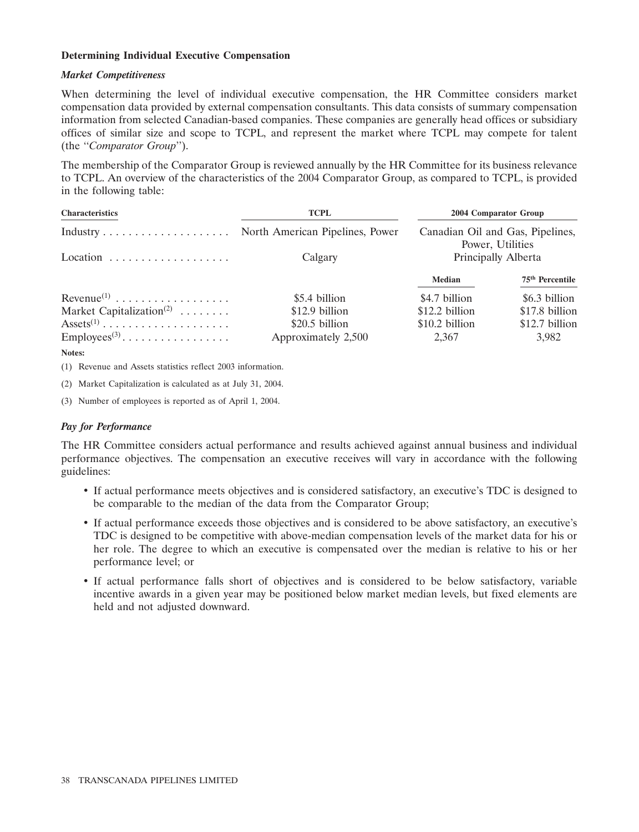# **Determining Individual Executive Compensation**

### *Market Competitiveness*

When determining the level of individual executive compensation, the HR Committee considers market compensation data provided by external compensation consultants. This data consists of summary compensation information from selected Canadian-based companies. These companies are generally head offices or subsidiary offices of similar size and scope to TCPL, and represent the market where TCPL may compete for talent (the ''*Comparator Group*'').

The membership of the Comparator Group is reviewed annually by the HR Committee for its business relevance to TCPL. An overview of the characteristics of the 2004 Comparator Group, as compared to TCPL, is provided in the following table:

| <b>Characteristics</b>                                       | <b>TCPL</b>         | 2004 Comparator Group<br>Canadian Oil and Gas, Pipelines,<br>Power, Utilities<br>Principally Alberta |                             |  |
|--------------------------------------------------------------|---------------------|------------------------------------------------------------------------------------------------------|-----------------------------|--|
|                                                              |                     |                                                                                                      |                             |  |
|                                                              | Calgary             |                                                                                                      |                             |  |
|                                                              |                     | Median                                                                                               | 75 <sup>th</sup> Percentile |  |
|                                                              | \$5.4 billion       | \$4.7 billion                                                                                        | \$6.3 billion               |  |
| Market Capitalization <sup>(2)</sup>                         | \$12.9 billion      | \$12.2 billion                                                                                       | \$17.8 billion              |  |
| $\text{Assets}^{(1)}$                                        | \$20.5 billion      | \$10.2 billion                                                                                       | \$12.7 billion              |  |
| $\text{Employees}^{(3)} \dots \dots \dots \dots \dots \dots$ | Approximately 2,500 | 2,367                                                                                                | 3,982                       |  |

**Notes:**

(1) Revenue and Assets statistics reflect 2003 information.

(2) Market Capitalization is calculated as at July 31, 2004.

(3) Number of employees is reported as of April 1, 2004.

# *Pay for Performance*

The HR Committee considers actual performance and results achieved against annual business and individual performance objectives. The compensation an executive receives will vary in accordance with the following guidelines:

- If actual performance meets objectives and is considered satisfactory, an executive's TDC is designed to be comparable to the median of the data from the Comparator Group;
- If actual performance exceeds those objectives and is considered to be above satisfactory, an executive's TDC is designed to be competitive with above-median compensation levels of the market data for his or her role. The degree to which an executive is compensated over the median is relative to his or her performance level; or
- If actual performance falls short of objectives and is considered to be below satisfactory, variable incentive awards in a given year may be positioned below market median levels, but fixed elements are held and not adjusted downward.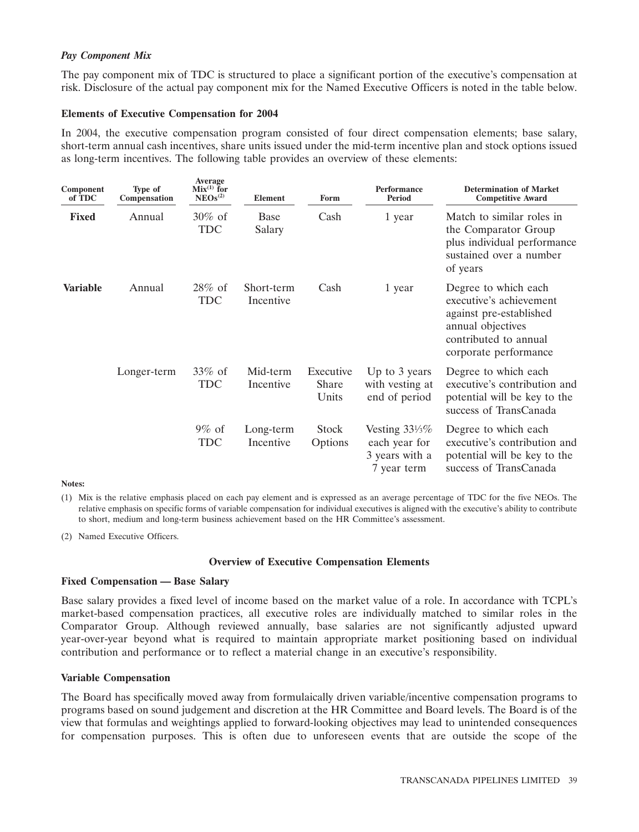# *Pay Component Mix*

The pay component mix of TDC is structured to place a significant portion of the executive's compensation at risk. Disclosure of the actual pay component mix for the Named Executive Officers is noted in the table below.

# **Elements of Executive Compensation for 2004**

In 2004, the executive compensation program consisted of four direct compensation elements; base salary, short-term annual cash incentives, share units issued under the mid-term incentive plan and stock options issued as long-term incentives. The following table provides an overview of these elements:

| Component<br>of TDC | Type of<br>Compensation | Average<br>$Mix^{(1)}$ for<br>NEOs <sup>(2)</sup> | <b>Element</b>          | Form                        | Performance<br><b>Period</b>                                                | <b>Determination of Market</b><br><b>Competitive Award</b>                                                                                        |
|---------------------|-------------------------|---------------------------------------------------|-------------------------|-----------------------------|-----------------------------------------------------------------------------|---------------------------------------------------------------------------------------------------------------------------------------------------|
| <b>Fixed</b>        | Annual                  | $30\%$ of<br>TDC                                  | <b>Base</b><br>Salary   | Cash                        | 1 year                                                                      | Match to similar roles in<br>the Comparator Group<br>plus individual performance<br>sustained over a number<br>of years                           |
| <b>Variable</b>     | Annual                  | $28\%$ of<br><b>TDC</b>                           | Short-term<br>Incentive | Cash                        | 1 year                                                                      | Degree to which each<br>executive's achievement<br>against pre-established<br>annual objectives<br>contributed to annual<br>corporate performance |
|                     | Longer-term             | $33\%$ of<br><b>TDC</b>                           | Mid-term<br>Incentive   | Executive<br>Share<br>Units | Up to 3 years<br>with vesting at<br>end of period                           | Degree to which each<br>executive's contribution and<br>potential will be key to the<br>success of TransCanada                                    |
|                     |                         | $9\%$ of<br><b>TDC</b>                            | Long-term<br>Incentive  | <b>Stock</b><br>Options     | Vesting $33\frac{1}{3}\%$<br>each year for<br>3 years with a<br>7 year term | Degree to which each<br>executive's contribution and<br>potential will be key to the<br>success of TransCanada                                    |

#### **Notes:**

(1) Mix is the relative emphasis placed on each pay element and is expressed as an average percentage of TDC for the five NEOs. The relative emphasis on specific forms of variable compensation for individual executives is aligned with the executive's ability to contribute to short, medium and long-term business achievement based on the HR Committee's assessment.

(2) Named Executive Officers.

### **Overview of Executive Compensation Elements**

### **Fixed Compensation — Base Salary**

Base salary provides a fixed level of income based on the market value of a role. In accordance with TCPL's market-based compensation practices, all executive roles are individually matched to similar roles in the Comparator Group. Although reviewed annually, base salaries are not significantly adjusted upward year-over-year beyond what is required to maintain appropriate market positioning based on individual contribution and performance or to reflect a material change in an executive's responsibility.

### **Variable Compensation**

The Board has specifically moved away from formulaically driven variable/incentive compensation programs to programs based on sound judgement and discretion at the HR Committee and Board levels. The Board is of the view that formulas and weightings applied to forward-looking objectives may lead to unintended consequences for compensation purposes. This is often due to unforeseen events that are outside the scope of the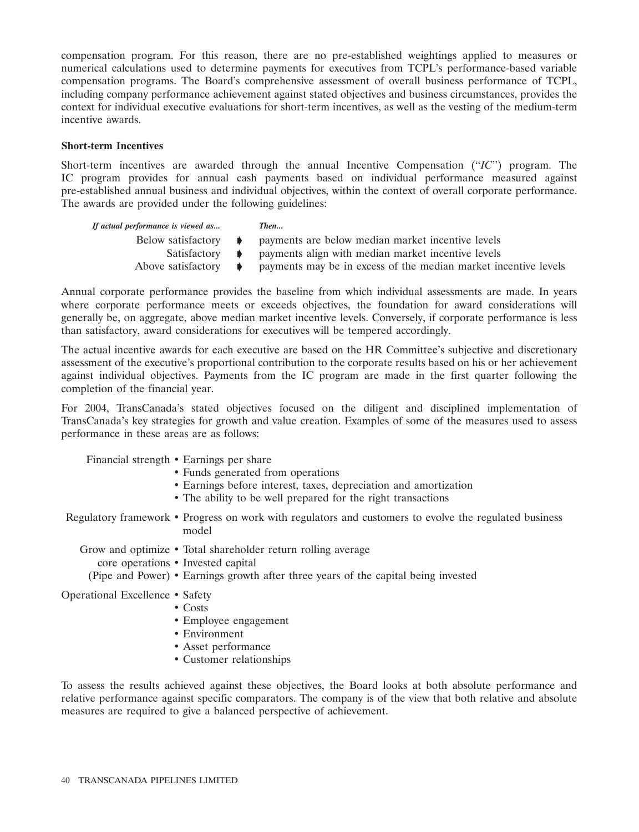compensation program. For this reason, there are no pre-established weightings applied to measures or numerical calculations used to determine payments for executives from TCPL's performance-based variable compensation programs. The Board's comprehensive assessment of overall business performance of TCPL, including company performance achievement against stated objectives and business circumstances, provides the context for individual executive evaluations for short-term incentives, as well as the vesting of the medium-term incentive awards.

# **Short-term Incentives**

Short-term incentives are awarded through the annual Incentive Compensation (''*IC*'') program. The IC program provides for annual cash payments based on individual performance measured against pre-established annual business and individual objectives, within the context of overall corporate performance. The awards are provided under the following guidelines:

| If actual performance is viewed as | Then                                                            |
|------------------------------------|-----------------------------------------------------------------|
| Below satisfactory $\rightarrow$   | payments are below median market incentive levels               |
| $Satisfactory \rightarrow$         | payments align with median market incentive levels              |
| Above satisfactory $\rightarrow$   | payments may be in excess of the median market incentive levels |

Annual corporate performance provides the baseline from which individual assessments are made. In years where corporate performance meets or exceeds objectives, the foundation for award considerations will generally be, on aggregate, above median market incentive levels. Conversely, if corporate performance is less than satisfactory, award considerations for executives will be tempered accordingly.

The actual incentive awards for each executive are based on the HR Committee's subjective and discretionary assessment of the executive's proportional contribution to the corporate results based on his or her achievement against individual objectives. Payments from the IC program are made in the first quarter following the completion of the financial year.

For 2004, TransCanada's stated objectives focused on the diligent and disciplined implementation of TransCanada's key strategies for growth and value creation. Examples of some of the measures used to assess performance in these areas are as follows:

Financial strength • Earnings per share

- Funds generated from operations
- Earnings before interest, taxes, depreciation and amortization
- The ability to be well prepared for the right transactions

Regulatory framework • Progress on work with regulators and customers to evolve the regulated business model

Grow and optimize • Total shareholder return rolling average

core operations • Invested capital

(Pipe and Power) • Earnings growth after three years of the capital being invested

Operational Excellence • Safety

- Costs
	- Employee engagement
	- Environment
	- Asset performance
	- Customer relationships

To assess the results achieved against these objectives, the Board looks at both absolute performance and relative performance against specific comparators. The company is of the view that both relative and absolute measures are required to give a balanced perspective of achievement.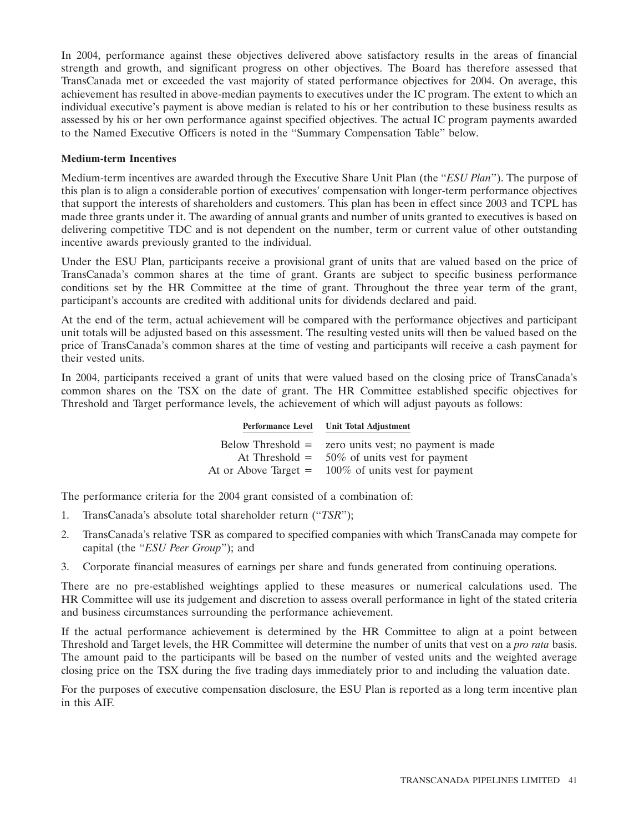In 2004, performance against these objectives delivered above satisfactory results in the areas of financial strength and growth, and significant progress on other objectives. The Board has therefore assessed that TransCanada met or exceeded the vast majority of stated performance objectives for 2004. On average, this achievement has resulted in above-median payments to executives under the IC program. The extent to which an individual executive's payment is above median is related to his or her contribution to these business results as assessed by his or her own performance against specified objectives. The actual IC program payments awarded to the Named Executive Officers is noted in the ''Summary Compensation Table'' below.

# **Medium-term Incentives**

Medium-term incentives are awarded through the Executive Share Unit Plan (the ''*ESU Plan*''). The purpose of this plan is to align a considerable portion of executives' compensation with longer-term performance objectives that support the interests of shareholders and customers. This plan has been in effect since 2003 and TCPL has made three grants under it. The awarding of annual grants and number of units granted to executives is based on delivering competitive TDC and is not dependent on the number, term or current value of other outstanding incentive awards previously granted to the individual.

Under the ESU Plan, participants receive a provisional grant of units that are valued based on the price of TransCanada's common shares at the time of grant. Grants are subject to specific business performance conditions set by the HR Committee at the time of grant. Throughout the three year term of the grant, participant's accounts are credited with additional units for dividends declared and paid.

At the end of the term, actual achievement will be compared with the performance objectives and participant unit totals will be adjusted based on this assessment. The resulting vested units will then be valued based on the price of TransCanada's common shares at the time of vesting and participants will receive a cash payment for their vested units.

In 2004, participants received a grant of units that were valued based on the closing price of TransCanada's common shares on the TSX on the date of grant. The HR Committee established specific objectives for Threshold and Target performance levels, the achievement of which will adjust payouts as follows:

**Performance Level Unit Total Adjustment**

|                        | Below Threshold $=$ zero units vest; no payment is made |
|------------------------|---------------------------------------------------------|
|                        | At Threshold = $50\%$ of units vest for payment         |
| At or Above Target $=$ | 100% of units vest for payment                          |

The performance criteria for the 2004 grant consisted of a combination of:

- 1. TransCanada's absolute total shareholder return (''*TSR*'');
- 2. TransCanada's relative TSR as compared to specified companies with which TransCanada may compete for capital (the ''*ESU Peer Group*''); and
- 3. Corporate financial measures of earnings per share and funds generated from continuing operations.

There are no pre-established weightings applied to these measures or numerical calculations used. The HR Committee will use its judgement and discretion to assess overall performance in light of the stated criteria and business circumstances surrounding the performance achievement.

If the actual performance achievement is determined by the HR Committee to align at a point between Threshold and Target levels, the HR Committee will determine the number of units that vest on a *pro rata* basis. The amount paid to the participants will be based on the number of vested units and the weighted average closing price on the TSX during the five trading days immediately prior to and including the valuation date.

For the purposes of executive compensation disclosure, the ESU Plan is reported as a long term incentive plan in this AIF.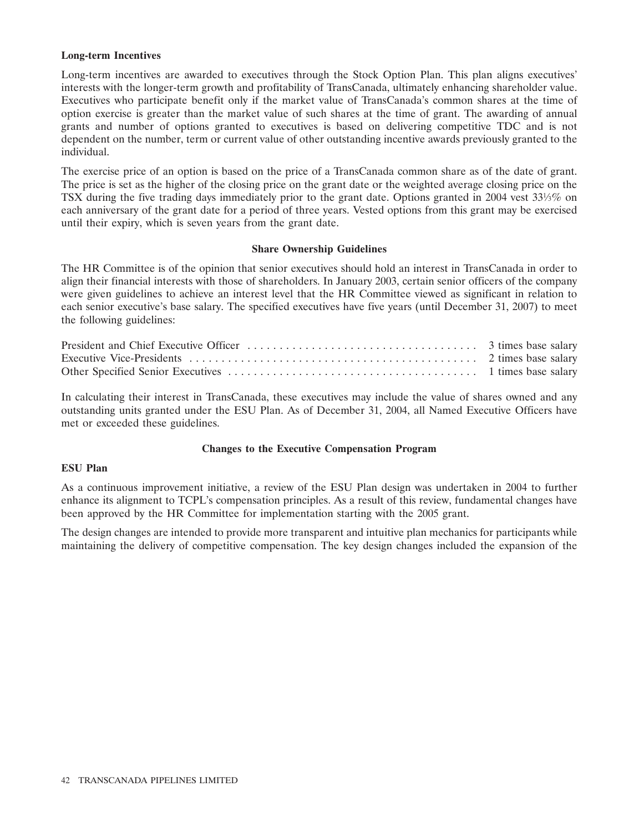### **Long-term Incentives**

Long-term incentives are awarded to executives through the Stock Option Plan. This plan aligns executives' interests with the longer-term growth and profitability of TransCanada, ultimately enhancing shareholder value. Executives who participate benefit only if the market value of TransCanada's common shares at the time of option exercise is greater than the market value of such shares at the time of grant. The awarding of annual grants and number of options granted to executives is based on delivering competitive TDC and is not dependent on the number, term or current value of other outstanding incentive awards previously granted to the individual.

The exercise price of an option is based on the price of a TransCanada common share as of the date of grant. The price is set as the higher of the closing price on the grant date or the weighted average closing price on the TSX during the five trading days immediately prior to the grant date. Options granted in 2004 vest 331⁄3% on each anniversary of the grant date for a period of three years. Vested options from this grant may be exercised until their expiry, which is seven years from the grant date.

### **Share Ownership Guidelines**

The HR Committee is of the opinion that senior executives should hold an interest in TransCanada in order to align their financial interests with those of shareholders. In January 2003, certain senior officers of the company were given guidelines to achieve an interest level that the HR Committee viewed as significant in relation to each senior executive's base salary. The specified executives have five years (until December 31, 2007) to meet the following guidelines:

In calculating their interest in TransCanada, these executives may include the value of shares owned and any outstanding units granted under the ESU Plan. As of December 31, 2004, all Named Executive Officers have met or exceeded these guidelines.

### **Changes to the Executive Compensation Program**

### **ESU Plan**

As a continuous improvement initiative, a review of the ESU Plan design was undertaken in 2004 to further enhance its alignment to TCPL's compensation principles. As a result of this review, fundamental changes have been approved by the HR Committee for implementation starting with the 2005 grant.

The design changes are intended to provide more transparent and intuitive plan mechanics for participants while maintaining the delivery of competitive compensation. The key design changes included the expansion of the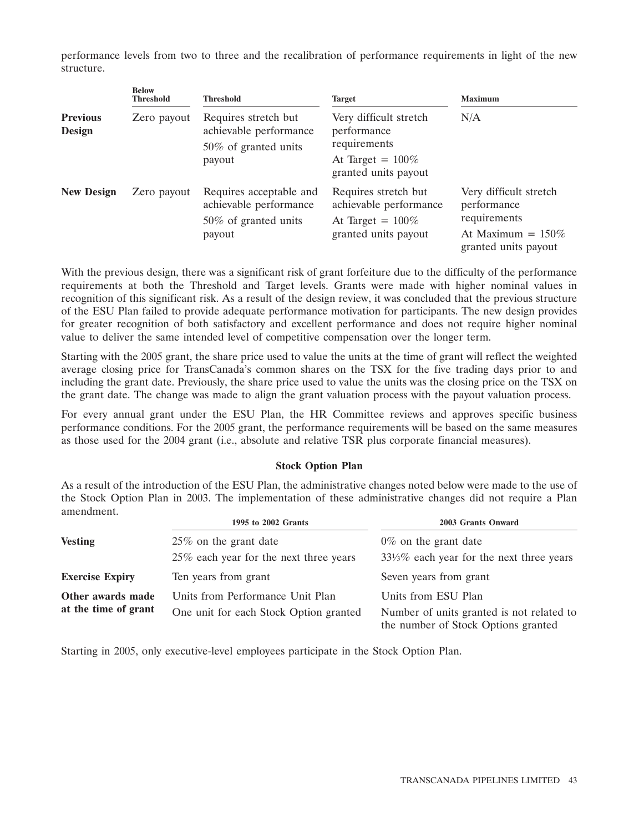performance levels from two to three and the recalibration of performance requirements in light of the new structure.

|                           | <b>Below</b><br><b>Threshold</b> | <b>Threshold</b>                                                                     | <b>Target</b>                                                                                 | <b>Maximum</b>                                                                                        |  |  |
|---------------------------|----------------------------------|--------------------------------------------------------------------------------------|-----------------------------------------------------------------------------------------------|-------------------------------------------------------------------------------------------------------|--|--|
| <b>Previous</b><br>Design | Zero payout                      | Requires stretch but<br>achievable performance<br>50% of granted units               | Very difficult stretch<br>performance<br>requirements                                         | N/A                                                                                                   |  |  |
|                           |                                  | payout                                                                               | At Target = $100\%$<br>granted units payout                                                   |                                                                                                       |  |  |
| <b>New Design</b>         | Zero payout                      | Requires acceptable and<br>achievable performance<br>50\% of granted units<br>payout | Requires stretch but<br>achievable performance<br>At Target = $100\%$<br>granted units payout | Very difficult stretch<br>performance<br>requirements<br>At Maximum = $150\%$<br>granted units payout |  |  |

With the previous design, there was a significant risk of grant forfeiture due to the difficulty of the performance requirements at both the Threshold and Target levels. Grants were made with higher nominal values in recognition of this significant risk. As a result of the design review, it was concluded that the previous structure of the ESU Plan failed to provide adequate performance motivation for participants. The new design provides for greater recognition of both satisfactory and excellent performance and does not require higher nominal value to deliver the same intended level of competitive compensation over the longer term.

Starting with the 2005 grant, the share price used to value the units at the time of grant will reflect the weighted average closing price for TransCanada's common shares on the TSX for the five trading days prior to and including the grant date. Previously, the share price used to value the units was the closing price on the TSX on the grant date. The change was made to align the grant valuation process with the payout valuation process.

For every annual grant under the ESU Plan, the HR Committee reviews and approves specific business performance conditions. For the 2005 grant, the performance requirements will be based on the same measures as those used for the 2004 grant (i.e., absolute and relative TSR plus corporate financial measures).

# **Stock Option Plan**

As a result of the introduction of the ESU Plan, the administrative changes noted below were made to the use of the Stock Option Plan in 2003. The implementation of these administrative changes did not require a Plan amendment.

|                        | 1995 to 2002 Grants                    | 2003 Grants Onward                                                               |  |  |  |
|------------------------|----------------------------------------|----------------------------------------------------------------------------------|--|--|--|
| <b>Vesting</b>         | $25\%$ on the grant date               | $0\%$ on the grant date                                                          |  |  |  |
|                        | 25% each year for the next three years | $33\frac{1}{3}\%$ each year for the next three years                             |  |  |  |
| <b>Exercise Expiry</b> | Ten years from grant                   | Seven years from grant                                                           |  |  |  |
| Other awards made      | Units from Performance Unit Plan       | Units from ESU Plan                                                              |  |  |  |
| at the time of grant   | One unit for each Stock Option granted | Number of units granted is not related to<br>the number of Stock Options granted |  |  |  |

Starting in 2005, only executive-level employees participate in the Stock Option Plan.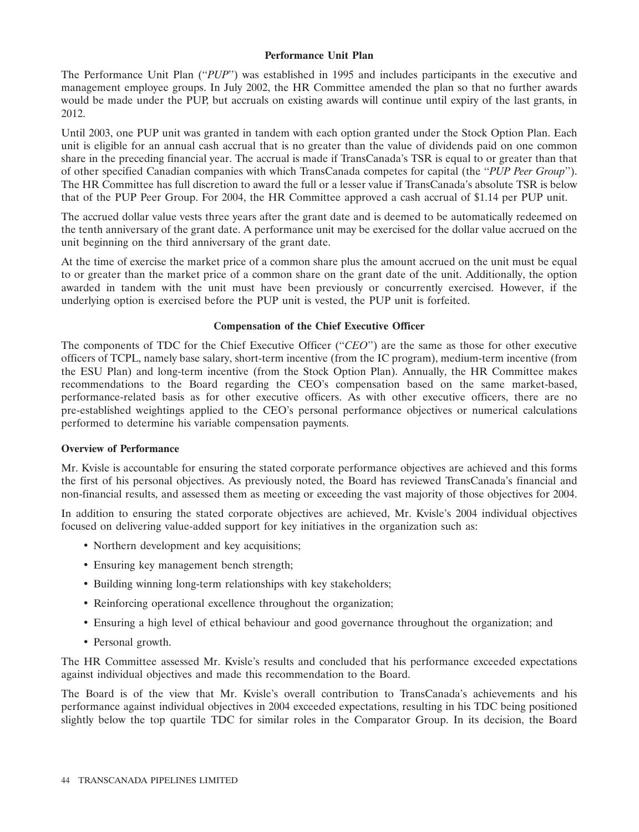# **Performance Unit Plan**

The Performance Unit Plan (''*PUP*'') was established in 1995 and includes participants in the executive and management employee groups. In July 2002, the HR Committee amended the plan so that no further awards would be made under the PUP, but accruals on existing awards will continue until expiry of the last grants, in 2012.

Until 2003, one PUP unit was granted in tandem with each option granted under the Stock Option Plan. Each unit is eligible for an annual cash accrual that is no greater than the value of dividends paid on one common share in the preceding financial year. The accrual is made if TransCanada's TSR is equal to or greater than that of other specified Canadian companies with which TransCanada competes for capital (the ''*PUP Peer Group*''). The HR Committee has full discretion to award the full or a lesser value if TransCanada's absolute TSR is below that of the PUP Peer Group. For 2004, the HR Committee approved a cash accrual of \$1.14 per PUP unit.

The accrued dollar value vests three years after the grant date and is deemed to be automatically redeemed on the tenth anniversary of the grant date. A performance unit may be exercised for the dollar value accrued on the unit beginning on the third anniversary of the grant date.

At the time of exercise the market price of a common share plus the amount accrued on the unit must be equal to or greater than the market price of a common share on the grant date of the unit. Additionally, the option awarded in tandem with the unit must have been previously or concurrently exercised. However, if the underlying option is exercised before the PUP unit is vested, the PUP unit is forfeited.

# **Compensation of the Chief Executive Officer**

The components of TDC for the Chief Executive Officer ("*CEO*") are the same as those for other executive officers of TCPL, namely base salary, short-term incentive (from the IC program), medium-term incentive (from the ESU Plan) and long-term incentive (from the Stock Option Plan). Annually, the HR Committee makes recommendations to the Board regarding the CEO's compensation based on the same market-based, performance-related basis as for other executive officers. As with other executive officers, there are no pre-established weightings applied to the CEO's personal performance objectives or numerical calculations performed to determine his variable compensation payments.

# **Overview of Performance**

Mr. Kvisle is accountable for ensuring the stated corporate performance objectives are achieved and this forms the first of his personal objectives. As previously noted, the Board has reviewed TransCanada's financial and non-financial results, and assessed them as meeting or exceeding the vast majority of those objectives for 2004.

In addition to ensuring the stated corporate objectives are achieved, Mr. Kvisle's 2004 individual objectives focused on delivering value-added support for key initiatives in the organization such as:

- Northern development and key acquisitions;
- Ensuring key management bench strength;
- Building winning long-term relationships with key stakeholders;
- Reinforcing operational excellence throughout the organization;
- Ensuring a high level of ethical behaviour and good governance throughout the organization; and
- Personal growth.

The HR Committee assessed Mr. Kvisle's results and concluded that his performance exceeded expectations against individual objectives and made this recommendation to the Board.

The Board is of the view that Mr. Kvisle's overall contribution to TransCanada's achievements and his performance against individual objectives in 2004 exceeded expectations, resulting in his TDC being positioned slightly below the top quartile TDC for similar roles in the Comparator Group. In its decision, the Board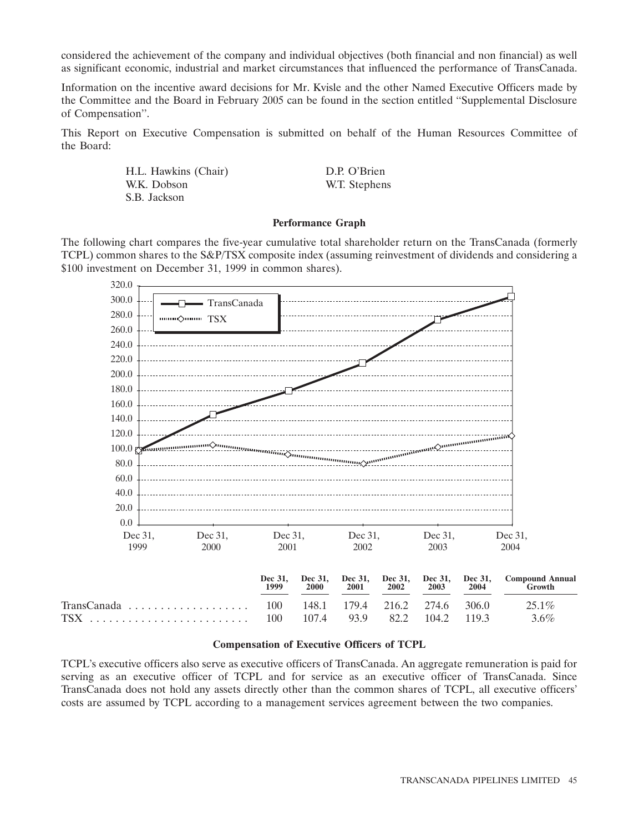considered the achievement of the company and individual objectives (both financial and non financial) as well as significant economic, industrial and market circumstances that influenced the performance of TransCanada.

Information on the incentive award decisions for Mr. Kvisle and the other Named Executive Officers made by the Committee and the Board in February 2005 can be found in the section entitled ''Supplemental Disclosure of Compensation''.

This Report on Executive Compensation is submitted on behalf of the Human Resources Committee of the Board:

> H.L. Hawkins (Chair) D.P. O'Brien W.K. Dobson W.T. Stephens S.B. Jackson

#### **Performance Graph**

The following chart compares the five-year cumulative total shareholder return on the TransCanada (formerly TCPL) common shares to the S&P/TSX composite index (assuming reinvestment of dividends and considering a \$100 investment on December 31, 1999 in common shares).



#### **Compensation of Executive Officers of TCPL**

TCPL's executive officers also serve as executive officers of TransCanada. An aggregate remuneration is paid for serving as an executive officer of TCPL and for service as an executive officer of TransCanada. Since TransCanada does not hold any assets directly other than the common shares of TCPL, all executive officers' costs are assumed by TCPL according to a management services agreement between the two companies.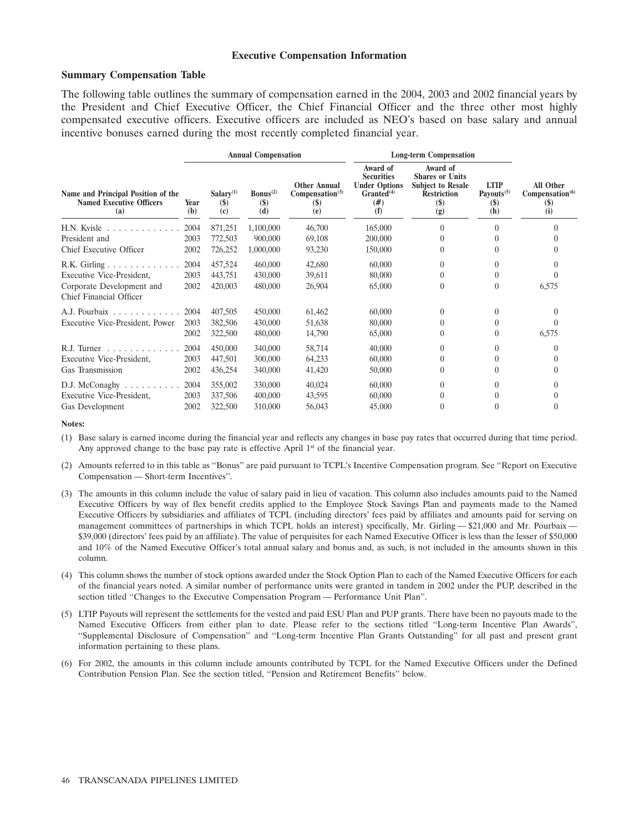### **Executive Compensation Information**

### **Summary Compensation Table**

The following table outlines the summary of compensation earned in the 2004, 2003 and 2002 financial years by the President and Chief Executive Officer, the Chief Financial Officer and the three other most highly compensated executive officers. Executive officers are included as NEO's based on base salary and annual incentive bonuses earned during the most recently completed financial year.

|                                                                              |             |                                                      | <b>Annual Compensation</b>                               |                                                                          | <b>Long-term Compensation</b>                                                                |                                                                                                      |                                                                  |                                                        |
|------------------------------------------------------------------------------|-------------|------------------------------------------------------|----------------------------------------------------------|--------------------------------------------------------------------------|----------------------------------------------------------------------------------------------|------------------------------------------------------------------------------------------------------|------------------------------------------------------------------|--------------------------------------------------------|
| Name and Principal Position of the<br><b>Named Executive Officers</b><br>(a) | Year<br>(b) | $Salarv^{(1)}$<br>$\left( \mathbf{\$}\right)$<br>(c) | Bonus <sup>(2)</sup><br>$\left( \text{\$}\right)$<br>(d) | <b>Other Annual</b><br>Compensation <sup>(3)</sup><br><b>(\$)</b><br>(e) | Award of<br><b>Securities</b><br><b>Under Options</b><br>Granted <sup>(4)</sup><br>#)<br>(f) | Award of<br><b>Shares or Units</b><br><b>Subject to Resale</b><br><b>Restriction</b><br>$($)$<br>(g) | <b>LTIP</b><br>Payouts $(5)$<br>$\left( \text{\$}\right)$<br>(h) | All Other<br>Compensation <sup>(6)</sup><br>(S)<br>(i) |
| $H.N.$ Kyisle $\ldots \ldots \ldots \ldots$                                  | 2004        | 871,251                                              | 1,100,000                                                | 46,700                                                                   | 165,000                                                                                      | 0                                                                                                    |                                                                  |                                                        |
| President and                                                                | 2003        | 772,503                                              | 900,000                                                  | 69,108                                                                   | 200,000                                                                                      | 0                                                                                                    |                                                                  |                                                        |
| Chief Executive Officer                                                      | 2002        | 726,252                                              | 1,000,000                                                | 93,230                                                                   | 150,000                                                                                      | 0                                                                                                    |                                                                  |                                                        |
| R.K. Girling                                                                 | 2004        | 457,524                                              | 460,000                                                  | 42,680                                                                   | 60,000                                                                                       | $\Omega$                                                                                             |                                                                  |                                                        |
| Executive Vice-President,                                                    | 2003        | 443,751                                              | 430,000                                                  | 39,611                                                                   | 80,000                                                                                       | 0                                                                                                    |                                                                  |                                                        |
| Corporate Development and<br>Chief Financial Officer                         | 2002        | 420,003                                              | 480,000                                                  | 26,904                                                                   | 65,000                                                                                       | $\theta$                                                                                             | 0                                                                | 6,575                                                  |
| A.J. Pourbaix $\ldots$ ,                                                     | 2004        | 407,505                                              | 450,000                                                  | 61,462                                                                   | 60,000                                                                                       | $\Omega$                                                                                             |                                                                  |                                                        |
| Executive Vice-President, Power                                              | 2003        | 382,506                                              | 430,000                                                  | 51,638                                                                   | 80,000                                                                                       | 0                                                                                                    |                                                                  |                                                        |
|                                                                              | 2002        | 322,500                                              | 480,000                                                  | 14,790                                                                   | 65,000                                                                                       | 0                                                                                                    |                                                                  | 6,575                                                  |
| R.J. Turner $\ldots$                                                         | 2004        | 450,000                                              | 340,000                                                  | 58,714                                                                   | 40,000                                                                                       | $\Omega$                                                                                             |                                                                  |                                                        |
| Executive Vice-President,                                                    | 2003        | 447,501                                              | 300,000                                                  | 64,233                                                                   | 60,000                                                                                       | 0                                                                                                    |                                                                  |                                                        |
| Gas Transmission                                                             | 2002        | 436,254                                              | 340,000                                                  | 41,420                                                                   | 50,000                                                                                       | 0                                                                                                    |                                                                  |                                                        |
| $D.J.$ McConaghy $\ldots \ldots \ldots$                                      | 2004        | 355,002                                              | 330,000                                                  | 40,024                                                                   | 60,000                                                                                       | 0                                                                                                    |                                                                  |                                                        |
| Executive Vice-President,                                                    | 2003        | 337,506                                              | 400,000                                                  | 43,595                                                                   | 60,000                                                                                       | 0                                                                                                    |                                                                  |                                                        |
| Gas Development                                                              | 2002        | 322,500                                              | 310,000                                                  | 56,043                                                                   | 45,000                                                                                       | $\theta$                                                                                             |                                                                  |                                                        |

#### **Notes:**

(1) Base salary is earned income during the financial year and reflects any changes in base pay rates that occurred during that time period. Any approved change to the base pay rate is effective April  $1<sup>st</sup>$  of the financial year.

- (2) Amounts referred to in this table as ''Bonus'' are paid pursuant to TCPL's Incentive Compensation program. See ''Report on Executive Compensation — Short-term Incentives''.
- (3) The amounts in this column include the value of salary paid in lieu of vacation. This column also includes amounts paid to the Named Executive Officers by way of flex benefit credits applied to the Employee Stock Savings Plan and payments made to the Named Executive Officers by subsidiaries and affiliates of TCPL (including directors' fees paid by affiliates and amounts paid for serving on management committees of partnerships in which TCPL holds an interest) specifically, Mr. Girling  $-$  \$21,000 and Mr. Pourbaix  $-$ \$39,000 (directors' fees paid by an affiliate). The value of perquisites for each Named Executive Officer is less than the lesser of \$50,000 and 10% of the Named Executive Officer's total annual salary and bonus and, as such, is not included in the amounts shown in this column.
- (4) This column shows the number of stock options awarded under the Stock Option Plan to each of the Named Executive Officers for each of the financial years noted. A similar number of performance units were granted in tandem in 2002 under the PUP, described in the section titled ''Changes to the Executive Compensation Program — Performance Unit Plan''.
- (5) LTIP Payouts will represent the settlements for the vested and paid ESU Plan and PUP grants. There have been no payouts made to the Named Executive Officers from either plan to date. Please refer to the sections titled ''Long-term Incentive Plan Awards'', ''Supplemental Disclosure of Compensation'' and ''Long-term Incentive Plan Grants Outstanding'' for all past and present grant information pertaining to these plans.
- (6) For 2002, the amounts in this column include amounts contributed by TCPL for the Named Executive Officers under the Defined Contribution Pension Plan. See the section titled, ''Pension and Retirement Benefits'' below.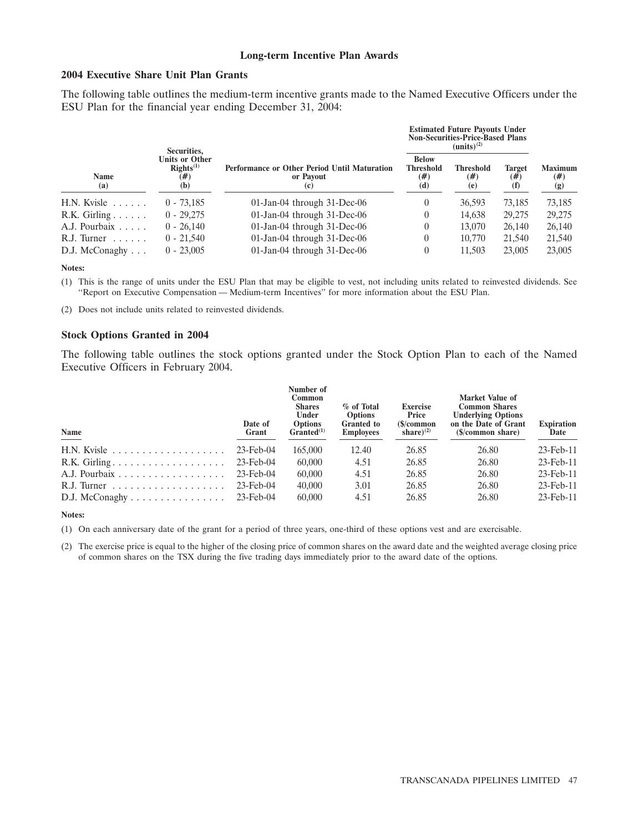### **Long-term Incentive Plan Awards**

# **2004 Executive Share Unit Plan Grants**

The following table outlines the medium-term incentive grants made to the Named Executive Officers under the ESU Plan for the financial year ending December 31, 2004:

|                                | Securities.                                    |                                                                  |                                                   | <b>Estimated Future Payouts Under</b><br><b>Non-Securities-Price-Based Plans</b><br>$(units)^{(2)}$ |                         |                                 |
|--------------------------------|------------------------------------------------|------------------------------------------------------------------|---------------------------------------------------|-----------------------------------------------------------------------------------------------------|-------------------------|---------------------------------|
| <b>Name</b><br>(a)             | Units or Other<br>$RightS^{(1)}$<br>(#)<br>(b) | Performance or Other Period Until Maturation<br>or Payout<br>(c) | <b>Below</b><br><b>Threshold</b><br>$(\#)$<br>(d) | <b>Threshold</b><br>$(\#)$<br>(e)                                                                   | Target<br>$(\#)$<br>(f) | <b>Maximum</b><br>$(\#)$<br>(g) |
| $H.N.$ Kyisle $\ldots$ .       | $0 - 73.185$                                   | $01$ -Jan-04 through 31-Dec-06                                   |                                                   | 36,593                                                                                              | 73.185                  | 73,185                          |
| $R.K.$ Girling $\ldots \ldots$ | $0 - 29.275$                                   | 01-Jan-04 through 31-Dec-06                                      |                                                   | 14.638                                                                                              | 29,275                  | 29,275                          |
| A.J. Pourbaix                  | $0 - 26.140$                                   | 01-Jan-04 through 31-Dec-06                                      |                                                   | 13,070                                                                                              | 26,140                  | 26,140                          |
| $R.J.$ Turner $\ldots$         | $0 - 21.540$                                   | 01-Jan-04 through 31-Dec-06                                      |                                                   | 10,770                                                                                              | 21,540                  | 21,540                          |
| $D.J.$ McConaghy $\ldots$      | $0 - 23,005$                                   | 01-Jan-04 through 31-Dec-06                                      |                                                   | 11.503                                                                                              | 23,005                  | 23,005                          |

**Notes:**

(1) This is the range of units under the ESU Plan that may be eligible to vest, not including units related to reinvested dividends. See ''Report on Executive Compensation — Medium-term Incentives'' for more information about the ESU Plan.

(2) Does not include units related to reinvested dividends.

#### **Stock Options Granted in 2004**

The following table outlines the stock options granted under the Stock Option Plan to each of the Named Executive Officers in February 2004.

| Name                                                           | Date of<br>Grant | Number of<br>Common<br><b>Shares</b><br>Under<br><b>Options</b><br>Granted <sup>(1)</sup> | % of Total<br><b>Options</b><br><b>Granted to</b><br><b>Employees</b> | <b>Exercise</b><br>Price<br>$\mathcal{S}/\mathbf{common}$<br>share) <sup>(2)</sup> | <b>Market Value of</b><br><b>Common Shares</b><br><b>Underlying Options</b><br>on the Date of Grant<br>(\$/common share) | <b>Expiration</b><br>Date |
|----------------------------------------------------------------|------------------|-------------------------------------------------------------------------------------------|-----------------------------------------------------------------------|------------------------------------------------------------------------------------|--------------------------------------------------------------------------------------------------------------------------|---------------------------|
|                                                                | $23$ -Feb-04     | 165,000                                                                                   | 12.40                                                                 | 26.85                                                                              | 26.80                                                                                                                    | $23$ -Feb- $11$           |
|                                                                | 23-Feb-04        | 60,000                                                                                    | 4.51                                                                  | 26.85                                                                              | 26.80                                                                                                                    | $23$ -Feb-11              |
|                                                                | $23$ -Feb-04     | 60,000                                                                                    | 4.51                                                                  | 26.85                                                                              | 26.80                                                                                                                    | $23$ -Feb-11              |
|                                                                | $23$ -Feb-04     | 40,000                                                                                    | 3.01                                                                  | 26.85                                                                              | 26.80                                                                                                                    | $23$ -Feb- $11$           |
| D.J. McConaghy $\dots \dots \dots \dots \dots \dots$ 23-Feb-04 |                  | 60,000                                                                                    | 4.51                                                                  | 26.85                                                                              | 26.80                                                                                                                    | $23$ -Feb-11              |

#### **Notes:**

(1) On each anniversary date of the grant for a period of three years, one-third of these options vest and are exercisable.

(2) The exercise price is equal to the higher of the closing price of common shares on the award date and the weighted average closing price of common shares on the TSX during the five trading days immediately prior to the award date of the options.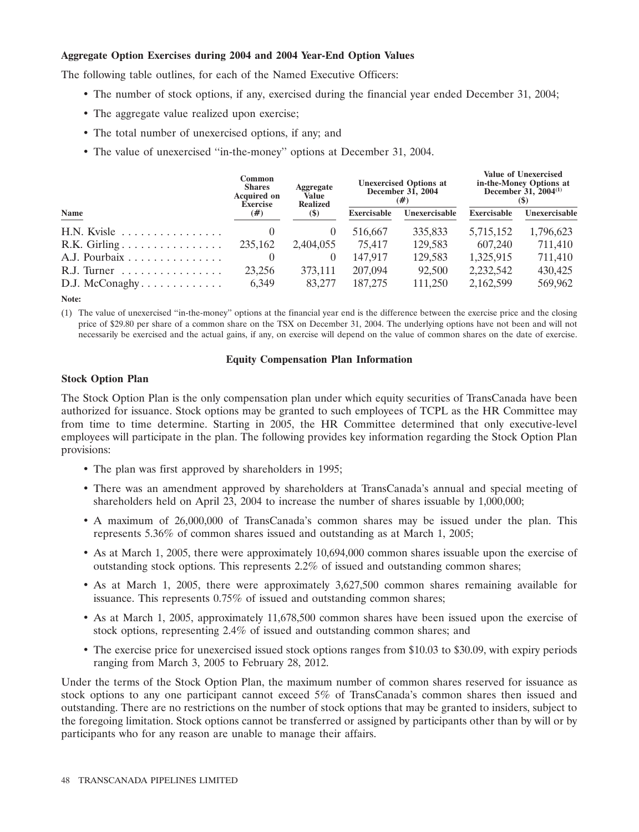### **Aggregate Option Exercises during 2004 and 2004 Year-End Option Values**

The following table outlines, for each of the Named Executive Officers:

- The number of stock options, if any, exercised during the financial year ended December 31, 2004;
- The aggregate value realized upon exercise;
- The total number of unexercised options, if any; and
- The value of unexercised ''in-the-money'' options at December 31, 2004.

|                                             | Common<br><b>Aggregate</b><br><b>Shares</b><br><b>Acquired on</b><br>Value<br><b>Realized</b><br><b>Exercise</b><br>(#)<br>$\left( \mathbb{S}\right)$ |           |                    | <b>Unexercised Options at</b><br>December 31, 2004<br>(#) | <b>Value of Unexercised</b><br>in-the-Money Options at<br>December $31, 2004^{(1)}$ |               |  |
|---------------------------------------------|-------------------------------------------------------------------------------------------------------------------------------------------------------|-----------|--------------------|-----------------------------------------------------------|-------------------------------------------------------------------------------------|---------------|--|
| Name                                        |                                                                                                                                                       |           | <b>Exercisable</b> | Unexercisable                                             | <b>Exercisable</b>                                                                  | Unexercisable |  |
| $H.N.$ Kyisle                               | $\theta$                                                                                                                                              |           | 516,667            | 335,833                                                   | 5,715,152                                                                           | 1,796,623     |  |
|                                             | 235,162                                                                                                                                               | 2,404,055 | 75,417             | 129,583                                                   | 607,240                                                                             | 711,410       |  |
| A.J. Pourbaix $\ldots \ldots \ldots \ldots$ | $\theta$                                                                                                                                              |           | 147.917            | 129.583                                                   | 1,325,915                                                                           | 711.410       |  |
| R.J. Turner                                 | 23,256                                                                                                                                                | 373.111   | 207,094            | 92,500                                                    | 2,232,542                                                                           | 430,425       |  |
| $D.J.$ McConaghy                            | 6.349                                                                                                                                                 | 83,277    | 187,275            | 111,250                                                   | 2,162,599                                                                           | 569,962       |  |
|                                             |                                                                                                                                                       |           |                    |                                                           |                                                                                     |               |  |

**Note:**

(1) The value of unexercised ''in-the-money'' options at the financial year end is the difference between the exercise price and the closing price of \$29.80 per share of a common share on the TSX on December 31, 2004. The underlying options have not been and will not necessarily be exercised and the actual gains, if any, on exercise will depend on the value of common shares on the date of exercise.

### **Equity Compensation Plan Information**

### **Stock Option Plan**

The Stock Option Plan is the only compensation plan under which equity securities of TransCanada have been authorized for issuance. Stock options may be granted to such employees of TCPL as the HR Committee may from time to time determine. Starting in 2005, the HR Committee determined that only executive-level employees will participate in the plan. The following provides key information regarding the Stock Option Plan provisions:

- The plan was first approved by shareholders in 1995;
- There was an amendment approved by shareholders at TransCanada's annual and special meeting of shareholders held on April 23, 2004 to increase the number of shares issuable by 1,000,000;
- A maximum of 26,000,000 of TransCanada's common shares may be issued under the plan. This represents 5.36% of common shares issued and outstanding as at March 1, 2005;
- As at March 1, 2005, there were approximately 10,694,000 common shares issuable upon the exercise of outstanding stock options. This represents 2.2% of issued and outstanding common shares;
- As at March 1, 2005, there were approximately 3,627,500 common shares remaining available for issuance. This represents 0.75% of issued and outstanding common shares;
- As at March 1, 2005, approximately 11,678,500 common shares have been issued upon the exercise of stock options, representing 2.4% of issued and outstanding common shares; and
- The exercise price for unexercised issued stock options ranges from \$10.03 to \$30.09, with expiry periods ranging from March 3, 2005 to February 28, 2012.

Under the terms of the Stock Option Plan, the maximum number of common shares reserved for issuance as stock options to any one participant cannot exceed 5% of TransCanada's common shares then issued and outstanding. There are no restrictions on the number of stock options that may be granted to insiders, subject to the foregoing limitation. Stock options cannot be transferred or assigned by participants other than by will or by participants who for any reason are unable to manage their affairs.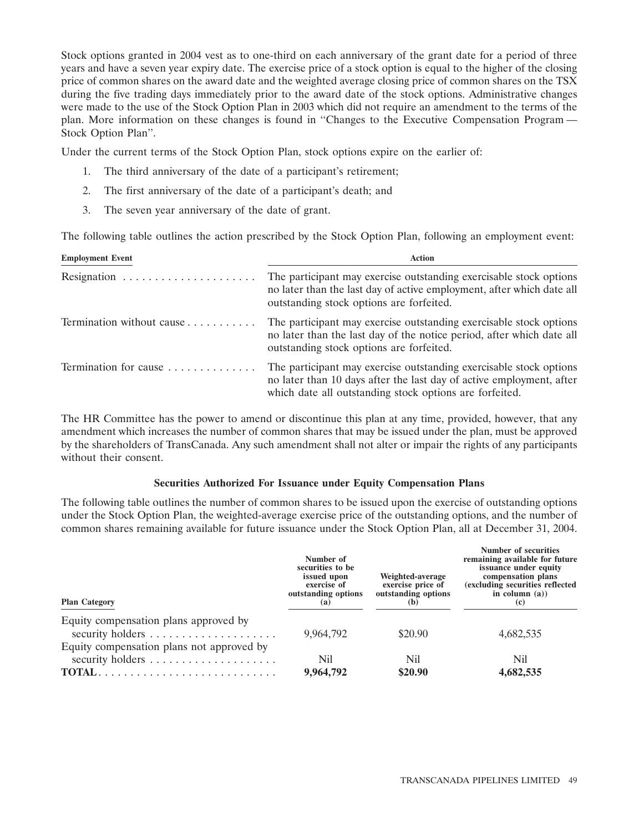Stock options granted in 2004 vest as to one-third on each anniversary of the grant date for a period of three years and have a seven year expiry date. The exercise price of a stock option is equal to the higher of the closing price of common shares on the award date and the weighted average closing price of common shares on the TSX during the five trading days immediately prior to the award date of the stock options. Administrative changes were made to the use of the Stock Option Plan in 2003 which did not require an amendment to the terms of the plan. More information on these changes is found in ''Changes to the Executive Compensation Program — Stock Option Plan''.

Under the current terms of the Stock Option Plan, stock options expire on the earlier of:

- The third anniversary of the date of a participant's retirement;
- 2. The first anniversary of the date of a participant's death; and
- 3. The seven year anniversary of the date of grant.

The following table outlines the action prescribed by the Stock Option Plan, following an employment event:

| <b>Employment Event</b>   | <b>Action</b>                                                                                                                                                                                         |
|---------------------------|-------------------------------------------------------------------------------------------------------------------------------------------------------------------------------------------------------|
|                           | The participant may exercise outstanding exercisable stock options<br>no later than the last day of active employment, after which date all<br>outstanding stock options are forfeited.               |
| Termination without cause | The participant may exercise outstanding exercisable stock options<br>no later than the last day of the notice period, after which date all<br>outstanding stock options are forfeited.               |
| Termination for cause     | The participant may exercise outstanding exercisable stock options<br>no later than 10 days after the last day of active employment, after<br>which date all outstanding stock options are forfeited. |

The HR Committee has the power to amend or discontinue this plan at any time, provided, however, that any amendment which increases the number of common shares that may be issued under the plan, must be approved by the shareholders of TransCanada. Any such amendment shall not alter or impair the rights of any participants without their consent.

# **Securities Authorized For Issuance under Equity Compensation Plans**

The following table outlines the number of common shares to be issued upon the exercise of outstanding options under the Stock Option Plan, the weighted-average exercise price of the outstanding options, and the number of common shares remaining available for future issuance under the Stock Option Plan, all at December 31, 2004.

| <b>Plan Category</b>                                                                                                                              | Number of<br>securities to be<br>issued upon<br>exercise of<br>outstanding options<br>(a) | Weighted-average<br>exercise price of<br>outstanding options<br>(b) | Number of securities<br>remaining available for future<br>issuance under equity<br>compensation plans<br>(excluding securities reflected<br>in column $(a)$ )<br>(c) |  |
|---------------------------------------------------------------------------------------------------------------------------------------------------|-------------------------------------------------------------------------------------------|---------------------------------------------------------------------|----------------------------------------------------------------------------------------------------------------------------------------------------------------------|--|
| Equity compensation plans approved by                                                                                                             | 9.964.792                                                                                 | \$20.90                                                             | 4,682,535                                                                                                                                                            |  |
| Equity compensation plans not approved by<br>security holders<br>$\text{TOTAL} \dots \dots \dots \dots \dots \dots \dots \dots \dots \dots \dots$ | Nil<br>9,964,792                                                                          | Nil<br>\$20.90                                                      | Nil<br>4,682,535                                                                                                                                                     |  |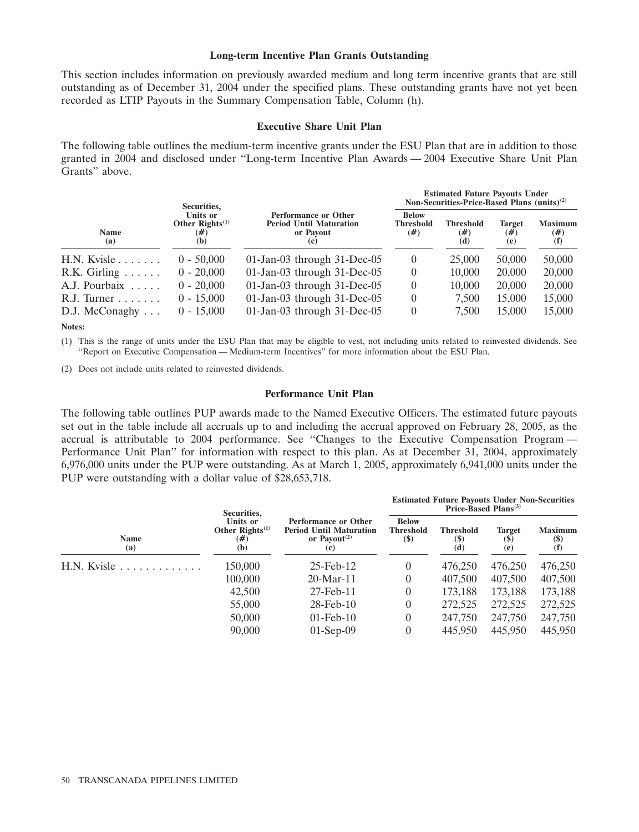#### **Long-term Incentive Plan Grants Outstanding**

This section includes information on previously awarded medium and long term incentive grants that are still outstanding as of December 31, 2004 under the specified plans. These outstanding grants have not yet been recorded as LTIP Payouts in the Summary Compensation Table, Column (h).

### **Executive Share Unit Plan**

The following table outlines the medium-term incentive grants under the ESU Plan that are in addition to those granted in 2004 and disclosed under ''Long-term Incentive Plan Awards — 2004 Executive Share Unit Plan Grants'' above.

|                                | Securities,                                        |                                                                                   | <b>Estimated Future Payouts Under</b><br>Non-Securities-Price-Based Plans (units) <sup>(2)</sup> |                                   |                             |                                 |  |
|--------------------------------|----------------------------------------------------|-----------------------------------------------------------------------------------|--------------------------------------------------------------------------------------------------|-----------------------------------|-----------------------------|---------------------------------|--|
| Name<br>(a)                    | Units or<br>Other Rights $^{(1)}$<br>$(\#)$<br>(b) | <b>Performance or Other</b><br><b>Period Until Maturation</b><br>or Payout<br>(c) | <b>Below</b><br><b>Threshold</b><br>$(\#)$                                                       | <b>Threshold</b><br>$(\#)$<br>(d) | <b>Target</b><br>(#)<br>(e) | <b>Maximum</b><br>$(\#)$<br>(f) |  |
| $H.N.$ Kvisle                  | $0 - 50,000$                                       | $01$ -Jan-03 through 31-Dec-05                                                    | $\theta$                                                                                         | 25,000                            | 50,000                      | 50,000                          |  |
| $R.K.$ Girling $\ldots \ldots$ | $0 - 20,000$                                       | 01-Jan-03 through 31-Dec-05                                                       | $\theta$                                                                                         | 10,000                            | 20,000                      | 20,000                          |  |
| A.J. Pourbaix                  | $0 - 20,000$                                       | 01-Jan-03 through 31-Dec-05                                                       | $\left( \right)$                                                                                 | 10,000                            | 20,000                      | 20,000                          |  |
| $R.J.$ Turner $\ldots \ldots$  | $0 - 15,000$                                       | 01-Jan-03 through 31-Dec-05                                                       | $\left( \right)$                                                                                 | 7,500                             | 15,000                      | 15,000                          |  |
| $D.J.$ McConaghy $\ldots$      | $0 - 15,000$                                       | 01-Jan-03 through 31-Dec-05                                                       | 0                                                                                                | 7,500                             | 15,000                      | 15,000                          |  |

**Notes:**

(1) This is the range of units under the ESU Plan that may be eligible to vest, not including units related to reinvested dividends. See ''Report on Executive Compensation — Medium-term Incentives'' for more information about the ESU Plan.

(2) Does not include units related to reinvested dividends.

### **Performance Unit Plan**

The following table outlines PUP awards made to the Named Executive Officers. The estimated future payouts set out in the table include all accruals up to and including the accrual approved on February 28, 2005, as the accrual is attributable to 2004 performance. See ''Changes to the Executive Compensation Program — Performance Unit Plan'' for information with respect to this plan. As at December 31, 2004, approximately 6,976,000 units under the PUP were outstanding. As at March 1, 2005, approximately 6,941,000 units under the PUP were outstanding with a dollar value of \$28,653,718.

| <b>Name</b><br>(a)                          | Securities,                                          |                                                                                                               | <b>Estimated Future Payouts Under Non-Securities</b><br>Price-Based Plans <sup>(3)</sup> |                                        |                                                     |                                                    |  |
|---------------------------------------------|------------------------------------------------------|---------------------------------------------------------------------------------------------------------------|------------------------------------------------------------------------------------------|----------------------------------------|-----------------------------------------------------|----------------------------------------------------|--|
|                                             | Units or<br>Other $\text{Right}(1)$<br>$(\#)$<br>(b) | <b>Performance or Other</b><br><b>Period Until Maturation</b><br>or Payout <sup><math>(2)</math></sup><br>(c) | <b>Below</b><br>Threshold<br>$(\$)$                                                      | <b>Threshold</b><br><b>(\$)</b><br>(d) | <b>Target</b><br>$\left( \mathbf{S} \right)$<br>(e) | <b>Maximum</b><br>$\left( \text{\$}\right)$<br>(f) |  |
| $H.N.$ Kyisle $\ldots \ldots \ldots \ldots$ | 150,000                                              | $25$ -Feb-12                                                                                                  | $\overline{0}$                                                                           | 476,250                                | 476,250                                             | 476,250                                            |  |
|                                             | 100,000                                              | $20$ -Mar-11                                                                                                  | $\overline{0}$                                                                           | 407,500                                | 407,500                                             | 407,500                                            |  |
|                                             | 42,500                                               | 27-Feb-11                                                                                                     | $\overline{0}$                                                                           | 173,188                                | 173,188                                             | 173,188                                            |  |
|                                             | 55,000                                               | $28$ -Feb- $10$                                                                                               | $\overline{0}$                                                                           | 272,525                                | 272,525                                             | 272,525                                            |  |
|                                             | 50,000                                               | $01$ -Feb- $10$                                                                                               | $\overline{0}$                                                                           | 247,750                                | 247,750                                             | 247,750                                            |  |
|                                             | 90,000                                               | $01-Sep-09$                                                                                                   | $\overline{0}$                                                                           | 445,950                                | 445,950                                             | 445,950                                            |  |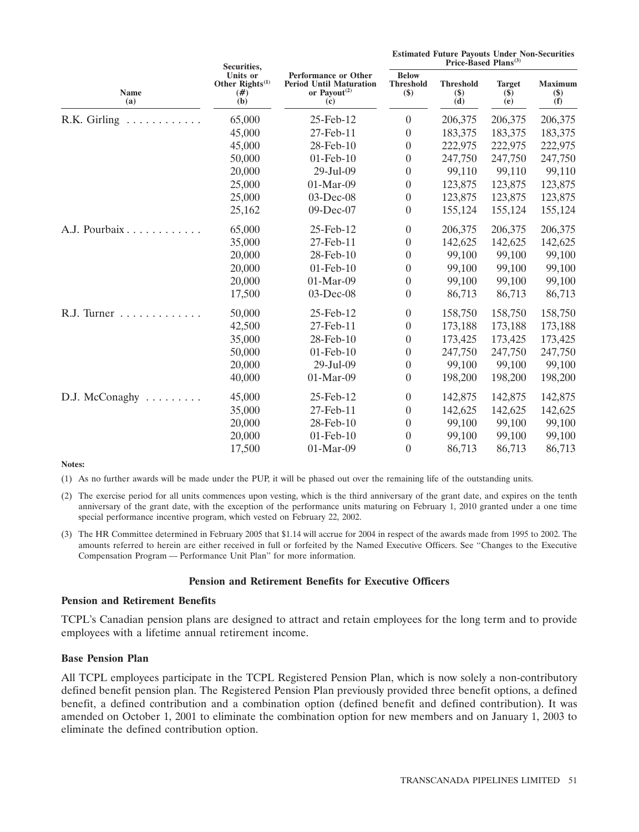|                                  | Securities,                                                                                                                                                  |                                            | Price-Based Plans <sup>(3)</sup> |                                |                                |         |  |
|----------------------------------|--------------------------------------------------------------------------------------------------------------------------------------------------------------|--------------------------------------------|----------------------------------|--------------------------------|--------------------------------|---------|--|
| <b>Name</b><br>(a)               | <b>Units or</b><br><b>Performance or Other</b><br>Other $\mathbf{Rights}^{(1)}$<br><b>Period Until Maturation</b><br>or Payout $(2)$<br>$(\#)$<br>(b)<br>(c) | <b>Below</b><br><b>Threshold</b><br>$(\$)$ | <b>Threshold</b><br>$($)$<br>(d) | <b>Target</b><br>$(\$)$<br>(e) | <b>Maximum</b><br>$($)$<br>(f) |         |  |
| R.K. Girling $\dots \dots \dots$ | 65,000                                                                                                                                                       | 25-Feb-12                                  | $\theta$                         | 206,375                        | 206,375                        | 206,375 |  |
|                                  | 45,000                                                                                                                                                       | 27-Feb-11                                  | $\boldsymbol{0}$                 | 183,375                        | 183,375                        | 183,375 |  |
|                                  | 45,000                                                                                                                                                       | 28-Feb-10                                  | $\theta$                         | 222,975                        | 222,975                        | 222,975 |  |
|                                  | 50,000                                                                                                                                                       | $01$ -Feb- $10$                            | $\boldsymbol{0}$                 | 247,750                        | 247,750                        | 247,750 |  |
|                                  | 20,000                                                                                                                                                       | 29-Jul-09                                  | $\boldsymbol{0}$                 | 99,110                         | 99,110                         | 99,110  |  |
|                                  | 25,000                                                                                                                                                       | 01-Mar-09                                  | $\boldsymbol{0}$                 | 123,875                        | 123,875                        | 123,875 |  |
|                                  | 25,000                                                                                                                                                       | 03-Dec-08                                  | $\boldsymbol{0}$                 | 123,875                        | 123,875                        | 123,875 |  |
|                                  | 25,162                                                                                                                                                       | 09-Dec-07                                  | $\boldsymbol{0}$                 | 155,124                        | 155,124                        | 155,124 |  |
| A.J. Pourbaix                    | 65,000                                                                                                                                                       | 25-Feb-12                                  | $\boldsymbol{0}$                 | 206,375                        | 206,375                        | 206,375 |  |
|                                  | 35,000                                                                                                                                                       | 27-Feb-11                                  | $\boldsymbol{0}$                 | 142,625                        | 142,625                        | 142,625 |  |
|                                  | 20,000                                                                                                                                                       | 28-Feb-10                                  | $\boldsymbol{0}$                 | 99,100                         | 99,100                         | 99,100  |  |
|                                  | 20,000                                                                                                                                                       | $01$ -Feb- $10$                            | $\boldsymbol{0}$                 | 99,100                         | 99,100                         | 99,100  |  |
|                                  | 20,000                                                                                                                                                       | 01-Mar-09                                  | $\boldsymbol{0}$                 | 99,100                         | 99,100                         | 99,100  |  |
|                                  | 17,500                                                                                                                                                       | 03-Dec-08                                  | $\boldsymbol{0}$                 | 86,713                         | 86,713                         | 86,713  |  |
| R.J. Turner                      | 50,000                                                                                                                                                       | 25-Feb-12                                  | $\boldsymbol{0}$                 | 158,750                        | 158,750                        | 158,750 |  |
|                                  | 42,500                                                                                                                                                       | 27-Feb-11                                  | $\theta$                         | 173,188                        | 173,188                        | 173,188 |  |
|                                  | 35,000                                                                                                                                                       | 28-Feb-10                                  | $\boldsymbol{0}$                 | 173,425                        | 173,425                        | 173,425 |  |
|                                  | 50,000                                                                                                                                                       | 01-Feb-10                                  | $\theta$                         | 247,750                        | 247,750                        | 247,750 |  |
|                                  | 20,000                                                                                                                                                       | 29-Jul-09                                  | $\boldsymbol{0}$                 | 99,100                         | 99,100                         | 99,100  |  |
|                                  | 40,000                                                                                                                                                       | 01-Mar-09                                  | $\boldsymbol{0}$                 | 198,200                        | 198,200                        | 198,200 |  |
| D.J. McConaghy<br>.              | 45,000                                                                                                                                                       | 25-Feb-12                                  | $\boldsymbol{0}$                 | 142,875                        | 142,875                        | 142,875 |  |
|                                  | 35,000                                                                                                                                                       | 27-Feb-11                                  | $\boldsymbol{0}$                 | 142,625                        | 142,625                        | 142,625 |  |
|                                  | 20,000                                                                                                                                                       | 28-Feb-10                                  | $\boldsymbol{0}$                 | 99,100                         | 99,100                         | 99,100  |  |
|                                  | 20,000                                                                                                                                                       | $01$ -Feb- $10$                            | $\boldsymbol{0}$                 | 99,100                         | 99,100                         | 99,100  |  |
|                                  | 17,500                                                                                                                                                       | 01-Mar-09                                  | $\theta$                         | 86,713                         | 86,713                         | 86,713  |  |

#### **Notes:**

(1) As no further awards will be made under the PUP, it will be phased out over the remaining life of the outstanding units.

- (2) The exercise period for all units commences upon vesting, which is the third anniversary of the grant date, and expires on the tenth anniversary of the grant date, with the exception of the performance units maturing on February 1, 2010 granted under a one time special performance incentive program, which vested on February 22, 2002.
- (3) The HR Committee determined in February 2005 that \$1.14 will accrue for 2004 in respect of the awards made from 1995 to 2002. The amounts referred to herein are either received in full or forfeited by the Named Executive Officers. See ''Changes to the Executive Compensation Program — Performance Unit Plan'' for more information.

### **Pension and Retirement Benefits for Executive Officers**

### **Pension and Retirement Benefits**

TCPL's Canadian pension plans are designed to attract and retain employees for the long term and to provide employees with a lifetime annual retirement income.

### **Base Pension Plan**

All TCPL employees participate in the TCPL Registered Pension Plan, which is now solely a non-contributory defined benefit pension plan. The Registered Pension Plan previously provided three benefit options, a defined benefit, a defined contribution and a combination option (defined benefit and defined contribution). It was amended on October 1, 2001 to eliminate the combination option for new members and on January 1, 2003 to eliminate the defined contribution option.

**Estimated Future Payouts Under Non-Securities**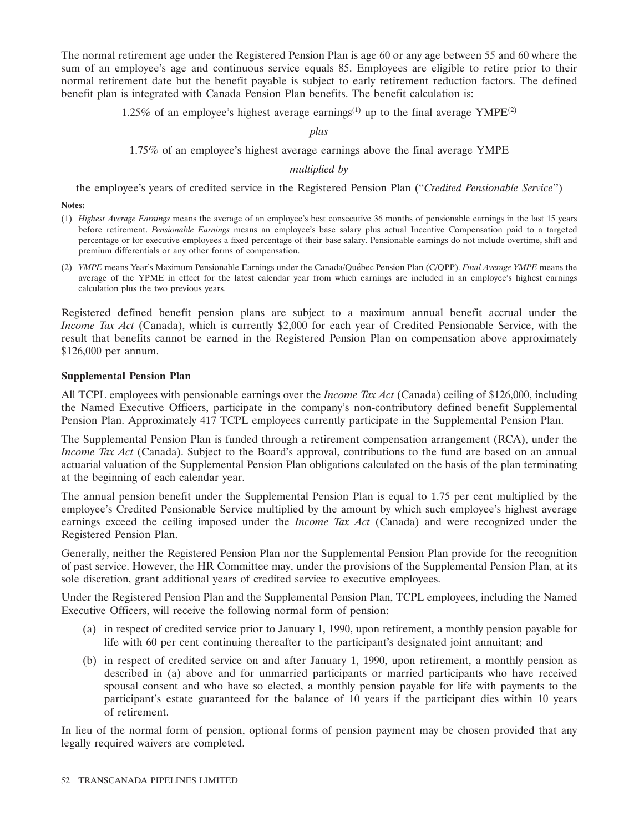The normal retirement age under the Registered Pension Plan is age 60 or any age between 55 and 60 where the sum of an employee's age and continuous service equals 85. Employees are eligible to retire prior to their normal retirement date but the benefit payable is subject to early retirement reduction factors. The defined benefit plan is integrated with Canada Pension Plan benefits. The benefit calculation is:

1.25% of an employee's highest average earnings<sup>(1)</sup> up to the final average  $YMPE^{(2)}$ 

# *plus*

1.75% of an employee's highest average earnings above the final average YMPE

### *multiplied by*

the employee's years of credited service in the Registered Pension Plan (''*Credited Pensionable Service*'')

**Notes:**

- (1) *Highest Average Earnings* means the average of an employee's best consecutive 36 months of pensionable earnings in the last 15 years before retirement. *Pensionable Earnings* means an employee's base salary plus actual Incentive Compensation paid to a targeted percentage or for executive employees a fixed percentage of their base salary. Pensionable earnings do not include overtime, shift and premium differentials or any other forms of compensation.
- (2) *YMPE* means Year's Maximum Pensionable Earnings under the Canada/Quebec Pension Plan (C/QPP). ´ *Final Average YMPE* means the average of the YPME in effect for the latest calendar year from which earnings are included in an employee's highest earnings calculation plus the two previous years.

Registered defined benefit pension plans are subject to a maximum annual benefit accrual under the *Income Tax Act* (Canada), which is currently \$2,000 for each year of Credited Pensionable Service, with the result that benefits cannot be earned in the Registered Pension Plan on compensation above approximately \$126,000 per annum.

### **Supplemental Pension Plan**

All TCPL employees with pensionable earnings over the *Income Tax Act* (Canada) ceiling of \$126,000, including the Named Executive Officers, participate in the company's non-contributory defined benefit Supplemental Pension Plan. Approximately 417 TCPL employees currently participate in the Supplemental Pension Plan.

The Supplemental Pension Plan is funded through a retirement compensation arrangement (RCA), under the *Income Tax Act* (Canada). Subject to the Board's approval, contributions to the fund are based on an annual actuarial valuation of the Supplemental Pension Plan obligations calculated on the basis of the plan terminating at the beginning of each calendar year.

The annual pension benefit under the Supplemental Pension Plan is equal to 1.75 per cent multiplied by the employee's Credited Pensionable Service multiplied by the amount by which such employee's highest average earnings exceed the ceiling imposed under the *Income Tax Act* (Canada) and were recognized under the Registered Pension Plan.

Generally, neither the Registered Pension Plan nor the Supplemental Pension Plan provide for the recognition of past service. However, the HR Committee may, under the provisions of the Supplemental Pension Plan, at its sole discretion, grant additional years of credited service to executive employees.

Under the Registered Pension Plan and the Supplemental Pension Plan, TCPL employees, including the Named Executive Officers, will receive the following normal form of pension:

- (a) in respect of credited service prior to January 1, 1990, upon retirement, a monthly pension payable for life with 60 per cent continuing thereafter to the participant's designated joint annuitant; and
- (b) in respect of credited service on and after January 1, 1990, upon retirement, a monthly pension as described in (a) above and for unmarried participants or married participants who have received spousal consent and who have so elected, a monthly pension payable for life with payments to the participant's estate guaranteed for the balance of 10 years if the participant dies within 10 years of retirement.

In lieu of the normal form of pension, optional forms of pension payment may be chosen provided that any legally required waivers are completed.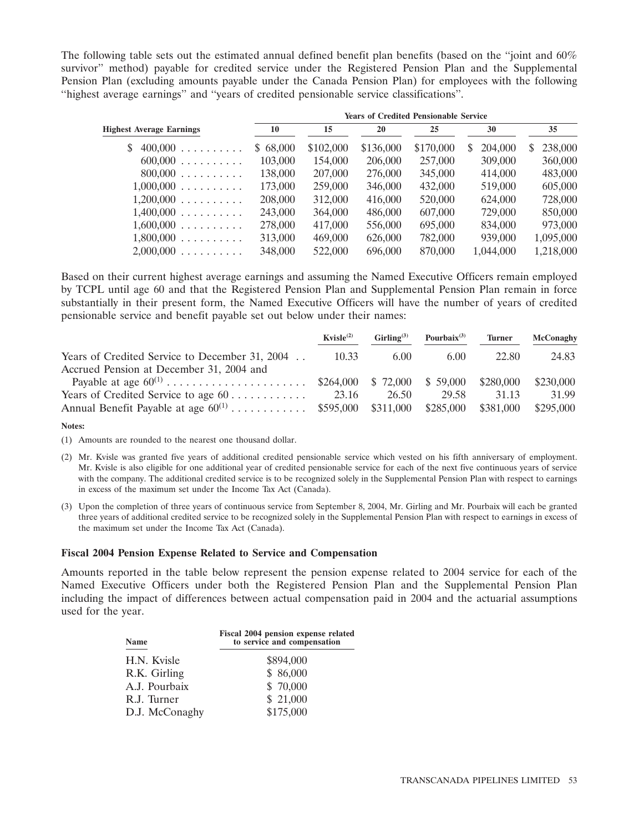The following table sets out the estimated annual defined benefit plan benefits (based on the ''joint and 60% survivor'' method) payable for credited service under the Registered Pension Plan and the Supplemental Pension Plan (excluding amounts payable under the Canada Pension Plan) for employees with the following ''highest average earnings'' and ''years of credited pensionable service classifications''.

| <b>Years of Credited Pensionable Service</b> |           |           |           |               |              |  |  |
|----------------------------------------------|-----------|-----------|-----------|---------------|--------------|--|--|
| 10                                           | 15        | 20        | 25        | 30            | 35           |  |  |
| \$68,000                                     | \$102,000 | \$136,000 | \$170,000 | 204,000<br>S. | 238,000<br>S |  |  |
| 103,000                                      | 154,000   | 206,000   | 257,000   | 309,000       | 360,000      |  |  |
| 138,000                                      | 207,000   | 276,000   | 345,000   | 414,000       | 483,000      |  |  |
| 173,000                                      | 259,000   | 346,000   | 432,000   | 519,000       | 605,000      |  |  |
| 208,000                                      | 312,000   | 416,000   | 520,000   | 624,000       | 728,000      |  |  |
| 243,000                                      | 364,000   | 486,000   | 607,000   | 729,000       | 850,000      |  |  |
| 278,000                                      | 417,000   | 556,000   | 695,000   | 834,000       | 973,000      |  |  |
| 313,000                                      | 469,000   | 626,000   | 782,000   | 939,000       | 1,095,000    |  |  |
| 348,000                                      | 522,000   | 696,000   | 870,000   | 1,044,000     | 1,218,000    |  |  |
|                                              |           |           |           |               |              |  |  |

Based on their current highest average earnings and assuming the Named Executive Officers remain employed by TCPL until age 60 and that the Registered Pension Plan and Supplemental Pension Plan remain in force substantially in their present form, the Named Executive Officers will have the number of years of credited pensionable service and benefit payable set out below under their names:

|                                                              | Kvisle <sup>(2)</sup> | $Girling^{(3)}$ | Pourbaix $(3)$ | <b>Turner</b> | McConaghy |
|--------------------------------------------------------------|-----------------------|-----------------|----------------|---------------|-----------|
| Years of Credited Service to December 31, 2004               | 10.33                 | 6.00            | 6.00           | 22.80         | 24.83     |
| Accrued Pension at December 31, 2004 and                     |                       |                 |                |               |           |
|                                                              |                       | \$ 72,000       | \$59,000       | \$280,000     | \$230,000 |
| Years of Credited Service to age 60                          | 23.16                 | 26.50           | 29.58          | 31 13         | 31.99     |
| Annual Benefit Payable at age $60^{(1)}$ \$595,000 \$311,000 |                       |                 | \$285,000      | \$381,000     | \$295,000 |
|                                                              |                       |                 |                |               |           |

**Notes:**

(1) Amounts are rounded to the nearest one thousand dollar.

- (2) Mr. Kvisle was granted five years of additional credited pensionable service which vested on his fifth anniversary of employment. Mr. Kvisle is also eligible for one additional year of credited pensionable service for each of the next five continuous years of service with the company. The additional credited service is to be recognized solely in the Supplemental Pension Plan with respect to earnings in excess of the maximum set under the Income Tax Act (Canada).
- (3) Upon the completion of three years of continuous service from September 8, 2004, Mr. Girling and Mr. Pourbaix will each be granted three years of additional credited service to be recognized solely in the Supplemental Pension Plan with respect to earnings in excess of the maximum set under the Income Tax Act (Canada).

### **Fiscal 2004 Pension Expense Related to Service and Compensation**

Amounts reported in the table below represent the pension expense related to 2004 service for each of the Named Executive Officers under both the Registered Pension Plan and the Supplemental Pension Plan including the impact of differences between actual compensation paid in 2004 and the actuarial assumptions used for the year.

| Name           | Fiscal 2004 pension expense related<br>to service and compensation |
|----------------|--------------------------------------------------------------------|
| H.N. Kvisle    | \$894,000                                                          |
| R.K. Girling   | \$86,000                                                           |
| A.J. Pourbaix  | \$70,000                                                           |
| R.J. Turner    | \$21,000                                                           |
| D.J. McConaghy | \$175,000                                                          |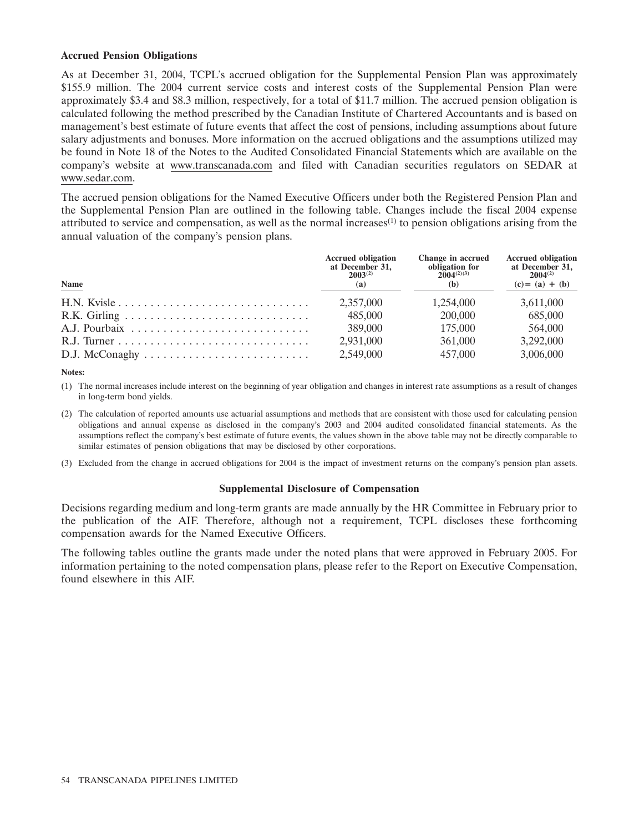### **Accrued Pension Obligations**

As at December 31, 2004, TCPL's accrued obligation for the Supplemental Pension Plan was approximately \$155.9 million. The 2004 current service costs and interest costs of the Supplemental Pension Plan were approximately \$3.4 and \$8.3 million, respectively, for a total of \$11.7 million. The accrued pension obligation is calculated following the method prescribed by the Canadian Institute of Chartered Accountants and is based on management's best estimate of future events that affect the cost of pensions, including assumptions about future salary adjustments and bonuses. More information on the accrued obligations and the assumptions utilized may be found in Note 18 of the Notes to the Audited Consolidated Financial Statements which are available on the company's website at www.transcanada.com and filed with Canadian securities regulators on SEDAR at www.sedar.com.

The accrued pension obligations for the Named Executive Officers under both the Registered Pension Plan and the Supplemental Pension Plan are outlined in the following table. Changes include the fiscal 2004 expense attributed to service and compensation, as well as the normal increases<sup>(1)</sup> to pension obligations arising from the annual valuation of the company's pension plans.

| Name        | <b>Accrued obligation</b><br>at December 31,<br>$2003^{(2)}$<br>(a) | Change in accrued<br>obligation for<br>$2004^{(2)(3)}$<br>(b) | <b>Accrued obligation</b><br>at December 31,<br>$2004^{(2)}$<br>$(c) = (a) + (b)$ |
|-------------|---------------------------------------------------------------------|---------------------------------------------------------------|-----------------------------------------------------------------------------------|
| H.N. Kvisle | 2,357,000                                                           | 1.254,000                                                     | 3,611,000                                                                         |
|             | 485,000                                                             | 200,000                                                       | 685,000                                                                           |
|             | 389,000                                                             | 175,000                                                       | 564,000                                                                           |
|             | 2,931,000                                                           | 361,000                                                       | 3,292,000                                                                         |
|             | 2,549,000                                                           | 457,000                                                       | 3,006,000                                                                         |

**Notes:**

(1) The normal increases include interest on the beginning of year obligation and changes in interest rate assumptions as a result of changes in long-term bond yields.

- (2) The calculation of reported amounts use actuarial assumptions and methods that are consistent with those used for calculating pension obligations and annual expense as disclosed in the company's 2003 and 2004 audited consolidated financial statements. As the assumptions reflect the company's best estimate of future events, the values shown in the above table may not be directly comparable to similar estimates of pension obligations that may be disclosed by other corporations.
- (3) Excluded from the change in accrued obligations for 2004 is the impact of investment returns on the company's pension plan assets.

### **Supplemental Disclosure of Compensation**

Decisions regarding medium and long-term grants are made annually by the HR Committee in February prior to the publication of the AIF. Therefore, although not a requirement, TCPL discloses these forthcoming compensation awards for the Named Executive Officers.

The following tables outline the grants made under the noted plans that were approved in February 2005. For information pertaining to the noted compensation plans, please refer to the Report on Executive Compensation, found elsewhere in this AIF.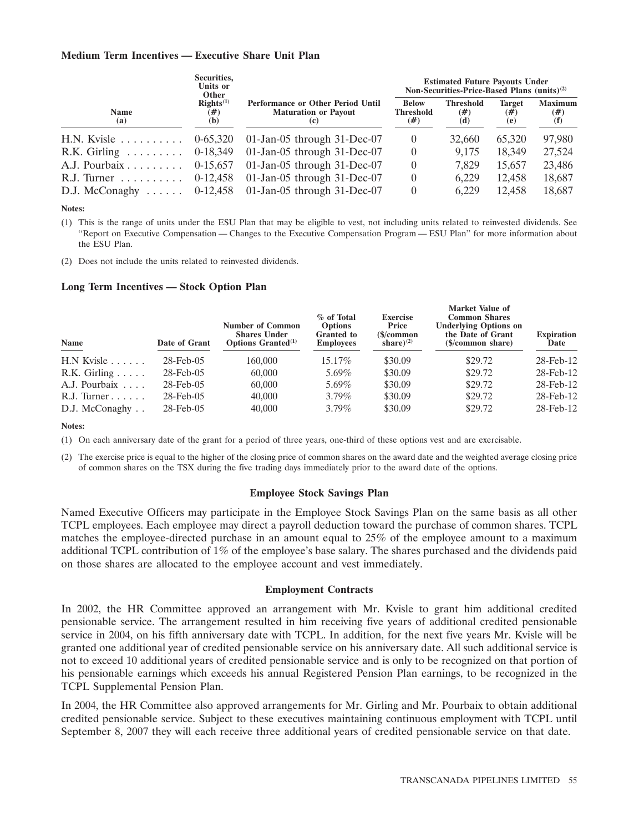### **Medium Term Incentives — Executive Share Unit Plan**

|                                         | Securities,<br>Units or<br>Other   |                                                                                | <b>Estimated Future Payouts Under</b><br>Non-Securities-Price-Based Plans (units) <sup>(2)</sup> |                                |                                |                                 |  |
|-----------------------------------------|------------------------------------|--------------------------------------------------------------------------------|--------------------------------------------------------------------------------------------------|--------------------------------|--------------------------------|---------------------------------|--|
| <b>Name</b><br>(a)                      | Right <sup>(1)</sup><br>(#)<br>(b) | <b>Performance or Other Period Until</b><br><b>Maturation or Payout</b><br>(c) | <b>Below</b><br><b>Threshold</b><br>(#)                                                          | <b>Threshold</b><br>(#)<br>(d) | <b>Target</b><br>$(\#)$<br>(e) | <b>Maximum</b><br>$(\#)$<br>(f) |  |
| $H.N.$ Kyisle $\ldots \ldots \ldots$    | $0-65,320$                         | 01-Jan-05 through 31-Dec-07                                                    | $\theta$                                                                                         | 32,660                         | 65.320                         | 97,980                          |  |
| $R.K.$ Girling $\ldots \ldots \ldots$   | 0-18,349                           | $01$ -Jan-05 through 31-Dec-07                                                 | $\theta$                                                                                         | 9.175                          | 18.349                         | 27,524                          |  |
| A.J. Pourbaix                           | 0-15.657                           | 01-Jan-05 through 31-Dec-07                                                    | $\theta$                                                                                         | 7.829                          | 15.657                         | 23,486                          |  |
| $R.J.$ Turner $\ldots \ldots \ldots$    | 0-12.458                           | 01-Jan-05 through 31-Dec-07                                                    | $\theta$                                                                                         | 6.229                          | 12.458                         | 18,687                          |  |
| D.J. McConaghy $\ldots \ldots$ 0-12,458 |                                    | $01$ -Jan-05 through 31-Dec-07                                                 | $\theta$                                                                                         | 6.229                          | 12.458                         | 18,687                          |  |

**Notes:**

(1) This is the range of units under the ESU Plan that may be eligible to vest, not including units related to reinvested dividends. See ''Report on Executive Compensation — Changes to the Executive Compensation Program — ESU Plan'' for more information about the ESU Plan.

(2) Does not include the units related to reinvested dividends.

### **Long Term Incentives — Stock Option Plan**

| Name                      | Date of Grant   | <b>Number of Common</b><br><b>Shares Under</b><br><b>Options Granted</b> <sup>(1)</sup> | % of Total<br><b>Options</b><br><b>Granted</b> to<br><b>Employees</b> | <b>Exercise</b><br>Price<br>$\mathcal{S}/\mathbf{common}$<br>share) $^{(2)}$ | <b>Market value of</b><br><b>Common Shares</b><br><b>Underlying Options on</b><br>the Date of Grant<br>(\$/common share) | <b>Expiration</b><br>Date |
|---------------------------|-----------------|-----------------------------------------------------------------------------------------|-----------------------------------------------------------------------|------------------------------------------------------------------------------|--------------------------------------------------------------------------------------------------------------------------|---------------------------|
| $H.N$ Kvisle $\ldots$     | $28$ -Feb-05    | 160,000                                                                                 | 15.17%                                                                | \$30.09                                                                      | \$29.72                                                                                                                  | 28-Feb-12                 |
| $R.K.$ Girling $\ldots$ . | $28$ -Feb-05    | 60,000                                                                                  | 5.69%                                                                 | \$30.09                                                                      | \$29.72                                                                                                                  | 28-Feb-12                 |
| A.J. Pourbaix             | $28$ -Feb- $05$ | 60,000                                                                                  | 5.69%                                                                 | \$30.09                                                                      | \$29.72                                                                                                                  | 28-Feb-12                 |
| $R.J.$ Turner $\ldots$    | $28$ -Feb- $05$ | 40,000                                                                                  | $3.79\%$                                                              | \$30.09                                                                      | \$29.72                                                                                                                  | 28-Feb-12                 |
| D.J. McConaghy            | $28$ -Feb- $05$ | 40,000                                                                                  | $3.79\%$                                                              | \$30.09                                                                      | \$29.72                                                                                                                  | 28-Feb-12                 |

#### **Notes:**

(1) On each anniversary date of the grant for a period of three years, one-third of these options vest and are exercisable.

(2) The exercise price is equal to the higher of the closing price of common shares on the award date and the weighted average closing price of common shares on the TSX during the five trading days immediately prior to the award date of the options.

### **Employee Stock Savings Plan**

Named Executive Officers may participate in the Employee Stock Savings Plan on the same basis as all other TCPL employees. Each employee may direct a payroll deduction toward the purchase of common shares. TCPL matches the employee-directed purchase in an amount equal to 25% of the employee amount to a maximum additional TCPL contribution of 1% of the employee's base salary. The shares purchased and the dividends paid on those shares are allocated to the employee account and vest immediately.

### **Employment Contracts**

In 2002, the HR Committee approved an arrangement with Mr. Kvisle to grant him additional credited pensionable service. The arrangement resulted in him receiving five years of additional credited pensionable service in 2004, on his fifth anniversary date with TCPL. In addition, for the next five years Mr. Kvisle will be granted one additional year of credited pensionable service on his anniversary date. All such additional service is not to exceed 10 additional years of credited pensionable service and is only to be recognized on that portion of his pensionable earnings which exceeds his annual Registered Pension Plan earnings, to be recognized in the TCPL Supplemental Pension Plan.

In 2004, the HR Committee also approved arrangements for Mr. Girling and Mr. Pourbaix to obtain additional credited pensionable service. Subject to these executives maintaining continuous employment with TCPL until September 8, 2007 they will each receive three additional years of credited pensionable service on that date.

**Market Value of**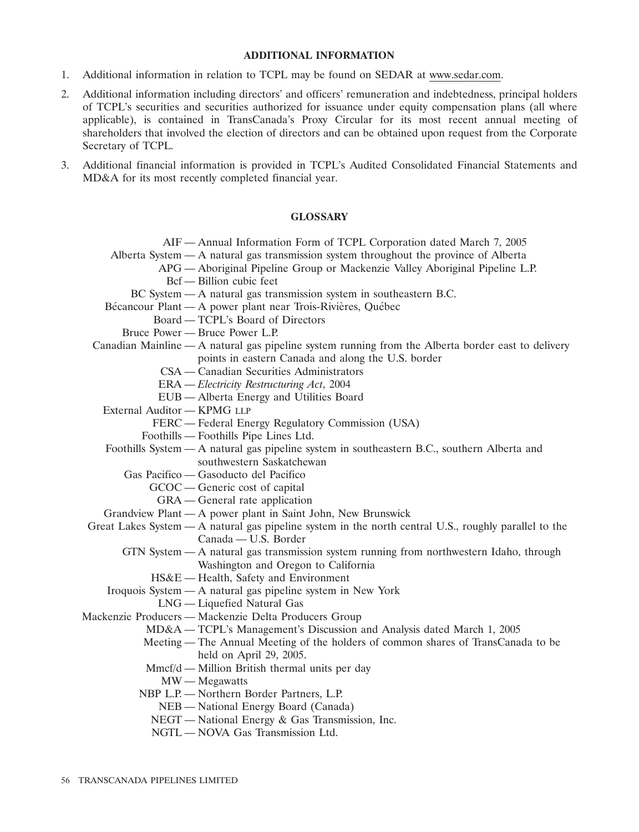### **ADDITIONAL INFORMATION**

- 1. Additional information in relation to TCPL may be found on SEDAR at www.sedar.com.
- 2. Additional information including directors' and officers' remuneration and indebtedness, principal holders of TCPL's securities and securities authorized for issuance under equity compensation plans (all where applicable), is contained in TransCanada's Proxy Circular for its most recent annual meeting of shareholders that involved the election of directors and can be obtained upon request from the Corporate Secretary of TCPL.
- 3. Additional financial information is provided in TCPL's Audited Consolidated Financial Statements and MD&A for its most recently completed financial year.

### **GLOSSARY**

|                             | AIF - Annual Information Form of TCPL Corporation dated March 7, 2005                                 |
|-----------------------------|-------------------------------------------------------------------------------------------------------|
|                             | Alberta System — A natural gas transmission system throughout the province of Alberta                 |
|                             | APG - Aboriginal Pipeline Group or Mackenzie Valley Aboriginal Pipeline L.P.                          |
|                             | Bcf — Billion cubic feet                                                                              |
|                             | BC System - A natural gas transmission system in southeastern B.C.                                    |
|                             | Bécancour Plant - A power plant near Trois-Rivières, Québec                                           |
|                             | Board — TCPL's Board of Directors                                                                     |
|                             | Bruce Power — Bruce Power L.P.                                                                        |
|                             | Canadian Mainline $-A$ natural gas pipeline system running from the Alberta border east to delivery   |
|                             | points in eastern Canada and along the U.S. border                                                    |
|                             | CSA — Canadian Securities Administrators                                                              |
|                             | ERA - Electricity Restructuring Act, 2004                                                             |
|                             | EUB - Alberta Energy and Utilities Board                                                              |
| External Auditor - KPMG LLP |                                                                                                       |
|                             | FERC - Federal Energy Regulatory Commission (USA)                                                     |
|                             | Foothills - Foothills Pipe Lines Ltd.                                                                 |
|                             | Foothills System - A natural gas pipeline system in southeastern B.C., southern Alberta and           |
|                             | southwestern Saskatchewan                                                                             |
|                             | Gas Pacifico — Gasoducto del Pacifico                                                                 |
|                             | GCOC — Generic cost of capital                                                                        |
|                             | GRA — General rate application                                                                        |
|                             | Grandview Plant — A power plant in Saint John, New Brunswick                                          |
|                             | Great Lakes System — A natural gas pipeline system in the north central U.S., roughly parallel to the |
|                             | Canada - U.S. Border                                                                                  |
|                             | GTN System - A natural gas transmission system running from northwestern Idaho, through               |
|                             | Washington and Oregon to California                                                                   |
|                             | HS&E - Health, Safety and Environment                                                                 |
|                             | Iroquois System - A natural gas pipeline system in New York                                           |
|                             | LNG — Liquefied Natural Gas                                                                           |
|                             | Mackenzie Producers - Mackenzie Delta Producers Group                                                 |
|                             | MD&A - TCPL's Management's Discussion and Analysis dated March 1, 2005                                |
|                             | Meeting — The Annual Meeting of the holders of common shares of TransCanada to be                     |
|                             | held on April 29, 2005.                                                                               |
|                             | Mmcf/d — Million British thermal units per day                                                        |
|                             | $MW - Megawatts$                                                                                      |
|                             | NBP L.P. - Northern Border Partners, L.P.                                                             |
|                             | NEB - National Energy Board (Canada)                                                                  |
|                             | NEGT — National Energy & Gas Transmission, Inc.                                                       |
|                             |                                                                                                       |

NGTL — NOVA Gas Transmission Ltd.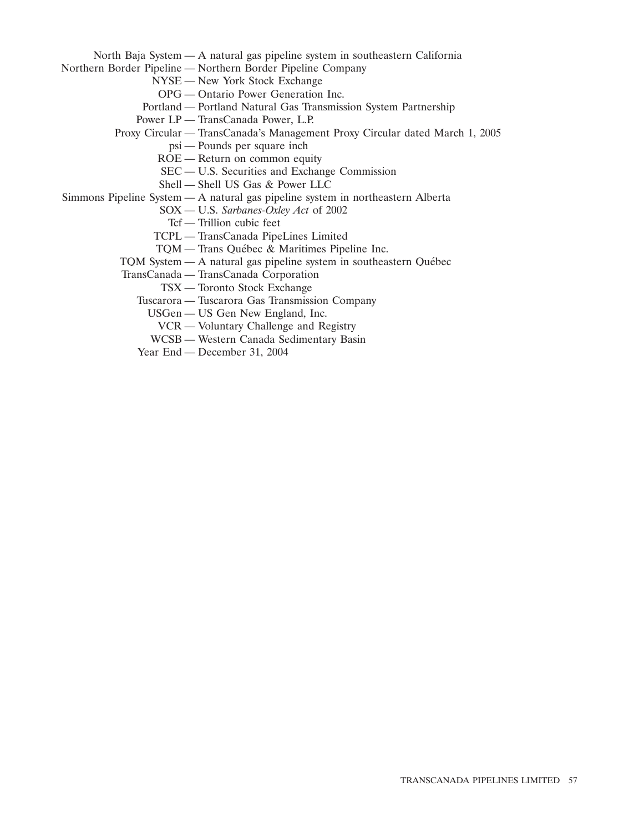North Baja System — A natural gas pipeline system in southeastern California

Northern Border Pipeline — Northern Border Pipeline Company

- NYSE New York Stock Exchange
- OPG Ontario Power Generation Inc.
- Portland Portland Natural Gas Transmission System Partnership
- Power LP TransCanada Power, L.P.
- Proxy Circular TransCanada's Management Proxy Circular dated March 1, 2005
	- psi Pounds per square inch
	- ROE Return on common equity
	- SEC U.S. Securities and Exchange Commission
	- Shell Shell US Gas & Power LLC
- Simmons Pipeline System A natural gas pipeline system in northeastern Alberta
	- SOX U.S. *Sarbanes-Oxley Act* of 2002
	- Tcf Trillion cubic feet
	- TCPL TransCanada PipeLines Limited
	- TOM Trans Québec  $\&$  Maritimes Pipeline Inc.
	- TQM System A natural gas pipeline system in southeastern Québec
	- TransCanada TransCanada Corporation
		- TSX Toronto Stock Exchange
		- Tuscarora Tuscarora Gas Transmission Company
			- USGen US Gen New England, Inc.
			- VCR Voluntary Challenge and Registry
			- WCSB Western Canada Sedimentary Basin
		- Year End December 31, 2004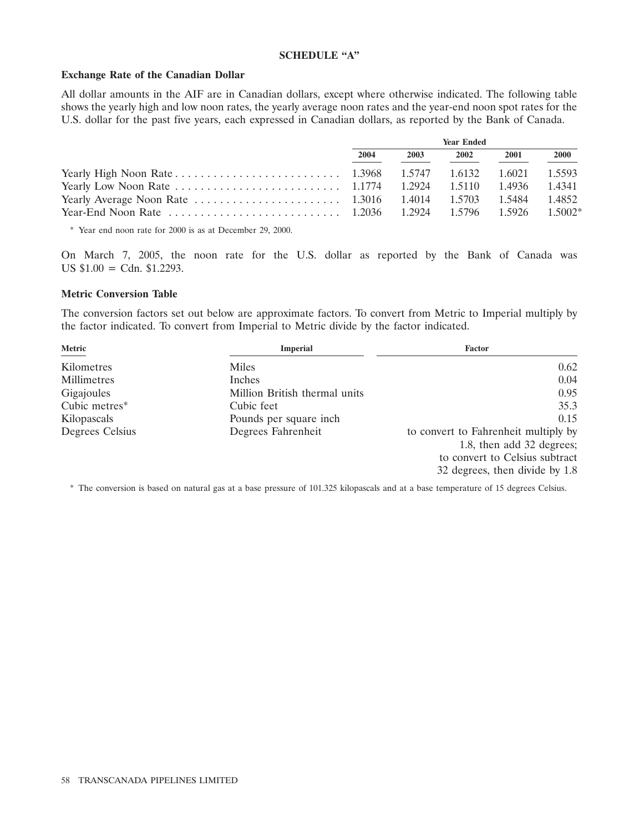### **SCHEDULE ''A''**

### **Exchange Rate of the Canadian Dollar**

All dollar amounts in the AIF are in Canadian dollars, except where otherwise indicated. The following table shows the yearly high and low noon rates, the yearly average noon rates and the year-end noon spot rates for the U.S. dollar for the past five years, each expressed in Canadian dollars, as reported by the Bank of Canada.

| <b>Year Ended</b> |      |        |        |        |
|-------------------|------|--------|--------|--------|
| 2004              | 2003 | 2002   | 2001   | 2000   |
|                   |      | 1.6132 | 1.6021 | 1.5593 |
|                   |      |        | 1.4936 | 1.4341 |
|                   |      |        |        | 1.4852 |
|                   |      |        |        |        |

\* Year end noon rate for 2000 is as at December 29, 2000.

On March 7, 2005, the noon rate for the U.S. dollar as reported by the Bank of Canada was US  $$1.00 = \text{Cdn. } $1.2293$ .

### **Metric Conversion Table**

The conversion factors set out below are approximate factors. To convert from Metric to Imperial multiply by the factor indicated. To convert from Imperial to Metric divide by the factor indicated.

| Metric          | <b>Imperial</b>               | <b>Factor</b>                        |
|-----------------|-------------------------------|--------------------------------------|
| Kilometres      | Miles                         | 0.62                                 |
| Millimetres     | Inches                        | 0.04                                 |
| Gigajoules      | Million British thermal units | 0.95                                 |
| Cubic metres*   | Cubic feet                    | 35.3                                 |
| Kilopascals     | Pounds per square inch.       | 0.15                                 |
| Degrees Celsius | Degrees Fahrenheit            | to convert to Fahrenheit multiply by |
|                 |                               | 1.8, then add 32 degrees;            |
|                 |                               | to convert to Celsius subtract       |
|                 |                               | 32 degrees, then divide by 1.8       |

\* The conversion is based on natural gas at a base pressure of 101.325 kilopascals and at a base temperature of 15 degrees Celsius.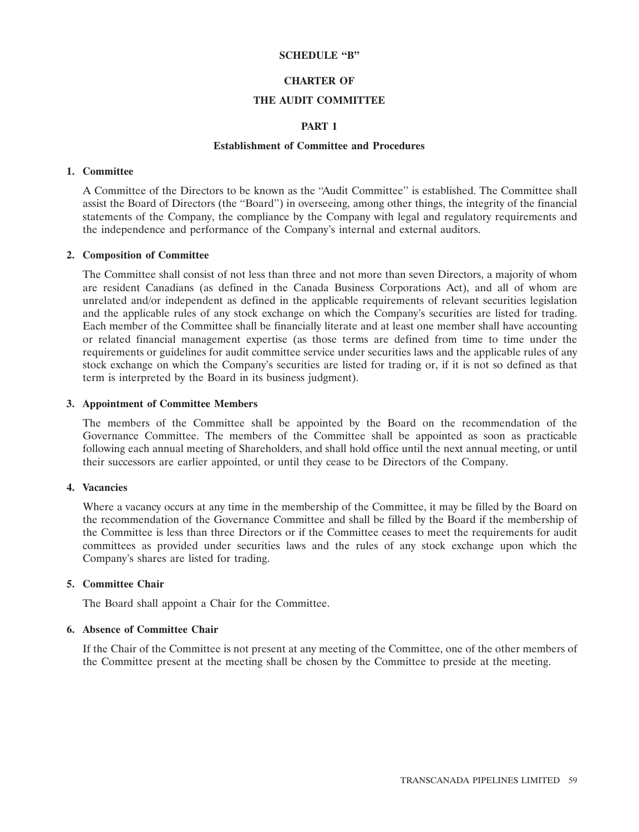# **SCHEDULE ''B''**

### **CHARTER OF**

### **THE AUDIT COMMITTEE**

# **PART 1**

### **Establishment of Committee and Procedures**

### **1. Committee**

A Committee of the Directors to be known as the ''Audit Committee'' is established. The Committee shall assist the Board of Directors (the ''Board'') in overseeing, among other things, the integrity of the financial statements of the Company, the compliance by the Company with legal and regulatory requirements and the independence and performance of the Company's internal and external auditors.

### **2. Composition of Committee**

The Committee shall consist of not less than three and not more than seven Directors, a majority of whom are resident Canadians (as defined in the Canada Business Corporations Act), and all of whom are unrelated and/or independent as defined in the applicable requirements of relevant securities legislation and the applicable rules of any stock exchange on which the Company's securities are listed for trading. Each member of the Committee shall be financially literate and at least one member shall have accounting or related financial management expertise (as those terms are defined from time to time under the requirements or guidelines for audit committee service under securities laws and the applicable rules of any stock exchange on which the Company's securities are listed for trading or, if it is not so defined as that term is interpreted by the Board in its business judgment).

### **3. Appointment of Committee Members**

The members of the Committee shall be appointed by the Board on the recommendation of the Governance Committee. The members of the Committee shall be appointed as soon as practicable following each annual meeting of Shareholders, and shall hold office until the next annual meeting, or until their successors are earlier appointed, or until they cease to be Directors of the Company.

### **4. Vacancies**

Where a vacancy occurs at any time in the membership of the Committee, it may be filled by the Board on the recommendation of the Governance Committee and shall be filled by the Board if the membership of the Committee is less than three Directors or if the Committee ceases to meet the requirements for audit committees as provided under securities laws and the rules of any stock exchange upon which the Company's shares are listed for trading.

# **5. Committee Chair**

The Board shall appoint a Chair for the Committee.

### **6. Absence of Committee Chair**

If the Chair of the Committee is not present at any meeting of the Committee, one of the other members of the Committee present at the meeting shall be chosen by the Committee to preside at the meeting.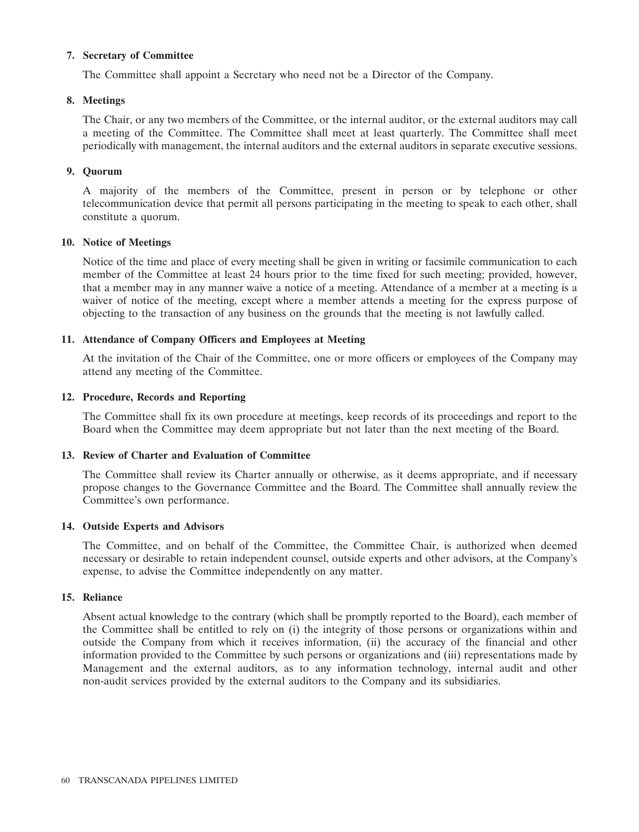### **7. Secretary of Committee**

The Committee shall appoint a Secretary who need not be a Director of the Company.

# **8. Meetings**

The Chair, or any two members of the Committee, or the internal auditor, or the external auditors may call a meeting of the Committee. The Committee shall meet at least quarterly. The Committee shall meet periodically with management, the internal auditors and the external auditors in separate executive sessions.

### **9. Quorum**

A majority of the members of the Committee, present in person or by telephone or other telecommunication device that permit all persons participating in the meeting to speak to each other, shall constitute a quorum.

### **10. Notice of Meetings**

Notice of the time and place of every meeting shall be given in writing or facsimile communication to each member of the Committee at least 24 hours prior to the time fixed for such meeting; provided, however, that a member may in any manner waive a notice of a meeting. Attendance of a member at a meeting is a waiver of notice of the meeting, except where a member attends a meeting for the express purpose of objecting to the transaction of any business on the grounds that the meeting is not lawfully called.

### **11. Attendance of Company Officers and Employees at Meeting**

At the invitation of the Chair of the Committee, one or more officers or employees of the Company may attend any meeting of the Committee.

### **12. Procedure, Records and Reporting**

The Committee shall fix its own procedure at meetings, keep records of its proceedings and report to the Board when the Committee may deem appropriate but not later than the next meeting of the Board.

### **13. Review of Charter and Evaluation of Committee**

The Committee shall review its Charter annually or otherwise, as it deems appropriate, and if necessary propose changes to the Governance Committee and the Board. The Committee shall annually review the Committee's own performance.

### **14. Outside Experts and Advisors**

The Committee, and on behalf of the Committee, the Committee Chair, is authorized when deemed necessary or desirable to retain independent counsel, outside experts and other advisors, at the Company's expense, to advise the Committee independently on any matter.

### **15. Reliance**

Absent actual knowledge to the contrary (which shall be promptly reported to the Board), each member of the Committee shall be entitled to rely on (i) the integrity of those persons or organizations within and outside the Company from which it receives information, (ii) the accuracy of the financial and other information provided to the Committee by such persons or organizations and (iii) representations made by Management and the external auditors, as to any information technology, internal audit and other non-audit services provided by the external auditors to the Company and its subsidiaries.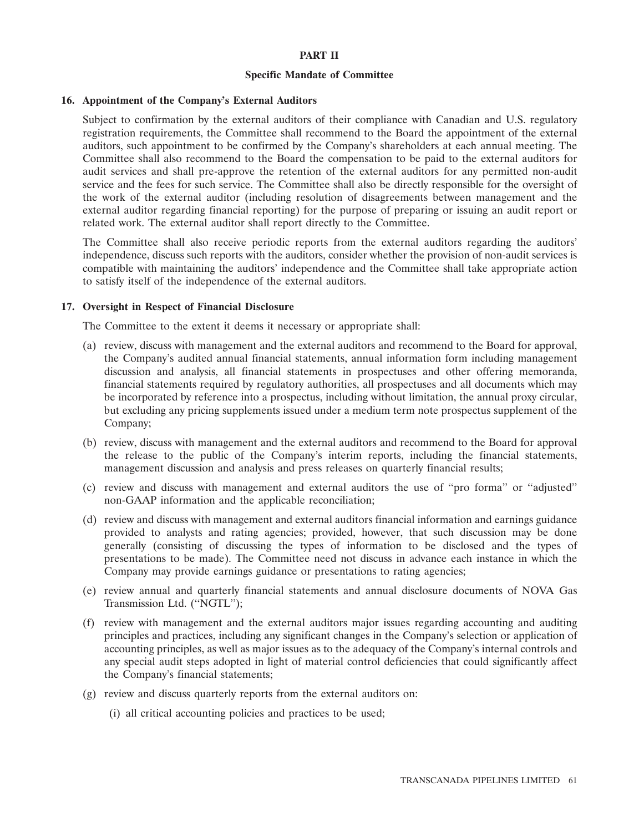### **PART II**

#### **Specific Mandate of Committee**

### **16. Appointment of the Company's External Auditors**

Subject to confirmation by the external auditors of their compliance with Canadian and U.S. regulatory registration requirements, the Committee shall recommend to the Board the appointment of the external auditors, such appointment to be confirmed by the Company's shareholders at each annual meeting. The Committee shall also recommend to the Board the compensation to be paid to the external auditors for audit services and shall pre-approve the retention of the external auditors for any permitted non-audit service and the fees for such service. The Committee shall also be directly responsible for the oversight of the work of the external auditor (including resolution of disagreements between management and the external auditor regarding financial reporting) for the purpose of preparing or issuing an audit report or related work. The external auditor shall report directly to the Committee.

The Committee shall also receive periodic reports from the external auditors regarding the auditors' independence, discuss such reports with the auditors, consider whether the provision of non-audit services is compatible with maintaining the auditors' independence and the Committee shall take appropriate action to satisfy itself of the independence of the external auditors.

### **17. Oversight in Respect of Financial Disclosure**

The Committee to the extent it deems it necessary or appropriate shall:

- (a) review, discuss with management and the external auditors and recommend to the Board for approval, the Company's audited annual financial statements, annual information form including management discussion and analysis, all financial statements in prospectuses and other offering memoranda, financial statements required by regulatory authorities, all prospectuses and all documents which may be incorporated by reference into a prospectus, including without limitation, the annual proxy circular, but excluding any pricing supplements issued under a medium term note prospectus supplement of the Company;
- (b) review, discuss with management and the external auditors and recommend to the Board for approval the release to the public of the Company's interim reports, including the financial statements, management discussion and analysis and press releases on quarterly financial results;
- (c) review and discuss with management and external auditors the use of ''pro forma'' or ''adjusted'' non-GAAP information and the applicable reconciliation;
- (d) review and discuss with management and external auditors financial information and earnings guidance provided to analysts and rating agencies; provided, however, that such discussion may be done generally (consisting of discussing the types of information to be disclosed and the types of presentations to be made). The Committee need not discuss in advance each instance in which the Company may provide earnings guidance or presentations to rating agencies;
- (e) review annual and quarterly financial statements and annual disclosure documents of NOVA Gas Transmission Ltd. (''NGTL'');
- (f) review with management and the external auditors major issues regarding accounting and auditing principles and practices, including any significant changes in the Company's selection or application of accounting principles, as well as major issues as to the adequacy of the Company's internal controls and any special audit steps adopted in light of material control deficiencies that could significantly affect the Company's financial statements;
- (g) review and discuss quarterly reports from the external auditors on:
	- (i) all critical accounting policies and practices to be used;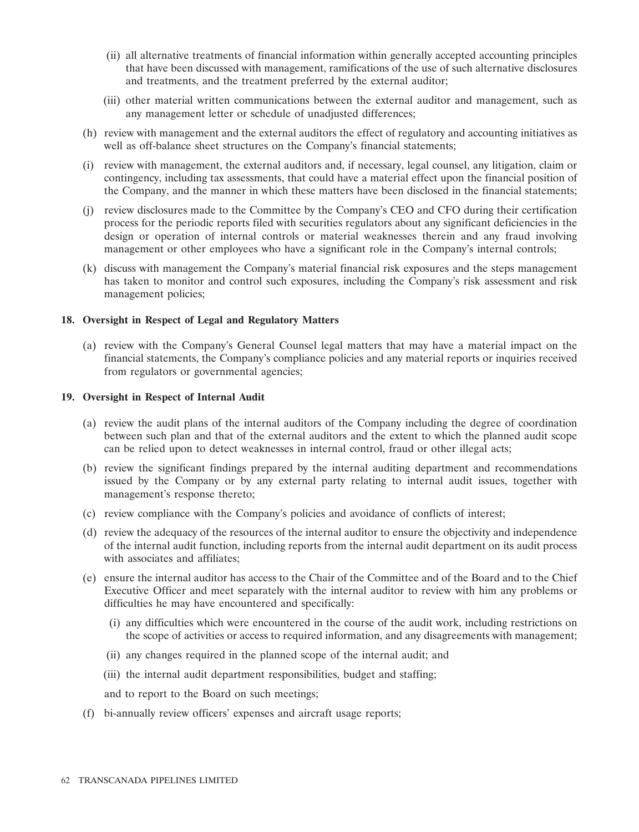- (ii) all alternative treatments of financial information within generally accepted accounting principles that have been discussed with management, ramifications of the use of such alternative disclosures and treatments, and the treatment preferred by the external auditor;
- (iii) other material written communications between the external auditor and management, such as any management letter or schedule of unadjusted differences;
- (h) review with management and the external auditors the effect of regulatory and accounting initiatives as well as off-balance sheet structures on the Company's financial statements;
- (i) review with management, the external auditors and, if necessary, legal counsel, any litigation, claim or contingency, including tax assessments, that could have a material effect upon the financial position of the Company, and the manner in which these matters have been disclosed in the financial statements;
- (j) review disclosures made to the Committee by the Company's CEO and CFO during their certification process for the periodic reports filed with securities regulators about any significant deficiencies in the design or operation of internal controls or material weaknesses therein and any fraud involving management or other employees who have a significant role in the Company's internal controls;
- (k) discuss with management the Company's material financial risk exposures and the steps management has taken to monitor and control such exposures, including the Company's risk assessment and risk management policies;

# **18. Oversight in Respect of Legal and Regulatory Matters**

(a) review with the Company's General Counsel legal matters that may have a material impact on the financial statements, the Company's compliance policies and any material reports or inquiries received from regulators or governmental agencies;

### **19. Oversight in Respect of Internal Audit**

- (a) review the audit plans of the internal auditors of the Company including the degree of coordination between such plan and that of the external auditors and the extent to which the planned audit scope can be relied upon to detect weaknesses in internal control, fraud or other illegal acts;
- (b) review the significant findings prepared by the internal auditing department and recommendations issued by the Company or by any external party relating to internal audit issues, together with management's response thereto;
- (c) review compliance with the Company's policies and avoidance of conflicts of interest;
- (d) review the adequacy of the resources of the internal auditor to ensure the objectivity and independence of the internal audit function, including reports from the internal audit department on its audit process with associates and affiliates;
- (e) ensure the internal auditor has access to the Chair of the Committee and of the Board and to the Chief Executive Officer and meet separately with the internal auditor to review with him any problems or difficulties he may have encountered and specifically:
	- (i) any difficulties which were encountered in the course of the audit work, including restrictions on the scope of activities or access to required information, and any disagreements with management;
	- (ii) any changes required in the planned scope of the internal audit; and
	- (iii) the internal audit department responsibilities, budget and staffing;
	- and to report to the Board on such meetings;
- (f) bi-annually review officers' expenses and aircraft usage reports;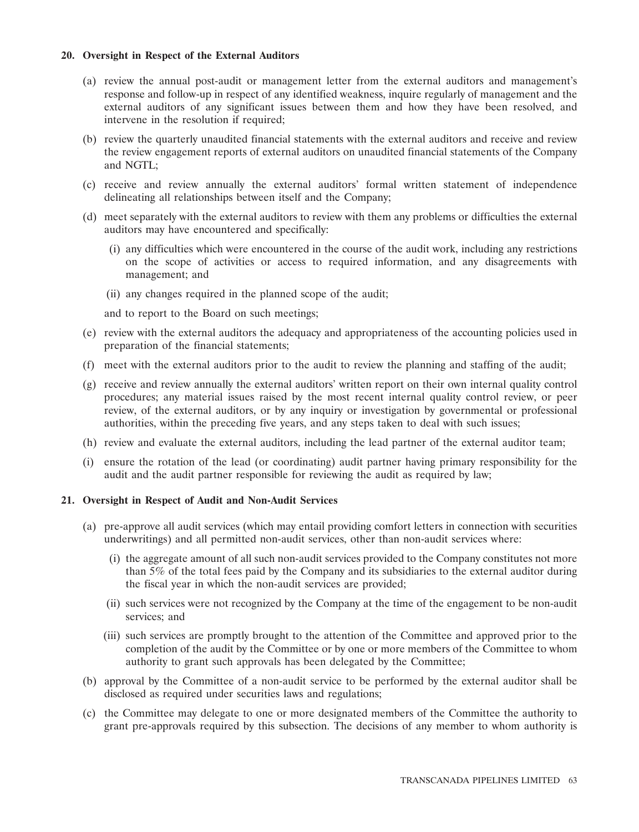# **20. Oversight in Respect of the External Auditors**

- (a) review the annual post-audit or management letter from the external auditors and management's response and follow-up in respect of any identified weakness, inquire regularly of management and the external auditors of any significant issues between them and how they have been resolved, and intervene in the resolution if required:
- (b) review the quarterly unaudited financial statements with the external auditors and receive and review the review engagement reports of external auditors on unaudited financial statements of the Company and NGTL;
- (c) receive and review annually the external auditors' formal written statement of independence delineating all relationships between itself and the Company;
- (d) meet separately with the external auditors to review with them any problems or difficulties the external auditors may have encountered and specifically:
	- (i) any difficulties which were encountered in the course of the audit work, including any restrictions on the scope of activities or access to required information, and any disagreements with management; and
	- (ii) any changes required in the planned scope of the audit;

and to report to the Board on such meetings;

- (e) review with the external auditors the adequacy and appropriateness of the accounting policies used in preparation of the financial statements;
- (f) meet with the external auditors prior to the audit to review the planning and staffing of the audit;
- (g) receive and review annually the external auditors' written report on their own internal quality control procedures; any material issues raised by the most recent internal quality control review, or peer review, of the external auditors, or by any inquiry or investigation by governmental or professional authorities, within the preceding five years, and any steps taken to deal with such issues;
- (h) review and evaluate the external auditors, including the lead partner of the external auditor team;
- (i) ensure the rotation of the lead (or coordinating) audit partner having primary responsibility for the audit and the audit partner responsible for reviewing the audit as required by law;

### **21. Oversight in Respect of Audit and Non-Audit Services**

- (a) pre-approve all audit services (which may entail providing comfort letters in connection with securities underwritings) and all permitted non-audit services, other than non-audit services where:
	- (i) the aggregate amount of all such non-audit services provided to the Company constitutes not more than 5% of the total fees paid by the Company and its subsidiaries to the external auditor during the fiscal year in which the non-audit services are provided;
	- (ii) such services were not recognized by the Company at the time of the engagement to be non-audit services; and
	- (iii) such services are promptly brought to the attention of the Committee and approved prior to the completion of the audit by the Committee or by one or more members of the Committee to whom authority to grant such approvals has been delegated by the Committee;
- (b) approval by the Committee of a non-audit service to be performed by the external auditor shall be disclosed as required under securities laws and regulations;
- (c) the Committee may delegate to one or more designated members of the Committee the authority to grant pre-approvals required by this subsection. The decisions of any member to whom authority is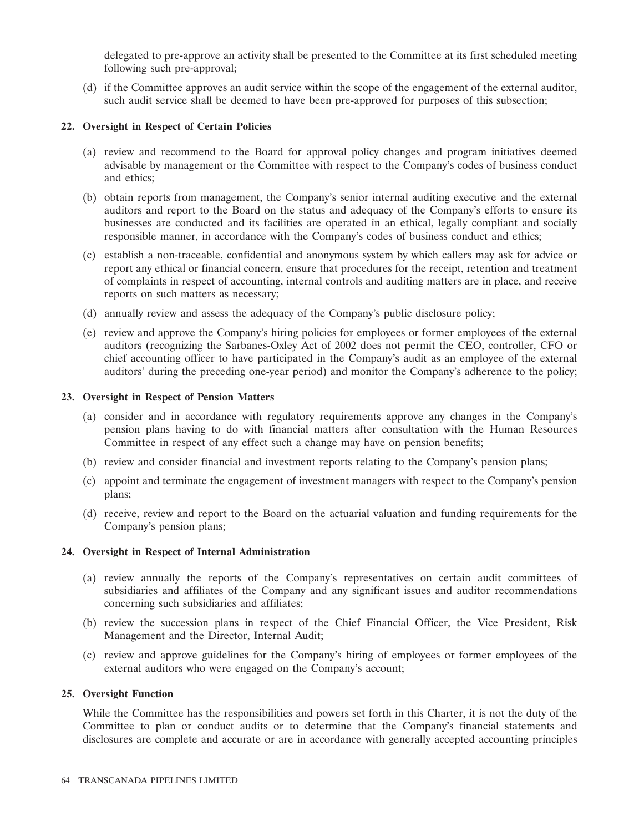delegated to pre-approve an activity shall be presented to the Committee at its first scheduled meeting following such pre-approval;

(d) if the Committee approves an audit service within the scope of the engagement of the external auditor, such audit service shall be deemed to have been pre-approved for purposes of this subsection;

### **22. Oversight in Respect of Certain Policies**

- (a) review and recommend to the Board for approval policy changes and program initiatives deemed advisable by management or the Committee with respect to the Company's codes of business conduct and ethics;
- (b) obtain reports from management, the Company's senior internal auditing executive and the external auditors and report to the Board on the status and adequacy of the Company's efforts to ensure its businesses are conducted and its facilities are operated in an ethical, legally compliant and socially responsible manner, in accordance with the Company's codes of business conduct and ethics;
- (c) establish a non-traceable, confidential and anonymous system by which callers may ask for advice or report any ethical or financial concern, ensure that procedures for the receipt, retention and treatment of complaints in respect of accounting, internal controls and auditing matters are in place, and receive reports on such matters as necessary;
- (d) annually review and assess the adequacy of the Company's public disclosure policy;
- (e) review and approve the Company's hiring policies for employees or former employees of the external auditors (recognizing the Sarbanes-Oxley Act of 2002 does not permit the CEO, controller, CFO or chief accounting officer to have participated in the Company's audit as an employee of the external auditors' during the preceding one-year period) and monitor the Company's adherence to the policy;

### **23. Oversight in Respect of Pension Matters**

- (a) consider and in accordance with regulatory requirements approve any changes in the Company's pension plans having to do with financial matters after consultation with the Human Resources Committee in respect of any effect such a change may have on pension benefits;
- (b) review and consider financial and investment reports relating to the Company's pension plans;
- (c) appoint and terminate the engagement of investment managers with respect to the Company's pension plans;
- (d) receive, review and report to the Board on the actuarial valuation and funding requirements for the Company's pension plans;

### **24. Oversight in Respect of Internal Administration**

- (a) review annually the reports of the Company's representatives on certain audit committees of subsidiaries and affiliates of the Company and any significant issues and auditor recommendations concerning such subsidiaries and affiliates;
- (b) review the succession plans in respect of the Chief Financial Officer, the Vice President, Risk Management and the Director, Internal Audit;
- (c) review and approve guidelines for the Company's hiring of employees or former employees of the external auditors who were engaged on the Company's account;

### **25. Oversight Function**

While the Committee has the responsibilities and powers set forth in this Charter, it is not the duty of the Committee to plan or conduct audits or to determine that the Company's financial statements and disclosures are complete and accurate or are in accordance with generally accepted accounting principles